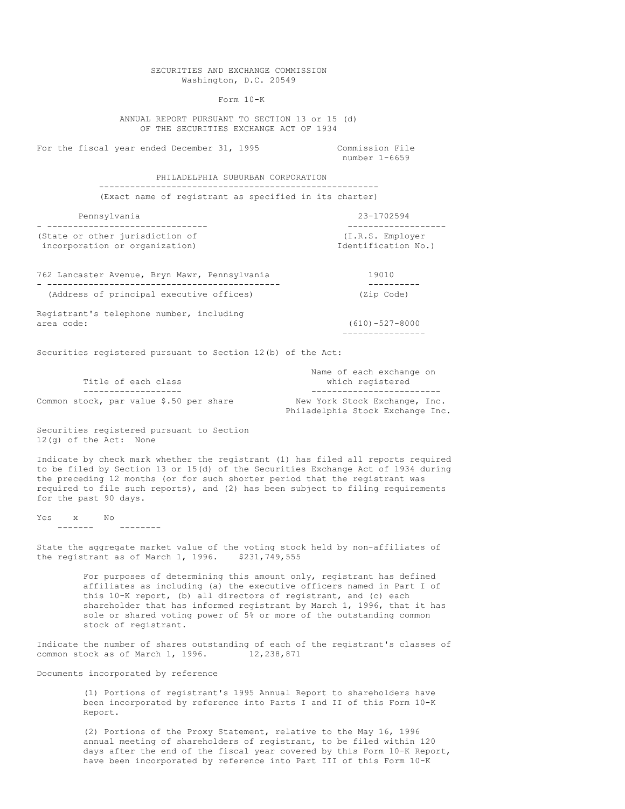SECURITIES AND EXCHANGE COMMISSION Washington, D.C. 20549 Form 10-K ANNUAL REPORT PURSUANT TO SECTION 13 or 15 (d) OF THE SECURITIES EXCHANGE ACT OF 1934 For the fiscal year ended December 31, 1995 Commission File number 1-6659 PHILADELPHIA SUBURBAN CORPORATION ------------------------------------------------------ (Exact name of registrant as specified in its charter) Pennsylvania 23-1702594 - ------------------------------- ------------------- (State or other jurisdiction of  $(1.R.S.$  Employer<br>incorporation or organization)  $\qquad \qquad$  Identification No.) incorporation or organization) 762 Lancaster Avenue, Bryn Mawr, Pennsylvania 19010 - --------------------------------------------- ---------- (Address of principal executive offices) (Zip Code) Registrant's telephone number, including area code: (610)-527-8000 ---------------- Securities registered pursuant to Section 12(b) of the Act: Name of each exchange on Title of each class which registered ------------------- ------------------------- Common stock, par value \$.50 per share New York Stock Exchange, Inc. Philadelphia Stock Exchange Inc. Securities registered pursuant to Section 12(g) of the Act: None Indicate by check mark whether the registrant (1) has filed all reports required to be filed by Section 13 or 15(d) of the Securities Exchange Act of 1934 during the preceding 12 months (or for such shorter period that the registrant was required to file such reports), and (2) has been subject to filing requirements for the past 90 days.  $Yes$   $X$  No ------- -------- State the aggregate market value of the voting stock held by non-affiliates of the registrant as of March 1, 1996. \$231,749,555 For purposes of determining this amount only, registrant has defined affiliates as including (a) the executive officers named in Part I of this 10-K report, (b) all directors of registrant, and (c) each shareholder that has informed registrant by March 1, 1996, that it has sole or shared voting power of 5% or more of the outstanding common stock of registrant. Indicate the number of shares outstanding of each of the registrant's classes of

Documents incorporated by reference

common stock as of March 1, 1996. 12,238,871

(1) Portions of registrant's 1995 Annual Report to shareholders have been incorporated by reference into Parts I and II of this Form 10-K Report.

(2) Portions of the Proxy Statement, relative to the May 16, 1996 annual meeting of shareholders of registrant, to be filed within 120 days after the end of the fiscal year covered by this Form 10-K Report, have been incorporated by reference into Part III of this Form 10-K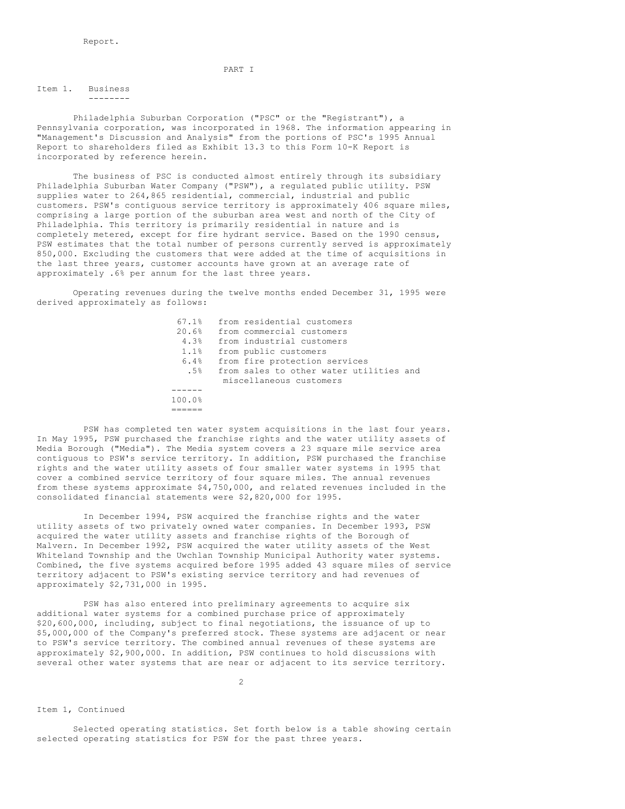#### PART I

Item 1. Business --------

Philadelphia Suburban Corporation ("PSC" or the "Registrant"), a Pennsylvania corporation, was incorporated in 1968. The information appearing in "Management's Discussion and Analysis" from the portions of PSC's 1995 Annual Report to shareholders filed as Exhibit 13.3 to this Form 10-K Report is incorporated by reference herein.

The business of PSC is conducted almost entirely through its subsidiary Philadelphia Suburban Water Company ("PSW"), a regulated public utility. PSW supplies water to 264,865 residential, commercial, industrial and public customers. PSW's contiguous service territory is approximately 406 square miles, comprising a large portion of the suburban area west and north of the City of Philadelphia. This territory is primarily residential in nature and is completely metered, except for fire hydrant service. Based on the 1990 census, PSW estimates that the total number of persons currently served is approximately 850,000. Excluding the customers that were added at the time of acquisitions in the last three years, customer accounts have grown at an average rate of approximately .6% per annum for the last three years.

Operating revenues during the twelve months ended December 31, 1995 were derived approximately as follows:

| 67.1%  | from residential customers              |
|--------|-----------------------------------------|
| 20.6%  | from commercial customers               |
| 4.3%   | from industrial customers               |
| 1.1%   | from public customers                   |
| 6.4%   | from fire protection services           |
| .5%    | from sales to other water utilities and |
|        | miscellaneous customers                 |
|        |                                         |
| 100.0% |                                         |

======

PSW has completed ten water system acquisitions in the last four years. In May 1995, PSW purchased the franchise rights and the water utility assets of Media Borough ("Media"). The Media system covers a 23 square mile service area contiguous to PSW's service territory. In addition, PSW purchased the franchise rights and the water utility assets of four smaller water systems in 1995 that cover a combined service territory of four square miles. The annual revenues from these systems approximate \$4,750,000, and related revenues included in the consolidated financial statements were \$2,820,000 for 1995.

In December 1994, PSW acquired the franchise rights and the water utility assets of two privately owned water companies. In December 1993, PSW acquired the water utility assets and franchise rights of the Borough of Malvern. In December 1992, PSW acquired the water utility assets of the West Whiteland Township and the Uwchlan Township Municipal Authority water systems. Combined, the five systems acquired before 1995 added 43 square miles of service territory adjacent to PSW's existing service territory and had revenues of approximately \$2,731,000 in 1995.

PSW has also entered into preliminary agreements to acquire six additional water systems for a combined purchase price of approximately \$20,600,000, including, subject to final negotiations, the issuance of up to \$5,000,000 of the Company's preferred stock. These systems are adjacent or near to PSW's service territory. The combined annual revenues of these systems are approximately \$2,900,000. In addition, PSW continues to hold discussions with several other water systems that are near or adjacent to its service territory.

 $\mathfrak{D}$ 

# Item 1, Continued

Selected operating statistics. Set forth below is a table showing certain selected operating statistics for PSW for the past three years.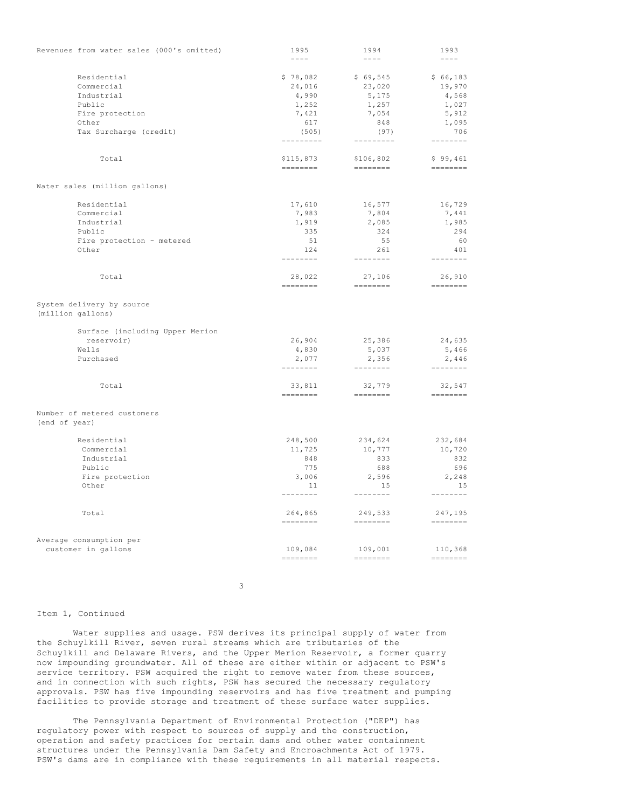| Revenues from water sales (000's omitted)      | 1995                                                                                                                                                                                                                                                                                                                                                                                                                                                                                          | 1994                                                                                                                                                                                                                                                                                                                                                                                                                                                                                            | 1993                                                                                                                      |
|------------------------------------------------|-----------------------------------------------------------------------------------------------------------------------------------------------------------------------------------------------------------------------------------------------------------------------------------------------------------------------------------------------------------------------------------------------------------------------------------------------------------------------------------------------|-------------------------------------------------------------------------------------------------------------------------------------------------------------------------------------------------------------------------------------------------------------------------------------------------------------------------------------------------------------------------------------------------------------------------------------------------------------------------------------------------|---------------------------------------------------------------------------------------------------------------------------|
|                                                | $\frac{1}{2} \frac{1}{2} \frac{1}{2} \frac{1}{2} \frac{1}{2} \frac{1}{2} \frac{1}{2} \frac{1}{2} \frac{1}{2} \frac{1}{2} \frac{1}{2} \frac{1}{2} \frac{1}{2} \frac{1}{2} \frac{1}{2} \frac{1}{2} \frac{1}{2} \frac{1}{2} \frac{1}{2} \frac{1}{2} \frac{1}{2} \frac{1}{2} \frac{1}{2} \frac{1}{2} \frac{1}{2} \frac{1}{2} \frac{1}{2} \frac{1}{2} \frac{1}{2} \frac{1}{2} \frac{1}{2} \frac{$                                                                                                  | $\frac{1}{2} \frac{1}{2} \frac{1}{2} \frac{1}{2} \frac{1}{2} \frac{1}{2} \frac{1}{2} \frac{1}{2} \frac{1}{2} \frac{1}{2} \frac{1}{2} \frac{1}{2} \frac{1}{2} \frac{1}{2} \frac{1}{2} \frac{1}{2} \frac{1}{2} \frac{1}{2} \frac{1}{2} \frac{1}{2} \frac{1}{2} \frac{1}{2} \frac{1}{2} \frac{1}{2} \frac{1}{2} \frac{1}{2} \frac{1}{2} \frac{1}{2} \frac{1}{2} \frac{1}{2} \frac{1}{2} \frac{$                                                                                                    | $- - - -$                                                                                                                 |
|                                                |                                                                                                                                                                                                                                                                                                                                                                                                                                                                                               |                                                                                                                                                                                                                                                                                                                                                                                                                                                                                                 |                                                                                                                           |
| Residential                                    | \$78,082                                                                                                                                                                                                                                                                                                                                                                                                                                                                                      | \$69,545                                                                                                                                                                                                                                                                                                                                                                                                                                                                                        | \$66,183                                                                                                                  |
| Commercial                                     | 24,016                                                                                                                                                                                                                                                                                                                                                                                                                                                                                        | 23,020                                                                                                                                                                                                                                                                                                                                                                                                                                                                                          | 19,970                                                                                                                    |
| Industrial                                     | 4,990                                                                                                                                                                                                                                                                                                                                                                                                                                                                                         | 5,175                                                                                                                                                                                                                                                                                                                                                                                                                                                                                           | 4,568                                                                                                                     |
| Public                                         | 1,252                                                                                                                                                                                                                                                                                                                                                                                                                                                                                         | 1,257                                                                                                                                                                                                                                                                                                                                                                                                                                                                                           | 1,027                                                                                                                     |
| Fire protection                                | 7,421                                                                                                                                                                                                                                                                                                                                                                                                                                                                                         | 7,054                                                                                                                                                                                                                                                                                                                                                                                                                                                                                           | 5,912                                                                                                                     |
| Other                                          | 617                                                                                                                                                                                                                                                                                                                                                                                                                                                                                           | 848                                                                                                                                                                                                                                                                                                                                                                                                                                                                                             | 1,095                                                                                                                     |
| Tax Surcharge (credit)                         | (505)<br>---------                                                                                                                                                                                                                                                                                                                                                                                                                                                                            | (97)<br>---------                                                                                                                                                                                                                                                                                                                                                                                                                                                                               | 706<br>--------                                                                                                           |
|                                                |                                                                                                                                                                                                                                                                                                                                                                                                                                                                                               |                                                                                                                                                                                                                                                                                                                                                                                                                                                                                                 |                                                                                                                           |
| Total                                          | \$115,873<br>========                                                                                                                                                                                                                                                                                                                                                                                                                                                                         | \$106,802                                                                                                                                                                                                                                                                                                                                                                                                                                                                                       | \$99,461<br>$\qquad \qquad \doteq\qquad \qquad \doteq\qquad \qquad \doteq\qquad \qquad \qquad \doteq\qquad \qquad \qquad$ |
| Water sales (million gallons)                  |                                                                                                                                                                                                                                                                                                                                                                                                                                                                                               |                                                                                                                                                                                                                                                                                                                                                                                                                                                                                                 |                                                                                                                           |
|                                                |                                                                                                                                                                                                                                                                                                                                                                                                                                                                                               |                                                                                                                                                                                                                                                                                                                                                                                                                                                                                                 |                                                                                                                           |
| Residential                                    | 17,610                                                                                                                                                                                                                                                                                                                                                                                                                                                                                        | 16,577                                                                                                                                                                                                                                                                                                                                                                                                                                                                                          | 16,729                                                                                                                    |
| Commercial                                     | 7,983                                                                                                                                                                                                                                                                                                                                                                                                                                                                                         | 7,804                                                                                                                                                                                                                                                                                                                                                                                                                                                                                           | 7,441                                                                                                                     |
| Industrial                                     | 1,919                                                                                                                                                                                                                                                                                                                                                                                                                                                                                         | 2,085                                                                                                                                                                                                                                                                                                                                                                                                                                                                                           | 1,985                                                                                                                     |
| Public                                         | 335                                                                                                                                                                                                                                                                                                                                                                                                                                                                                           | 324                                                                                                                                                                                                                                                                                                                                                                                                                                                                                             | 294                                                                                                                       |
| Fire protection - metered                      | 51                                                                                                                                                                                                                                                                                                                                                                                                                                                                                            | 55                                                                                                                                                                                                                                                                                                                                                                                                                                                                                              | 60                                                                                                                        |
| Other                                          | 124<br>--------                                                                                                                                                                                                                                                                                                                                                                                                                                                                               | 261<br>---------                                                                                                                                                                                                                                                                                                                                                                                                                                                                                | 401<br>--------                                                                                                           |
| Total                                          |                                                                                                                                                                                                                                                                                                                                                                                                                                                                                               |                                                                                                                                                                                                                                                                                                                                                                                                                                                                                                 |                                                                                                                           |
|                                                | 28,022<br>========                                                                                                                                                                                                                                                                                                                                                                                                                                                                            | 27,106                                                                                                                                                                                                                                                                                                                                                                                                                                                                                          | 26,910<br>$\begin{array}{cccccccccc} = & = & = & = & = & = & = & = & \end{array}$                                         |
| System delivery by source<br>(million gallons) |                                                                                                                                                                                                                                                                                                                                                                                                                                                                                               |                                                                                                                                                                                                                                                                                                                                                                                                                                                                                                 |                                                                                                                           |
| Surface (including Upper Merion                |                                                                                                                                                                                                                                                                                                                                                                                                                                                                                               |                                                                                                                                                                                                                                                                                                                                                                                                                                                                                                 |                                                                                                                           |
| reservoir)                                     | 26,904                                                                                                                                                                                                                                                                                                                                                                                                                                                                                        | 25,386                                                                                                                                                                                                                                                                                                                                                                                                                                                                                          | 24,635                                                                                                                    |
| Wells                                          | 4,830                                                                                                                                                                                                                                                                                                                                                                                                                                                                                         | 5,037                                                                                                                                                                                                                                                                                                                                                                                                                                                                                           | 5,466                                                                                                                     |
| Purchased                                      | 2,077<br>---------                                                                                                                                                                                                                                                                                                                                                                                                                                                                            | 2,356<br>$\begin{array}{cccccccccccccc} \multicolumn{2}{c}{} & \multicolumn{2}{c}{} & \multicolumn{2}{c}{} & \multicolumn{2}{c}{} & \multicolumn{2}{c}{} & \multicolumn{2}{c}{} & \multicolumn{2}{c}{} & \multicolumn{2}{c}{} & \multicolumn{2}{c}{} & \multicolumn{2}{c}{} & \multicolumn{2}{c}{} & \multicolumn{2}{c}{} & \multicolumn{2}{c}{} & \multicolumn{2}{c}{} & \multicolumn{2}{c}{} & \multicolumn{2}{c}{} & \multicolumn{2}{c}{} & \multicolumn{2}{c}{} & \multicolumn{2}{c}{} & \$ | 2,446<br>--------                                                                                                         |
|                                                |                                                                                                                                                                                                                                                                                                                                                                                                                                                                                               |                                                                                                                                                                                                                                                                                                                                                                                                                                                                                                 |                                                                                                                           |
| Total                                          | 33,811<br>========                                                                                                                                                                                                                                                                                                                                                                                                                                                                            | 32,779<br>========                                                                                                                                                                                                                                                                                                                                                                                                                                                                              | 32,547<br>$=$ = = = = = = =                                                                                               |
| Number of metered customers                    |                                                                                                                                                                                                                                                                                                                                                                                                                                                                                               |                                                                                                                                                                                                                                                                                                                                                                                                                                                                                                 |                                                                                                                           |
| (end of year)                                  |                                                                                                                                                                                                                                                                                                                                                                                                                                                                                               |                                                                                                                                                                                                                                                                                                                                                                                                                                                                                                 |                                                                                                                           |
| Residential                                    | 248,500                                                                                                                                                                                                                                                                                                                                                                                                                                                                                       | 234,624                                                                                                                                                                                                                                                                                                                                                                                                                                                                                         | 232,684                                                                                                                   |
| Commercial                                     | 11,725                                                                                                                                                                                                                                                                                                                                                                                                                                                                                        | 10,777                                                                                                                                                                                                                                                                                                                                                                                                                                                                                          | 10,720                                                                                                                    |
| Industrial                                     | 848                                                                                                                                                                                                                                                                                                                                                                                                                                                                                           | 833                                                                                                                                                                                                                                                                                                                                                                                                                                                                                             | 832                                                                                                                       |
| Public                                         | 775                                                                                                                                                                                                                                                                                                                                                                                                                                                                                           | 688                                                                                                                                                                                                                                                                                                                                                                                                                                                                                             | 696                                                                                                                       |
| Fire protection                                | 3,006                                                                                                                                                                                                                                                                                                                                                                                                                                                                                         | 2,596                                                                                                                                                                                                                                                                                                                                                                                                                                                                                           | 2,248                                                                                                                     |
| Other                                          | 11                                                                                                                                                                                                                                                                                                                                                                                                                                                                                            | 15                                                                                                                                                                                                                                                                                                                                                                                                                                                                                              | 15<br>$- - - - - - - -$                                                                                                   |
|                                                |                                                                                                                                                                                                                                                                                                                                                                                                                                                                                               |                                                                                                                                                                                                                                                                                                                                                                                                                                                                                                 |                                                                                                                           |
| Total                                          | 264,865<br>$\qquad \qquad \doteq\qquad \qquad \doteq\qquad \qquad \doteq\qquad \qquad \qquad \doteq\qquad \qquad \qquad \qquad \doteq\qquad \qquad \qquad \qquad \doteq\qquad \qquad \qquad \qquad \qquad \doteq\qquad \qquad \qquad \qquad \doteq\qquad \qquad \qquad \qquad \qquad \doteq\qquad \qquad \qquad \qquad \doteq\qquad \qquad \qquad \qquad \doteq\qquad \qquad \qquad \qquad \qquad \doteq\qquad \qquad \qquad \qquad \doteq\qquad \qquad \qquad \qquad \qquad \doteq\qquad \q$ | 249,533<br>$=$                                                                                                                                                                                                                                                                                                                                                                                                                                                                                  | 247,195<br>$\qquad \qquad \doteq\qquad \qquad \doteq\qquad \qquad \doteq\qquad \qquad \doteq\qquad \qquad \qquad$         |
| Average consumption per                        |                                                                                                                                                                                                                                                                                                                                                                                                                                                                                               |                                                                                                                                                                                                                                                                                                                                                                                                                                                                                                 |                                                                                                                           |
| customer in gallons                            | 109,084                                                                                                                                                                                                                                                                                                                                                                                                                                                                                       | 109,001                                                                                                                                                                                                                                                                                                                                                                                                                                                                                         | 110,368                                                                                                                   |
|                                                |                                                                                                                                                                                                                                                                                                                                                                                                                                                                                               | $\qquad \qquad \doteq\qquad \qquad \doteq\qquad \qquad \doteq\qquad \qquad \qquad \doteq\qquad \qquad \qquad$                                                                                                                                                                                                                                                                                                                                                                                   |                                                                                                                           |

3

# Item 1, Continued

Water supplies and usage. PSW derives its principal supply of water from the Schuylkill River, seven rural streams which are tributaries of the Schuylkill and Delaware Rivers, and the Upper Merion Reservoir, a former quarry now impounding groundwater. All of these are either within or adjacent to PSW's service territory. PSW acquired the right to remove water from these sources, and in connection with such rights, PSW has secured the necessary regulatory approvals. PSW has five impounding reservoirs and has five treatment and pumping facilities to provide storage and treatment of these surface water supplies.

The Pennsylvania Department of Environmental Protection ("DEP") has regulatory power with respect to sources of supply and the construction, operation and safety practices for certain dams and other water containment structures under the Pennsylvania Dam Safety and Encroachments Act of 1979. PSW's dams are in compliance with these requirements in all material respects.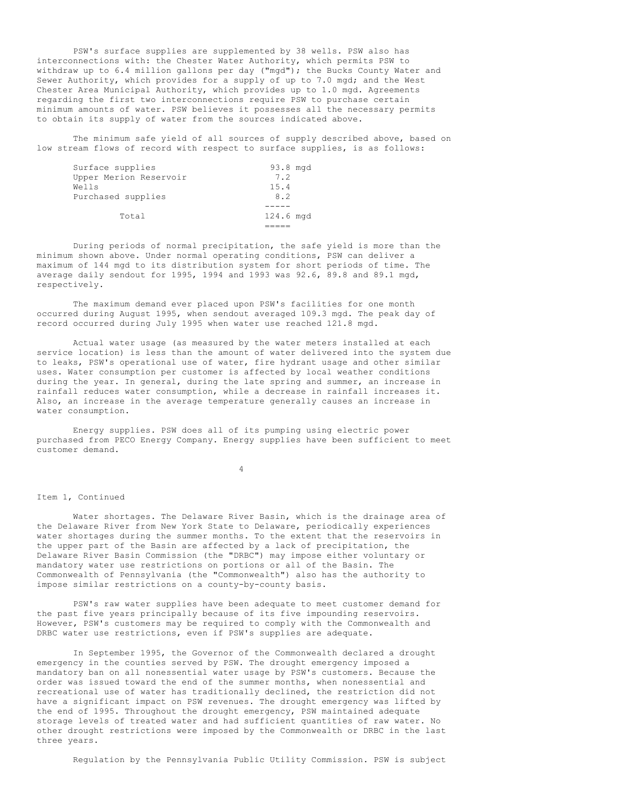PSW's surface supplies are supplemented by 38 wells. PSW also has interconnections with: the Chester Water Authority, which permits PSW to withdraw up to 6.4 million gallons per day ("mgd"); the Bucks County Water and Sewer Authority, which provides for a supply of up to 7.0 mgd; and the West Chester Area Municipal Authority, which provides up to 1.0 mgd. Agreements regarding the first two interconnections require PSW to purchase certain minimum amounts of water. PSW believes it possesses all the necessary permits to obtain its supply of water from the sources indicated above.

The minimum safe yield of all sources of supply described above, based on low stream flows of record with respect to surface supplies, is as follows:

| Surface supplies       | 93.8 mgd  |  |
|------------------------|-----------|--|
| Upper Merion Reservoir | 7.2       |  |
| Wells                  | 15.4      |  |
| Purchased supplies     | 8.2       |  |
|                        |           |  |
| Total                  | 124.6 mgd |  |
|                        |           |  |

During periods of normal precipitation, the safe yield is more than the minimum shown above. Under normal operating conditions, PSW can deliver a maximum of 144 mgd to its distribution system for short periods of time. The average daily sendout for 1995, 1994 and 1993 was 92.6, 89.8 and 89.1 mgd, respectively.

The maximum demand ever placed upon PSW's facilities for one month occurred during August 1995, when sendout averaged 109.3 mgd. The peak day of record occurred during July 1995 when water use reached 121.8 mgd.

Actual water usage (as measured by the water meters installed at each service location) is less than the amount of water delivered into the system due to leaks, PSW's operational use of water, fire hydrant usage and other similar uses. Water consumption per customer is affected by local weather conditions during the year. In general, during the late spring and summer, an increase in rainfall reduces water consumption, while a decrease in rainfall increases it. Also, an increase in the average temperature generally causes an increase in water consumption.

Energy supplies. PSW does all of its pumping using electric power purchased from PECO Energy Company. Energy supplies have been sufficient to meet customer demand.

4

#### Item 1, Continued

Water shortages. The Delaware River Basin, which is the drainage area of the Delaware River from New York State to Delaware, periodically experiences water shortages during the summer months. To the extent that the reservoirs in the upper part of the Basin are affected by a lack of precipitation, the Delaware River Basin Commission (the "DRBC") may impose either voluntary or mandatory water use restrictions on portions or all of the Basin. The Commonwealth of Pennsylvania (the "Commonwealth") also has the authority to impose similar restrictions on a county-by-county basis.

PSW's raw water supplies have been adequate to meet customer demand for the past five years principally because of its five impounding reservoirs. However, PSW's customers may be required to comply with the Commonwealth and DRBC water use restrictions, even if PSW's supplies are adequate.

In September 1995, the Governor of the Commonwealth declared a drought emergency in the counties served by PSW. The drought emergency imposed a mandatory ban on all nonessential water usage by PSW's customers. Because the order was issued toward the end of the summer months, when nonessential and recreational use of water has traditionally declined, the restriction did not have a significant impact on PSW revenues. The drought emergency was lifted by the end of 1995. Throughout the drought emergency, PSW maintained adequate storage levels of treated water and had sufficient quantities of raw water. No other drought restrictions were imposed by the Commonwealth or DRBC in the last three years.

Regulation by the Pennsylvania Public Utility Commission. PSW is subject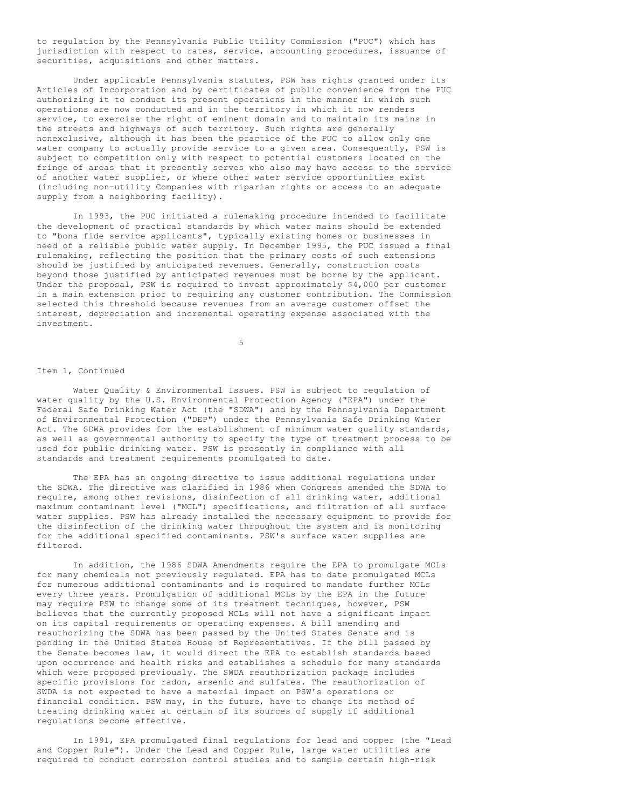to regulation by the Pennsylvania Public Utility Commission ("PUC") which has jurisdiction with respect to rates, service, accounting procedures, issuance of securities, acquisitions and other matters.

Under applicable Pennsylvania statutes, PSW has rights granted under its Articles of Incorporation and by certificates of public convenience from the PUC authorizing it to conduct its present operations in the manner in which such operations are now conducted and in the territory in which it now renders service, to exercise the right of eminent domain and to maintain its mains in the streets and highways of such territory. Such rights are generally nonexclusive, although it has been the practice of the PUC to allow only one water company to actually provide service to a given area. Consequently, PSW is subject to competition only with respect to potential customers located on the fringe of areas that it presently serves who also may have access to the service of another water supplier, or where other water service opportunities exist (including non-utility Companies with riparian rights or access to an adequate supply from a neighboring facility).

In 1993, the PUC initiated a rulemaking procedure intended to facilitate the development of practical standards by which water mains should be extended to "bona fide service applicants", typically existing homes or businesses in need of a reliable public water supply. In December 1995, the PUC issued a final rulemaking, reflecting the position that the primary costs of such extensions should be justified by anticipated revenues. Generally, construction costs beyond those justified by anticipated revenues must be borne by the applicant. Under the proposal, PSW is required to invest approximately \$4,000 per customer in a main extension prior to requiring any customer contribution. The Commission selected this threshold because revenues from an average customer offset the interest, depreciation and incremental operating expense associated with the investment.

5

# Item 1, Continued

Water Quality & Environmental Issues. PSW is subject to regulation of water quality by the U.S. Environmental Protection Agency ("EPA") under the Federal Safe Drinking Water Act (the "SDWA") and by the Pennsylvania Department of Environmental Protection ("DEP") under the Pennsylvania Safe Drinking Water Act. The SDWA provides for the establishment of minimum water quality standards, as well as governmental authority to specify the type of treatment process to be used for public drinking water. PSW is presently in compliance with all standards and treatment requirements promulgated to date.

The EPA has an ongoing directive to issue additional regulations under the SDWA. The directive was clarified in 1986 when Congress amended the SDWA to require, among other revisions, disinfection of all drinking water, additional maximum contaminant level ("MCL") specifications, and filtration of all surface water supplies. PSW has already installed the necessary equipment to provide for the disinfection of the drinking water throughout the system and is monitoring for the additional specified contaminants. PSW's surface water supplies are filtered.

In addition, the 1986 SDWA Amendments require the EPA to promulgate MCLs for many chemicals not previously regulated. EPA has to date promulgated MCLs for numerous additional contaminants and is required to mandate further MCLs every three years. Promulgation of additional MCLs by the EPA in the future may require PSW to change some of its treatment techniques, however, PSW believes that the currently proposed MCLs will not have a significant impact on its capital requirements or operating expenses. A bill amending and reauthorizing the SDWA has been passed by the United States Senate and is pending in the United States House of Representatives. If the bill passed by the Senate becomes law, it would direct the EPA to establish standards based upon occurrence and health risks and establishes a schedule for many standards which were proposed previously. The SWDA reauthorization package includes specific provisions for radon, arsenic and sulfates. The reauthorization of SWDA is not expected to have a material impact on PSW's operations or financial condition. PSW may, in the future, have to change its method of treating drinking water at certain of its sources of supply if additional regulations become effective.

In 1991, EPA promulgated final regulations for lead and copper (the "Lead and Copper Rule"). Under the Lead and Copper Rule, large water utilities are required to conduct corrosion control studies and to sample certain high-risk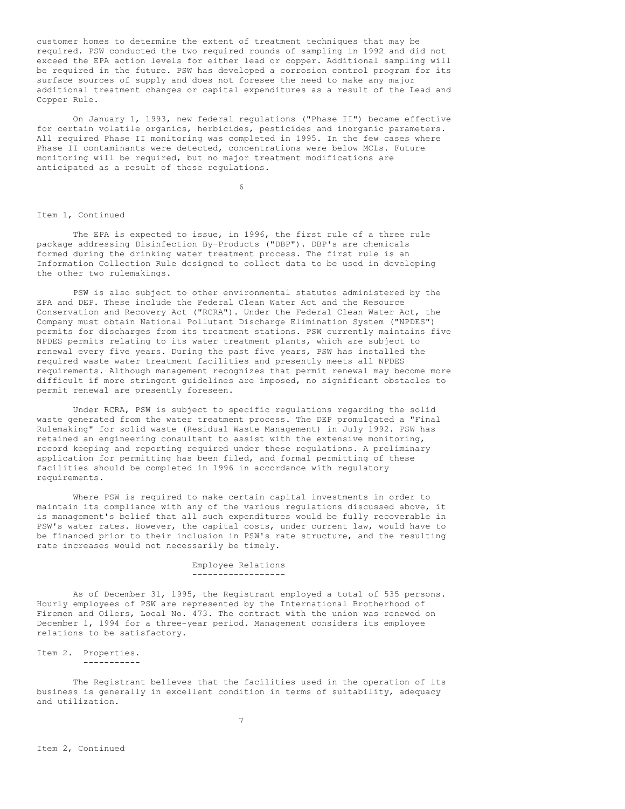customer homes to determine the extent of treatment techniques that may be required. PSW conducted the two required rounds of sampling in 1992 and did not exceed the EPA action levels for either lead or copper. Additional sampling will be required in the future. PSW has developed a corrosion control program for its surface sources of supply and does not foresee the need to make any major additional treatment changes or capital expenditures as a result of the Lead and Copper Rule.

On January 1, 1993, new federal regulations ("Phase II") became effective for certain volatile organics, herbicides, pesticides and inorganic parameters. All required Phase II monitoring was completed in 1995. In the few cases where Phase II contaminants were detected, concentrations were below MCLs. Future monitoring will be required, but no major treatment modifications are anticipated as a result of these regulations.

6

## Item 1, Continued

The EPA is expected to issue, in 1996, the first rule of a three rule package addressing Disinfection By-Products ("DBP"). DBP's are chemicals formed during the drinking water treatment process. The first rule is an Information Collection Rule designed to collect data to be used in developing the other two rulemakings.

PSW is also subject to other environmental statutes administered by the EPA and DEP. These include the Federal Clean Water Act and the Resource Conservation and Recovery Act ("RCRA"). Under the Federal Clean Water Act, the Company must obtain National Pollutant Discharge Elimination System ("NPDES") permits for discharges from its treatment stations. PSW currently maintains five NPDES permits relating to its water treatment plants, which are subject to renewal every five years. During the past five years, PSW has installed the required waste water treatment facilities and presently meets all NPDES requirements. Although management recognizes that permit renewal may become more difficult if more stringent guidelines are imposed, no significant obstacles to permit renewal are presently foreseen.

Under RCRA, PSW is subject to specific regulations regarding the solid waste generated from the water treatment process. The DEP promulgated a "Final Rulemaking" for solid waste (Residual Waste Management) in July 1992. PSW has retained an engineering consultant to assist with the extensive monitoring, record keeping and reporting required under these regulations. A preliminary application for permitting has been filed, and formal permitting of these facilities should be completed in 1996 in accordance with regulatory requirements.

Where PSW is required to make certain capital investments in order to maintain its compliance with any of the various regulations discussed above, it is management's belief that all such expenditures would be fully recoverable in PSW's water rates. However, the capital costs, under current law, would have to be financed prior to their inclusion in PSW's rate structure, and the resulting rate increases would not necessarily be timely.

> Employee Relations ------------------

As of December 31, 1995, the Registrant employed a total of 535 persons. Hourly employees of PSW are represented by the International Brotherhood of Firemen and Oilers, Local No. 473. The contract with the union was renewed on December 1, 1994 for a three-year period. Management considers its employee relations to be satisfactory.

Item 2. Properties. -----------

The Registrant believes that the facilities used in the operation of its business is generally in excellent condition in terms of suitability, adequacy and utilization.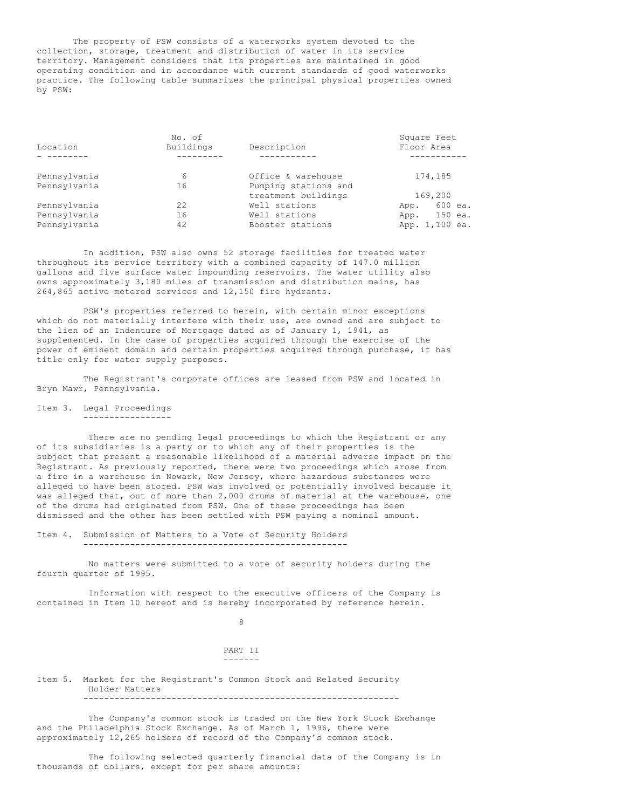The property of PSW consists of a waterworks system devoted to the collection, storage, treatment and distribution of water in its service territory. Management considers that its properties are maintained in good operating condition and in accordance with current standards of good waterworks practice. The following table summarizes the principal physical properties owned by PSW:

|              | No. of    |                      | Square Feet     |
|--------------|-----------|----------------------|-----------------|
| Location     | Buildings | Description          | Floor Area      |
|              |           |                      |                 |
| Pennsylvania | 6         | Office & warehouse   | 174,185         |
| Pennsylvania | 16        | Pumping stations and |                 |
|              |           | treatment buildings  | 169,200         |
| Pennsylvania | 22        | Well stations        | 600 ea.<br>App. |
| Pennsylvania | 16        | Well stations        | 150 ea.<br>App. |
| Pennsylvania | 42        | Booster stations     | App. 1,100 ea.  |

In addition, PSW also owns 52 storage facilities for treated water throughout its service territory with a combined capacity of 147.0 million gallons and five surface water impounding reservoirs. The water utility also owns approximately 3,180 miles of transmission and distribution mains, has 264,865 active metered services and 12,150 fire hydrants.

PSW's properties referred to herein, with certain minor exceptions which do not materially interfere with their use, are owned and are subject to the lien of an Indenture of Mortgage dated as of January 1, 1941, as supplemented. In the case of properties acquired through the exercise of the power of eminent domain and certain properties acquired through purchase, it has title only for water supply purposes.

The Registrant's corporate offices are leased from PSW and located in Bryn Mawr, Pennsylvania.

Item 3. Legal Proceedings -----------------

There are no pending legal proceedings to which the Registrant or any of its subsidiaries is a party or to which any of their properties is the subject that present a reasonable likelihood of a material adverse impact on the Registrant. As previously reported, there were two proceedings which arose from a fire in a warehouse in Newark, New Jersey, where hazardous substances were alleged to have been stored. PSW was involved or potentially involved because it was alleged that, out of more than 2,000 drums of material at the warehouse, one of the drums had originated from PSW. One of these proceedings has been dismissed and the other has been settled with PSW paying a nominal amount.

Item 4. Submission of Matters to a Vote of Security Holders ---------------------------------------------------

No matters were submitted to a vote of security holders during the fourth quarter of 1995.

Information with respect to the executive officers of the Company is contained in Item 10 hereof and is hereby incorporated by reference herein.

8

PART II -------

Item 5. Market for the Registrant's Common Stock and Related Security Holder Matters -------------------------------------------------------------

The Company's common stock is traded on the New York Stock Exchange and the Philadelphia Stock Exchange. As of March 1, 1996, there were approximately 12,265 holders of record of the Company's common stock.

The following selected quarterly financial data of the Company is in thousands of dollars, except for per share amounts: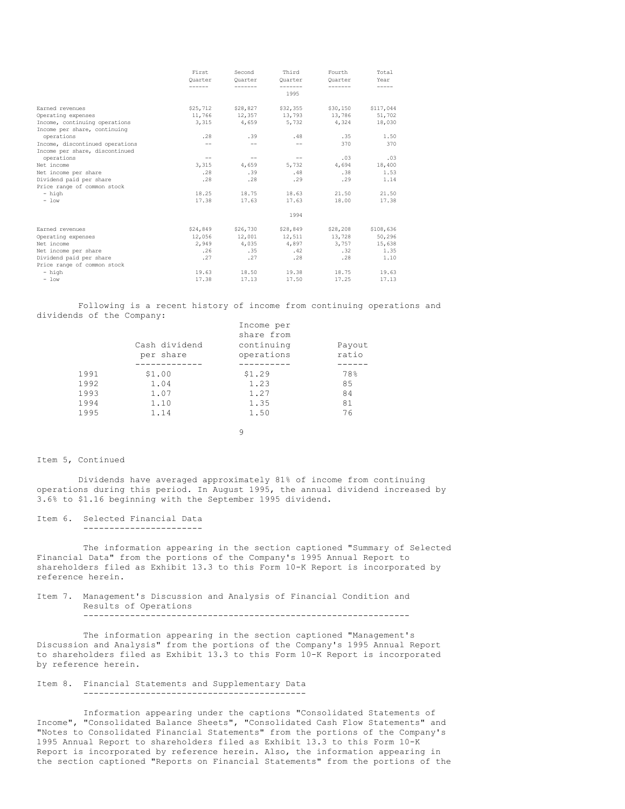|                                 | First    | Second   | Third             | Fourth   | Total     |
|---------------------------------|----------|----------|-------------------|----------|-----------|
|                                 | Ouarter  | Ouarter  | Ouarter           | Ouarter  | Year      |
|                                 |          |          | 1995              |          |           |
| Earned revenues                 | \$25,712 | \$28,827 | \$32,355          | \$30,150 | \$117,044 |
| Operating expenses              | 11,766   |          | 12,357 13,793     | 13,786   | 51,702    |
| Income, continuing operations   | 3,315    | 4,659    | 5,732             | 4,324    | 18,030    |
| Income per share, continuing    |          |          |                   |          |           |
| operations                      | .28      | .39      | .48               | .35      | 1.50      |
| Income, discontinued operations | $-$      |          | $-$               | 370      | 370       |
| Income per share, discontinued  |          |          |                   |          |           |
| operations                      | $-$      | $-\,-$   | $\qquad \qquad -$ | .03      | .03       |
| Net income                      | 3,315    | 4,659    | 5,732             | 4,694    | 18,400    |
| Net income per share            | .28      | .39      | .48               | .38      | 1.53      |
| Dividend paid per share         | .28      | .28      | .29               | .29      | 1.14      |
| Price range of common stock     |          |          |                   |          |           |
| - high                          | 18.25    | 18.75    | 18.63             | 21.50    | 21.50     |
| $-$ low                         | 17.38    | 17.63    | 17.63             | 18.00    | 17.38     |
|                                 |          |          | 1994              |          |           |
| Earned revenues                 | \$24,849 | \$26,730 | \$28,849          | \$28,208 | \$108,636 |
| Operating expenses              | 12,056   | 12,001   | 12,511            | 13,728   | 50,296    |
| Net income                      | 2,949    | 4,035    | 4,897             | 3,757    | 15,638    |
| Net income per share            | .26      | .35      | .42               | .32      | 1.35      |
| Dividend paid per share         | .27      | .27      | .28               | .28      | 1.10      |
| Price range of common stock     |          |          |                   |          |           |
| - high                          | 19.63    | 18.50    | 19.38             | 18.75    | 19.63     |
| $-$ low                         | 17.38    | 17.13    | 17.50             | 17.25    | 17.13     |

Following is a recent history of income from continuing operations and dividends of the Company:

|      | Cash dividend | Income per<br>share from<br>continuing | Payout |
|------|---------------|----------------------------------------|--------|
|      | per share     | operations                             | ratio  |
|      |               |                                        |        |
| 1991 | \$1.00        | \$1.29                                 | 78%    |
| 1992 | 1.04          | 1.23                                   | 85     |
| 1993 | 1.07          | 1.27                                   | 84     |
| 1994 | 1.10          | 1.35                                   | 81     |
| 1995 | 1.14          | 1.50                                   | 76     |
|      |               |                                        |        |

9

## Item 5, Continued

Dividends have averaged approximately 81% of income from continuing operations during this period. In August 1995, the annual dividend increased by 3.6% to \$1.16 beginning with the September 1995 dividend.

Item 6. Selected Financial Data -----------------------

The information appearing in the section captioned "Summary of Selected Financial Data" from the portions of the Company's 1995 Annual Report to shareholders filed as Exhibit 13.3 to this Form 10-K Report is incorporated by reference herein.

#### Item 7. Management's Discussion and Analysis of Financial Condition and Results of Operations ---------------------------------------------------------------

The information appearing in the section captioned "Management's Discussion and Analysis" from the portions of the Company's 1995 Annual Report to shareholders filed as Exhibit 13.3 to this Form 10-K Report is incorporated by reference herein.

#### Item 8. Financial Statements and Supplementary Data -------------------------------------------

Information appearing under the captions "Consolidated Statements of Income", "Consolidated Balance Sheets", "Consolidated Cash Flow Statements" and "Notes to Consolidated Financial Statements" from the portions of the Company's 1995 Annual Report to shareholders filed as Exhibit 13.3 to this Form 10-K Report is incorporated by reference herein. Also, the information appearing in the section captioned "Reports on Financial Statements" from the portions of the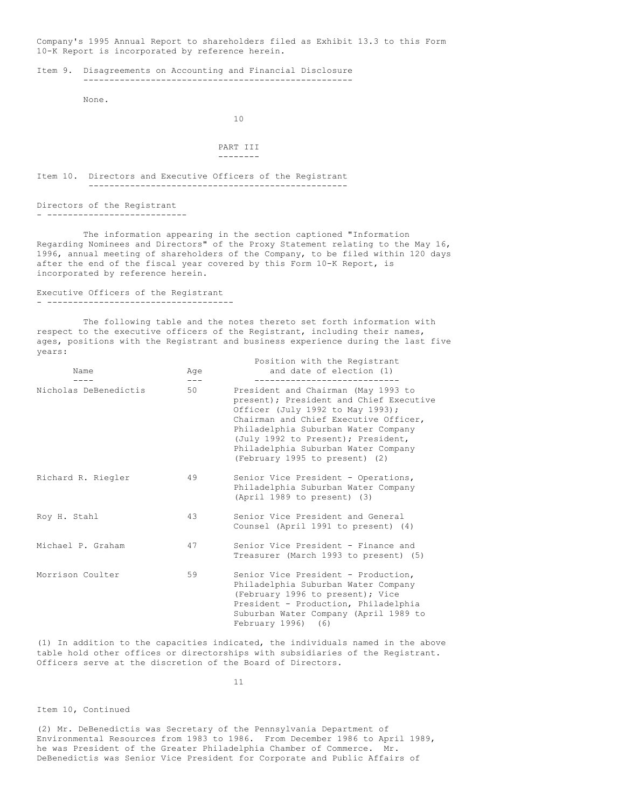Company's 1995 Annual Report to shareholders filed as Exhibit 13.3 to this Form 10-K Report is incorporated by reference herein.

Item 9. Disagreements on Accounting and Financial Disclosure ----------------------------------------------------

None.

10

```
PART III
--------
```
Item 10. Directors and Executive Officers of the Registrant --------------------------------------------------

Directors of the Registrant - ---------------------------

The information appearing in the section captioned "Information Regarding Nominees and Directors" of the Proxy Statement relating to the May 16, 1996, annual meeting of shareholders of the Company, to be filed within 120 days after the end of the fiscal year covered by this Form 10-K Report, is incorporated by reference herein.

Executive Officers of the Registrant - ------------------------------------

The following table and the notes thereto set forth information with respect to the executive officers of the Registrant, including their names, ages, positions with the Registrant and business experience during the last five years:

Position with the Registrant

| Name                  | Age<br>--- | TOSICION WICH CHE REGISCIANC<br>and date of election (1)                                                                                                                                                                                                                                                          |
|-----------------------|------------|-------------------------------------------------------------------------------------------------------------------------------------------------------------------------------------------------------------------------------------------------------------------------------------------------------------------|
| Nicholas DeBenedictis | 50         | President and Chairman (May 1993 to<br>present); President and Chief Executive<br>Officer (July 1992 to May 1993);<br>Chairman and Chief Executive Officer,<br>Philadelphia Suburban Water Company<br>(July 1992 to Present); President,<br>Philadelphia Suburban Water Company<br>(February 1995 to present) (2) |
| Richard R. Riegler    | 49         | Senior Vice President - Operations,<br>Philadelphia Suburban Water Company<br>(April 1989 to present) (3)                                                                                                                                                                                                         |
| Roy H. Stahl          | 43         | Senior Vice President and General<br>Counsel (April 1991 to present) (4)                                                                                                                                                                                                                                          |
| Michael P. Graham     | 47         | Senior Vice President - Finance and<br>Treasurer (March 1993 to present) (5)                                                                                                                                                                                                                                      |
| Morrison Coulter      | 59         | Senior Vice President - Production,<br>Philadelphia Suburban Water Company<br>(February 1996 to present); Vice<br>President - Production, Philadelphia<br>Suburban Water Company (April 1989 to<br>February 1996) (6)                                                                                             |

(1) In addition to the capacities indicated, the individuals named in the above table hold other offices or directorships with subsidiaries of the Registrant. Officers serve at the discretion of the Board of Directors.

11

# Item 10, Continued

(2) Mr. DeBenedictis was Secretary of the Pennsylvania Department of Environmental Resources from 1983 to 1986. From December 1986 to April 1989, he was President of the Greater Philadelphia Chamber of Commerce. Mr. DeBenedictis was Senior Vice President for Corporate and Public Affairs of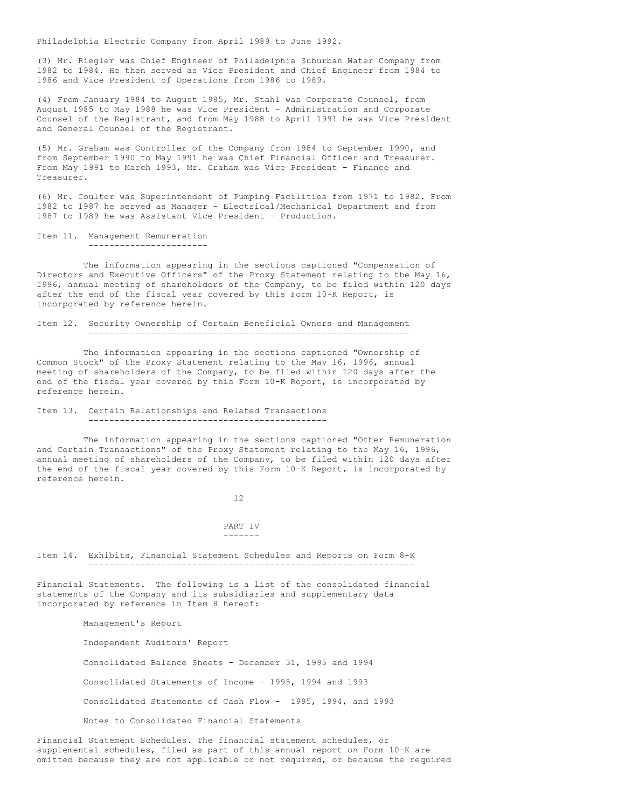Philadelphia Electric Company from April 1989 to June 1992.

(3) Mr. Riegler was Chief Engineer of Philadelphia Suburban Water Company from 1982 to 1984. He then served as Vice President and Chief Engineer from 1984 to 1986 and Vice President of Operations from 1986 to 1989.

(4) From January 1984 to August 1985, Mr. Stahl was Corporate Counsel, from August 1985 to May 1988 he was Vice President - Administration and Corporate Counsel of the Registrant, and from May 1988 to April 1991 he was Vice President and General Counsel of the Registrant.

(5) Mr. Graham was Controller of the Company from 1984 to September 1990, and from September 1990 to May 1991 he was Chief Financial Officer and Treasurer. From May 1991 to March 1993, Mr. Graham was Vice President - Finance and Treasurer.

(6) Mr. Coulter was Superintendent of Pumping Facilities from 1971 to 1982. From 1982 to 1987 he served as Manager - Electrical/Mechanical Department and from 1987 to 1989 he was Assistant Vice President - Production.

```
Item 11. Management Remuneration
          -----------------------
```
The information appearing in the sections captioned "Compensation of Directors and Executive Officers" of the Proxy Statement relating to the May 16, 1996, annual meeting of shareholders of the Company, to be filed within 120 days after the end of the fiscal year covered by this Form 10-K Report, is incorporated by reference herein.

Item 12. Security Ownership of Certain Beneficial Owners and Management --------------------------------------------------------------

The information appearing in the sections captioned "Ownership of Common Stock" of the Proxy Statement relating to the May 16, 1996, annual meeting of shareholders of the Company, to be filed within 120 days after the end of the fiscal year covered by this Form 10-K Report, is incorporated by reference herein.

#### Item 13. Certain Relationships and Related Transactions ----------------------------------------------

The information appearing in the sections captioned "Other Remuneration and Certain Transactions" of the Proxy Statement relating to the May 16, 1996, annual meeting of shareholders of the Company, to be filed within 120 days after the end of the fiscal year covered by this Form 10-K Report, is incorporated by reference herein.

#### 12

#### PART IV -------

Item 14. Exhibits, Financial Statement Schedules and Reports on Form 8-K ---------------------------------------------------------------

Financial Statements. The following is a list of the consolidated financial statements of the Company and its subsidiaries and supplementary data incorporated by reference in Item 8 hereof:

Management's Report

Independent Auditors' Report

Consolidated Balance Sheets - December 31, 1995 and 1994

Consolidated Statements of Income - 1995, 1994 and 1993

Consolidated Statements of Cash Flow - 1995, 1994, and 1993

Notes to Consolidated Financial Statements

Financial Statement Schedules. The financial statement schedules, or supplemental schedules, filed as part of this annual report on Form 10-K are omitted because they are not applicable or not required, or because the required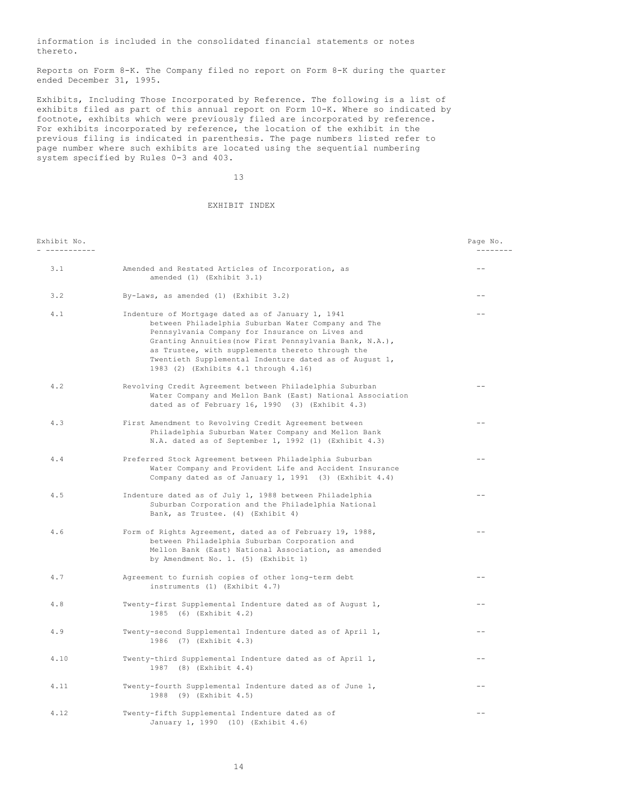information is included in the consolidated financial statements or notes thereto.

Reports on Form 8-K. The Company filed no report on Form 8-K during the quarter ended December 31, 1995.

Exhibits, Including Those Incorporated by Reference. The following is a list of exhibits filed as part of this annual report on Form 10-K. Where so indicated by footnote, exhibits which were previously filed are incorporated by reference. For exhibits incorporated by reference, the location of the exhibit in the previous filing is indicated in parenthesis. The page numbers listed refer to page number where such exhibits are located using the sequential numbering system specified by Rules 0-3 and 403.

13

# EXHIBIT INDEX

| Exhibit No. |                                                                                                                                                                                                                                                                                                                                                                              | Page No.<br>--------- |
|-------------|------------------------------------------------------------------------------------------------------------------------------------------------------------------------------------------------------------------------------------------------------------------------------------------------------------------------------------------------------------------------------|-----------------------|
| 3.1         | Amended and Restated Articles of Incorporation, as<br>amended (1) (Exhibit 3.1)                                                                                                                                                                                                                                                                                              | --                    |
| 3.2         | By-Laws, as amended (1) (Exhibit 3.2)                                                                                                                                                                                                                                                                                                                                        | $ -$                  |
| 4.1         | Indenture of Mortgage dated as of January 1, 1941<br>between Philadelphia Suburban Water Company and The<br>Pennsylvania Company for Insurance on Lives and<br>Granting Annuities (now First Pennsylvania Bank, N.A.),<br>as Trustee, with supplements thereto through the<br>Twentieth Supplemental Indenture dated as of August 1,<br>1983 (2) (Exhibits 4.1 through 4.16) | $-$                   |
| 4.2         | Revolving Credit Agreement between Philadelphia Suburban<br>Water Company and Mellon Bank (East) National Association<br>dated as of February 16, 1990 (3) (Exhibit 4.3)                                                                                                                                                                                                     | $-$                   |
| 4.3         | First Amendment to Revolving Credit Agreement between<br>Philadelphia Suburban Water Company and Mellon Bank<br>N.A. dated as of September 1, 1992 (1) (Exhibit 4.3)                                                                                                                                                                                                         | $ -$                  |
| 4.4         | Preferred Stock Agreement between Philadelphia Suburban<br>Water Company and Provident Life and Accident Insurance<br>Company dated as of January 1, 1991 (3) (Exhibit 4.4)                                                                                                                                                                                                  |                       |
| 4.5         | Indenture dated as of July 1, 1988 between Philadelphia<br>Suburban Corporation and the Philadelphia National<br>Bank, as Trustee. (4) (Exhibit 4)                                                                                                                                                                                                                           | $=$ $-$               |
| 4.6         | Form of Rights Agreement, dated as of February 19, 1988,<br>between Philadelphia Suburban Corporation and<br>Mellon Bank (East) National Association, as amended<br>by Amendment No. 1. (5) (Exhibit 1)                                                                                                                                                                      | $\qquad \qquad -$     |
| 4.7         | Agreement to furnish copies of other long-term debt<br>instruments (1) (Exhibit 4.7)                                                                                                                                                                                                                                                                                         |                       |
| 4.8         | Twenty-first Supplemental Indenture dated as of August 1,<br>1985 (6) (Exhibit 4.2)                                                                                                                                                                                                                                                                                          |                       |
| 4.9         | Twenty-second Supplemental Indenture dated as of April 1,<br>1986 (7) (Exhibit 4.3)                                                                                                                                                                                                                                                                                          | $- -$                 |
| 4.10        | Twenty-third Supplemental Indenture dated as of April 1,<br>1987 (8) (Exhibit 4.4)                                                                                                                                                                                                                                                                                           | $- -$                 |
| 4.11        | Twenty-fourth Supplemental Indenture dated as of June 1,<br>1988 (9) (Exhibit 4.5)                                                                                                                                                                                                                                                                                           | $- -$                 |
| 4.12        | Twenty-fifth Supplemental Indenture dated as of<br>January 1, 1990 (10) (Exhibit 4.6)                                                                                                                                                                                                                                                                                        | $- -$                 |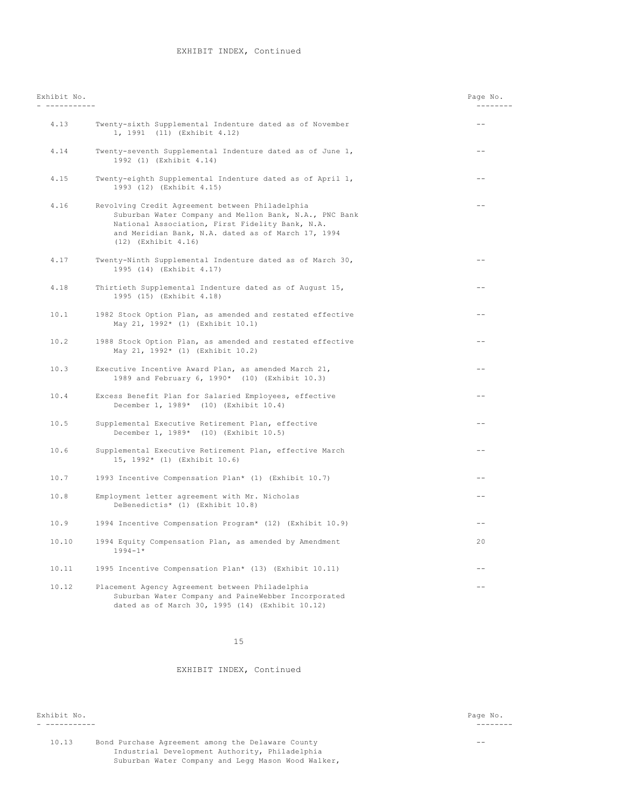| Exhibit No.<br>___________ |                                                                                                                                                                                                                                                | Page No.<br>--------- |
|----------------------------|------------------------------------------------------------------------------------------------------------------------------------------------------------------------------------------------------------------------------------------------|-----------------------|
| 4.13                       | Twenty-sixth Supplemental Indenture dated as of November<br>1, 1991 (11) (Exhibit 4.12)                                                                                                                                                        | $- -$                 |
| 4.14                       | Twenty-seventh Supplemental Indenture dated as of June 1,<br>1992 (1) (Exhibit 4.14)                                                                                                                                                           | $ -$                  |
| 4.15                       | Twenty-eighth Supplemental Indenture dated as of April 1,<br>1993 (12) (Exhibit 4.15)                                                                                                                                                          | $=$ $-$               |
| 4.16                       | Revolving Credit Agreement between Philadelphia<br>Suburban Water Company and Mellon Bank, N.A., PNC Bank<br>National Association, First Fidelity Bank, N.A.<br>and Meridian Bank, N.A. dated as of March 17, 1994<br>$(12)$ (Exhibit $4.16$ ) | $-$                   |
| 4.17                       | Twenty-Ninth Supplemental Indenture dated as of March 30,<br>1995 (14) (Exhibit 4.17)                                                                                                                                                          |                       |
| 4.18                       | Thirtieth Supplemental Indenture dated as of August 15,<br>1995 (15) (Exhibit 4.18)                                                                                                                                                            | $-$                   |
| 10.1                       | 1982 Stock Option Plan, as amended and restated effective<br>May 21, 1992* (1) (Exhibit 10.1)                                                                                                                                                  | --                    |
| 10.2                       | 1988 Stock Option Plan, as amended and restated effective<br>May 21, 1992* (1) (Exhibit 10.2)                                                                                                                                                  | $- -$                 |
| 10.3                       | Executive Incentive Award Plan, as amended March 21,<br>1989 and February 6, 1990* (10) (Exhibit 10.3)                                                                                                                                         | $ -$                  |
| 10.4                       | Excess Benefit Plan for Salaried Employees, effective<br>December 1, 1989* (10) (Exhibit 10.4)                                                                                                                                                 | $ -$                  |
| 10.5                       | Supplemental Executive Retirement Plan, effective<br>December 1, 1989* (10) (Exhibit 10.5)                                                                                                                                                     | --                    |
| 10.6                       | Supplemental Executive Retirement Plan, effective March<br>15, 1992* (1) (Exhibit 10.6)                                                                                                                                                        |                       |
| 10.7                       | 1993 Incentive Compensation Plan* (1) (Exhibit 10.7)                                                                                                                                                                                           |                       |
| 10.8                       | Employment letter agreement with Mr. Nicholas<br>DeBenedictis* (1) (Exhibit 10.8)                                                                                                                                                              | --                    |
| 10.9                       | 1994 Incentive Compensation Program* (12) (Exhibit 10.9)                                                                                                                                                                                       | $- -$                 |
| 10.10                      | 1994 Equity Compensation Plan, as amended by Amendment<br>$1994 - 1*$                                                                                                                                                                          | 20                    |
| 10.11                      | 1995 Incentive Compensation Plan* (13) (Exhibit 10.11)                                                                                                                                                                                         | $-$                   |
| 10.12                      | Placement Agency Agreement between Philadelphia<br>Suburban Water Company and PaineWebber Incorporated<br>dated as of March 30, 1995 (14) (Exhibit 10.12)                                                                                      |                       |

15

# EXHIBIT INDEX, Continued

Exhibit No. Page No.

- ----------- --------

10.13 Bond Purchase Agreement among the Delaware County -- Industrial Development Authority, Philadelphia Suburban Water Company and Legg Mason Wood Walker,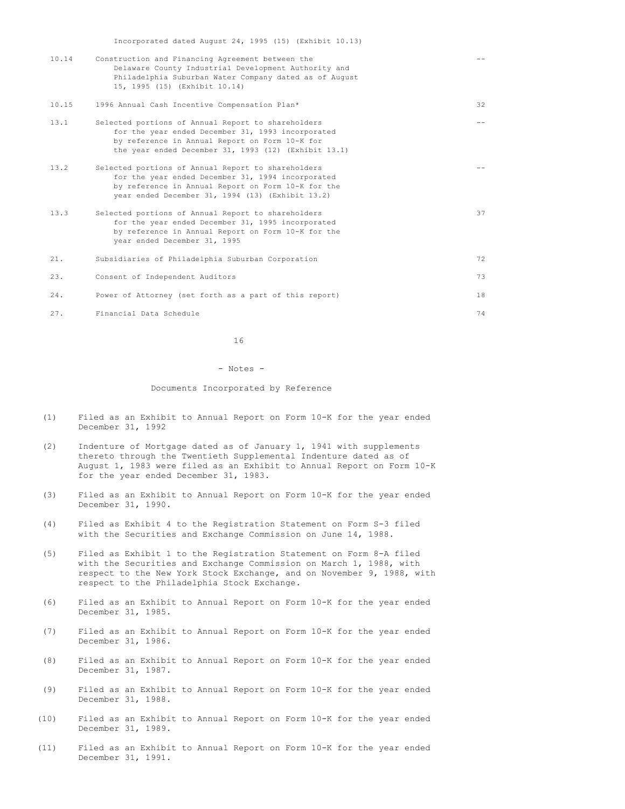| 10.14 | Construction and Financing Agreement between the<br>Delaware County Industrial Development Authority and<br>Philadelphia Suburban Water Company dated as of August<br>15, 1995 (15) (Exhibit 10.14)               |    |
|-------|-------------------------------------------------------------------------------------------------------------------------------------------------------------------------------------------------------------------|----|
| 10.15 | 1996 Annual Cash Incentive Compensation Plan*                                                                                                                                                                     | 32 |
| 13.1  | Selected portions of Annual Report to shareholders<br>for the year ended December 31, 1993 incorporated<br>by reference in Annual Report on Form 10-K for<br>the year ended December 31, 1993 (12) (Exhibit 13.1) |    |
| 13.2  | Selected portions of Annual Report to shareholders<br>for the year ended December 31, 1994 incorporated<br>by reference in Annual Report on Form 10-K for the<br>year ended December 31, 1994 (13) (Exhibit 13.2) |    |
| 13.3  | Selected portions of Annual Report to shareholders<br>for the year ended December 31, 1995 incorporated<br>by reference in Annual Report on Form 10-K for the<br>year ended December 31, 1995                     | 37 |
| 21.   | Subsidiaries of Philadelphia Suburban Corporation                                                                                                                                                                 | 72 |
| 23.   | Consent of Independent Auditors                                                                                                                                                                                   | 73 |
| 24.   | Power of Attorney (set forth as a part of this report)                                                                                                                                                            | 18 |
| 27.   | Financial Data Schedule                                                                                                                                                                                           | 74 |

16

#### - Notes -

## Documents Incorporated by Reference

- (1) Filed as an Exhibit to Annual Report on Form 10-K for the year ended December 31, 1992
- (2) Indenture of Mortgage dated as of January 1, 1941 with supplements thereto through the Twentieth Supplemental Indenture dated as of August 1, 1983 were filed as an Exhibit to Annual Report on Form 10-K for the year ended December 31, 1983.
- (3) Filed as an Exhibit to Annual Report on Form 10-K for the year ended December 31, 1990.
- (4) Filed as Exhibit 4 to the Registration Statement on Form S-3 filed with the Securities and Exchange Commission on June 14, 1988.
- (5) Filed as Exhibit 1 to the Registration Statement on Form 8-A filed with the Securities and Exchange Commission on March 1, 1988, with respect to the New York Stock Exchange, and on November 9, 1988, with respect to the Philadelphia Stock Exchange.
- (6) Filed as an Exhibit to Annual Report on Form 10-K for the year ended December 31, 1985.
- (7) Filed as an Exhibit to Annual Report on Form 10-K for the year ended December 31, 1986.
- (8) Filed as an Exhibit to Annual Report on Form 10-K for the year ended December 31, 1987.
- (9) Filed as an Exhibit to Annual Report on Form 10-K for the year ended December 31, 1988.
- (10) Filed as an Exhibit to Annual Report on Form 10-K for the year ended December 31, 1989.
- (11) Filed as an Exhibit to Annual Report on Form 10-K for the year ended December 31, 1991.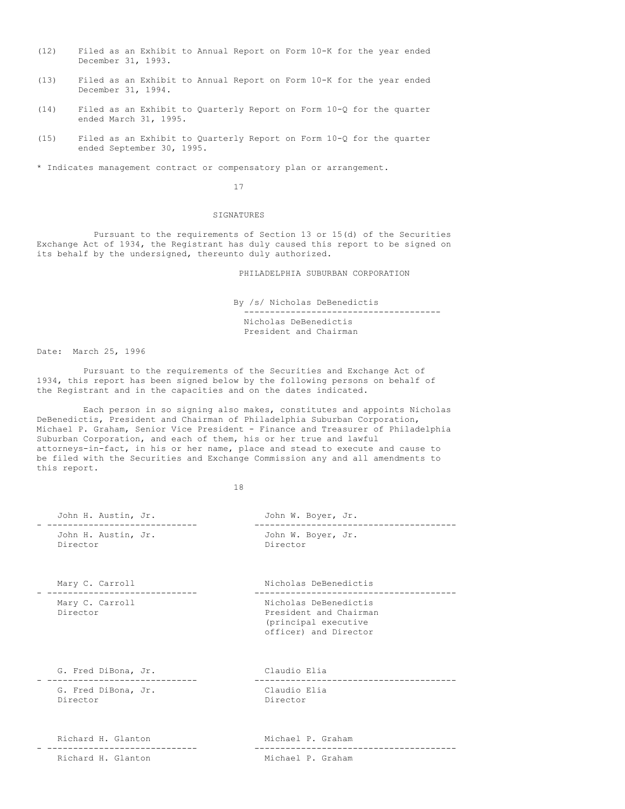- (12) Filed as an Exhibit to Annual Report on Form 10-K for the year ended December 31, 1993.
- (13) Filed as an Exhibit to Annual Report on Form 10-K for the year ended December 31, 1994.
- (14) Filed as an Exhibit to Quarterly Report on Form 10-Q for the quarter ended March 31, 1995.
- (15) Filed as an Exhibit to Quarterly Report on Form 10-Q for the quarter ended September 30, 1995.

\* Indicates management contract or compensatory plan or arrangement.

# 17

# SIGNATURES

Pursuant to the requirements of Section 13 or 15(d) of the Securities Exchange Act of 1934, the Registrant has duly caused this report to be signed on its behalf by the undersigned, thereunto duly authorized.

PHILADELPHIA SUBURBAN CORPORATION

By /s/ Nicholas DeBenedictis

-------------------------------------- Nicholas DeBenedictis President and Chairman

Date: March 25, 1996

Pursuant to the requirements of the Securities and Exchange Act of 1934, this report has been signed below by the following persons on behalf of the Registrant and in the capacities and on the dates indicated.

Each person in so signing also makes, constitutes and appoints Nicholas DeBenedictis, President and Chairman of Philadelphia Suburban Corporation, Michael P. Graham, Senior Vice President - Finance and Treasurer of Philadelphia Suburban Corporation, and each of them, his or her true and lawful attorneys-in-fact, in his or her name, place and stead to execute and cause to be filed with the Securities and Exchange Commission any and all amendments to this report.

18

| John H. Austin, Jr.             | John W. Boyer, Jr.                                                                               |
|---------------------------------|--------------------------------------------------------------------------------------------------|
| John H. Austin, Jr.<br>Director | John W. Boyer, Jr.<br>Director                                                                   |
| Mary C. Carroll                 | Nicholas DeBenedictis                                                                            |
| Mary C. Carroll<br>Director     | Nicholas DeBenedictis<br>President and Chairman<br>(principal executive<br>officer) and Director |
| G. Fred DiBona, Jr.             | Claudio Elia<br>---------------------                                                            |
| G. Fred DiBona, Jr.<br>Director | Claudio Elia<br>Director                                                                         |
| Richard H. Glanton              | Michael P. Graham<br>----------------------                                                      |
| Richard H. Glanton              | Michael P. Graham                                                                                |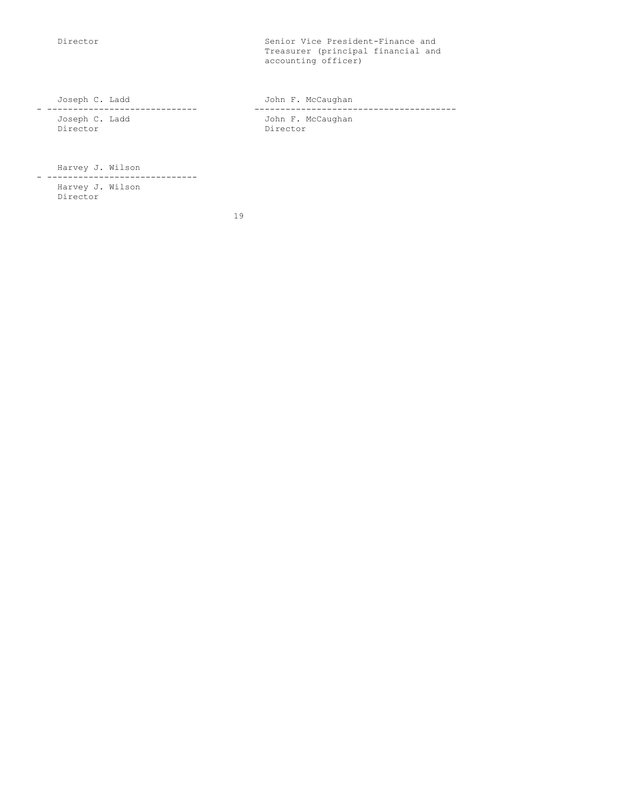Director Senior Vice President-Finance and Treasurer (principal financial and accounting officer)

Joseph C. Ladd John F. McCaughan - ----------------------------- --------------------------------------- Joseph C. Ladd and Tohn F. McCaughan Director Director

Harvey J. Wilson

- ----------------------------- Harvey J. Wilson Director

19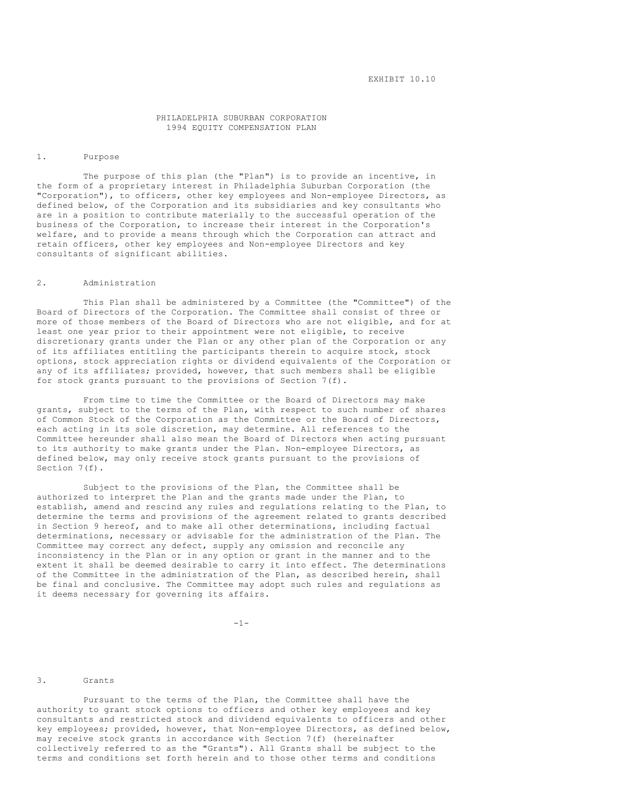# PHILADELPHIA SUBURBAN CORPORATION 1994 EQUITY COMPENSATION PLAN

# 1. Purpose

The purpose of this plan (the "Plan") is to provide an incentive, in the form of a proprietary interest in Philadelphia Suburban Corporation (the "Corporation"), to officers, other key employees and Non-employee Directors, as defined below, of the Corporation and its subsidiaries and key consultants who are in a position to contribute materially to the successful operation of the business of the Corporation, to increase their interest in the Corporation's welfare, and to provide a means through which the Corporation can attract and retain officers, other key employees and Non-employee Directors and key consultants of significant abilities.

### 2. Administration

This Plan shall be administered by a Committee (the "Committee") of the Board of Directors of the Corporation. The Committee shall consist of three or more of those members of the Board of Directors who are not eligible, and for at least one year prior to their appointment were not eligible, to receive discretionary grants under the Plan or any other plan of the Corporation or any of its affiliates entitling the participants therein to acquire stock, stock options, stock appreciation rights or dividend equivalents of the Corporation or any of its affiliates; provided, however, that such members shall be eligible for stock grants pursuant to the provisions of Section 7(f).

From time to time the Committee or the Board of Directors may make grants, subject to the terms of the Plan, with respect to such number of shares of Common Stock of the Corporation as the Committee or the Board of Directors, each acting in its sole discretion, may determine. All references to the Committee hereunder shall also mean the Board of Directors when acting pursuant to its authority to make grants under the Plan. Non-employee Directors, as defined below, may only receive stock grants pursuant to the provisions of Section 7(f).

Subject to the provisions of the Plan, the Committee shall be authorized to interpret the Plan and the grants made under the Plan, to establish, amend and rescind any rules and regulations relating to the Plan, to determine the terms and provisions of the agreement related to grants described in Section 9 hereof, and to make all other determinations, including factual determinations, necessary or advisable for the administration of the Plan. The Committee may correct any defect, supply any omission and reconcile any inconsistency in the Plan or in any option or grant in the manner and to the extent it shall be deemed desirable to carry it into effect. The determinations of the Committee in the administration of the Plan, as described herein, shall be final and conclusive. The Committee may adopt such rules and regulations as it deems necessary for governing its affairs.

 $-1-$ 

### 3. Grants

Pursuant to the terms of the Plan, the Committee shall have the authority to grant stock options to officers and other key employees and key consultants and restricted stock and dividend equivalents to officers and other key employees; provided, however, that Non-employee Directors, as defined below, may receive stock grants in accordance with Section  $7(f)$  (hereinafter collectively referred to as the "Grants"). All Grants shall be subject to the terms and conditions set forth herein and to those other terms and conditions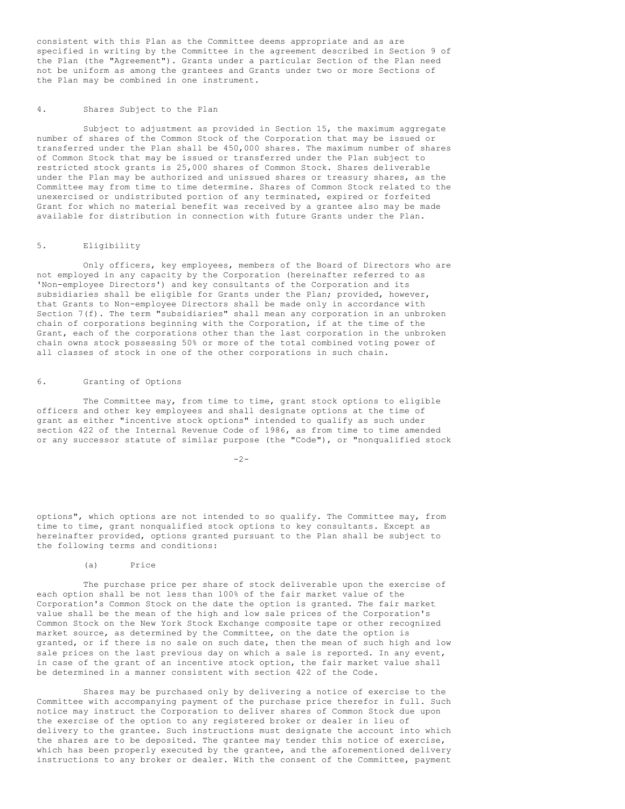consistent with this Plan as the Committee deems appropriate and as are specified in writing by the Committee in the agreement described in Section 9 of the Plan (the "Agreement"). Grants under a particular Section of the Plan need not be uniform as among the grantees and Grants under two or more Sections of the Plan may be combined in one instrument.

#### 4. Shares Subject to the Plan

Subject to adjustment as provided in Section 15, the maximum aggregate number of shares of the Common Stock of the Corporation that may be issued or transferred under the Plan shall be 450,000 shares. The maximum number of shares of Common Stock that may be issued or transferred under the Plan subject to restricted stock grants is 25,000 shares of Common Stock. Shares deliverable under the Plan may be authorized and unissued shares or treasury shares, as the Committee may from time to time determine. Shares of Common Stock related to the unexercised or undistributed portion of any terminated, expired or forfeited Grant for which no material benefit was received by a grantee also may be made available for distribution in connection with future Grants under the Plan.

# 5. Eligibility

Only officers, key employees, members of the Board of Directors who are not employed in any capacity by the Corporation (hereinafter referred to as 'Non-employee Directors') and key consultants of the Corporation and its subsidiaries shall be eligible for Grants under the Plan; provided, however, that Grants to Non-employee Directors shall be made only in accordance with Section 7(f). The term "subsidiaries" shall mean any corporation in an unbroken chain of corporations beginning with the Corporation, if at the time of the Grant, each of the corporations other than the last corporation in the unbroken chain owns stock possessing 50% or more of the total combined voting power of all classes of stock in one of the other corporations in such chain.

## 6. Granting of Options

The Committee may, from time to time, grant stock options to eligible officers and other key employees and shall designate options at the time of grant as either "incentive stock options" intended to qualify as such under section 422 of the Internal Revenue Code of 1986, as from time to time amended or any successor statute of similar purpose (the "Code"), or "nonqualified stock

 $-2-$ 

options", which options are not intended to so qualify. The Committee may, from time to time, grant nonqualified stock options to key consultants. Except as hereinafter provided, options granted pursuant to the Plan shall be subject to the following terms and conditions:

# (a) Price

The purchase price per share of stock deliverable upon the exercise of each option shall be not less than 100% of the fair market value of the Corporation's Common Stock on the date the option is granted. The fair market value shall be the mean of the high and low sale prices of the Corporation's Common Stock on the New York Stock Exchange composite tape or other recognized market source, as determined by the Committee, on the date the option is granted, or if there is no sale on such date, then the mean of such high and low sale prices on the last previous day on which a sale is reported. In any event, in case of the grant of an incentive stock option, the fair market value shall be determined in a manner consistent with section 422 of the Code.

Shares may be purchased only by delivering a notice of exercise to the Committee with accompanying payment of the purchase price therefor in full. Such notice may instruct the Corporation to deliver shares of Common Stock due upon the exercise of the option to any registered broker or dealer in lieu of delivery to the grantee. Such instructions must designate the account into which the shares are to be deposited. The grantee may tender this notice of exercise, which has been properly executed by the grantee, and the aforementioned delivery instructions to any broker or dealer. With the consent of the Committee, payment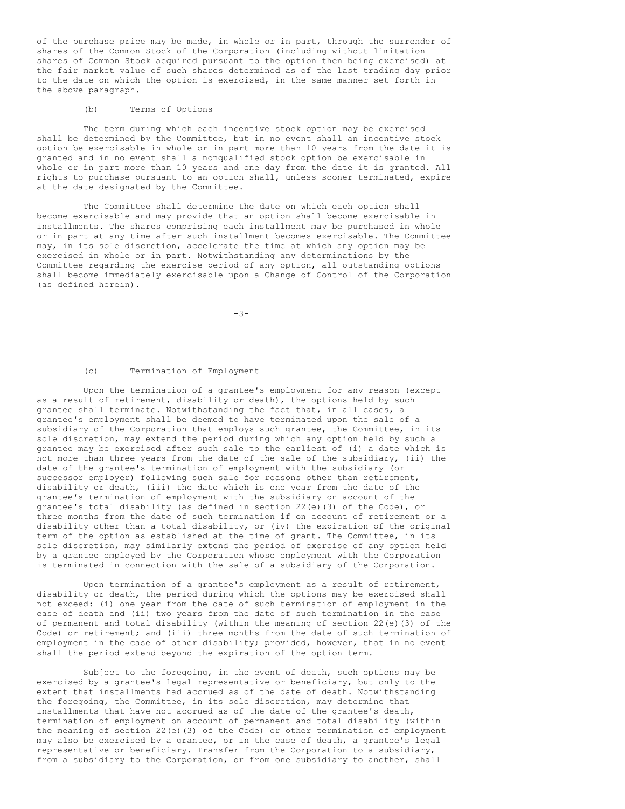of the purchase price may be made, in whole or in part, through the surrender of shares of the Common Stock of the Corporation (including without limitation shares of Common Stock acquired pursuant to the option then being exercised) at the fair market value of such shares determined as of the last trading day prior to the date on which the option is exercised, in the same manner set forth in the above paragraph.

# (b) Terms of Options

The term during which each incentive stock option may be exercised shall be determined by the Committee, but in no event shall an incentive stock option be exercisable in whole or in part more than 10 years from the date it is granted and in no event shall a nonqualified stock option be exercisable in whole or in part more than 10 years and one day from the date it is granted. All rights to purchase pursuant to an option shall, unless sooner terminated, expire at the date designated by the Committee.

The Committee shall determine the date on which each option shall become exercisable and may provide that an option shall become exercisable in installments. The shares comprising each installment may be purchased in whole or in part at any time after such installment becomes exercisable. The Committee may, in its sole discretion, accelerate the time at which any option may be exercised in whole or in part. Notwithstanding any determinations by the Committee regarding the exercise period of any option, all outstanding options shall become immediately exercisable upon a Change of Control of the Corporation (as defined herein).

-3-

# (c) Termination of Employment

Upon the termination of a grantee's employment for any reason (except as a result of retirement, disability or death), the options held by such grantee shall terminate. Notwithstanding the fact that, in all cases, a grantee's employment shall be deemed to have terminated upon the sale of a subsidiary of the Corporation that employs such grantee, the Committee, in its sole discretion, may extend the period during which any option held by such a grantee may be exercised after such sale to the earliest of (i) a date which is not more than three years from the date of the sale of the subsidiary, (ii) the date of the grantee's termination of employment with the subsidiary (or successor employer) following such sale for reasons other than retirement, disability or death, (iii) the date which is one year from the date of the grantee's termination of employment with the subsidiary on account of the grantee's total disability (as defined in section 22(e)(3) of the Code), or three months from the date of such termination if on account of retirement or a disability other than a total disability, or (iv) the expiration of the original term of the option as established at the time of grant. The Committee, in its sole discretion, may similarly extend the period of exercise of any option held by a grantee employed by the Corporation whose employment with the Corporation is terminated in connection with the sale of a subsidiary of the Corporation.

Upon termination of a grantee's employment as a result of retirement, disability or death, the period during which the options may be exercised shall not exceed: (i) one year from the date of such termination of employment in the case of death and (ii) two years from the date of such termination in the case of permanent and total disability (within the meaning of section 22(e)(3) of the Code) or retirement; and (iii) three months from the date of such termination of employment in the case of other disability; provided, however, that in no event shall the period extend beyond the expiration of the option term.

Subject to the foregoing, in the event of death, such options may be exercised by a grantee's legal representative or beneficiary, but only to the extent that installments had accrued as of the date of death. Notwithstanding the foregoing, the Committee, in its sole discretion, may determine that installments that have not accrued as of the date of the grantee's death, termination of employment on account of permanent and total disability (within the meaning of section 22(e)(3) of the Code) or other termination of employment may also be exercised by a grantee, or in the case of death, a grantee's legal representative or beneficiary. Transfer from the Corporation to a subsidiary, from a subsidiary to the Corporation, or from one subsidiary to another, shall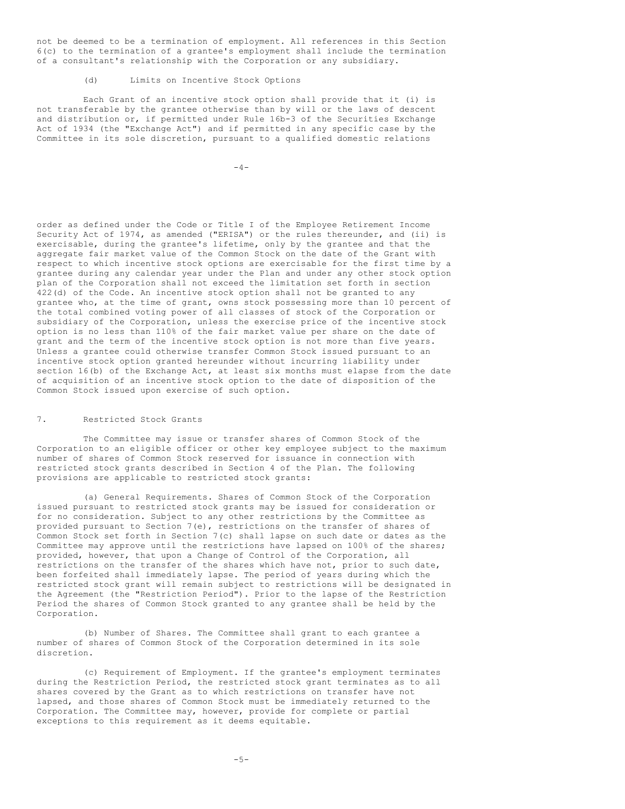not be deemed to be a termination of employment. All references in this Section 6(c) to the termination of a grantee's employment shall include the termination of a consultant's relationship with the Corporation or any subsidiary.

### (d) Limits on Incentive Stock Options

Each Grant of an incentive stock option shall provide that it (i) is not transferable by the grantee otherwise than by will or the laws of descent and distribution or, if permitted under Rule 16b-3 of the Securities Exchange Act of 1934 (the "Exchange Act") and if permitted in any specific case by the Committee in its sole discretion, pursuant to a qualified domestic relations

 $-4-$ 

order as defined under the Code or Title I of the Employee Retirement Income Security Act of 1974, as amended ("ERISA") or the rules thereunder, and (ii) is exercisable, during the grantee's lifetime, only by the grantee and that the aggregate fair market value of the Common Stock on the date of the Grant with respect to which incentive stock options are exercisable for the first time by a grantee during any calendar year under the Plan and under any other stock option plan of the Corporation shall not exceed the limitation set forth in section 422(d) of the Code. An incentive stock option shall not be granted to any grantee who, at the time of grant, owns stock possessing more than 10 percent of the total combined voting power of all classes of stock of the Corporation or subsidiary of the Corporation, unless the exercise price of the incentive stock option is no less than 110% of the fair market value per share on the date of grant and the term of the incentive stock option is not more than five years. Unless a grantee could otherwise transfer Common Stock issued pursuant to an incentive stock option granted hereunder without incurring liability under section 16(b) of the Exchange Act, at least six months must elapse from the date of acquisition of an incentive stock option to the date of disposition of the Common Stock issued upon exercise of such option.

# 7. Restricted Stock Grants

The Committee may issue or transfer shares of Common Stock of the Corporation to an eligible officer or other key employee subject to the maximum number of shares of Common Stock reserved for issuance in connection with restricted stock grants described in Section 4 of the Plan. The following provisions are applicable to restricted stock grants:

(a) General Requirements. Shares of Common Stock of the Corporation issued pursuant to restricted stock grants may be issued for consideration or for no consideration. Subject to any other restrictions by the Committee as provided pursuant to Section 7(e), restrictions on the transfer of shares of Common Stock set forth in Section 7(c) shall lapse on such date or dates as the Committee may approve until the restrictions have lapsed on 100% of the shares; provided, however, that upon a Change of Control of the Corporation, all restrictions on the transfer of the shares which have not, prior to such date, been forfeited shall immediately lapse. The period of years during which the restricted stock grant will remain subject to restrictions will be designated in the Agreement (the "Restriction Period"). Prior to the lapse of the Restriction Period the shares of Common Stock granted to any grantee shall be held by the Corporation.

(b) Number of Shares. The Committee shall grant to each grantee a number of shares of Common Stock of the Corporation determined in its sole discretion.

(c) Requirement of Employment. If the grantee's employment terminates during the Restriction Period, the restricted stock grant terminates as to all shares covered by the Grant as to which restrictions on transfer have not lapsed, and those shares of Common Stock must be immediately returned to the Corporation. The Committee may, however, provide for complete or partial exceptions to this requirement as it deems equitable.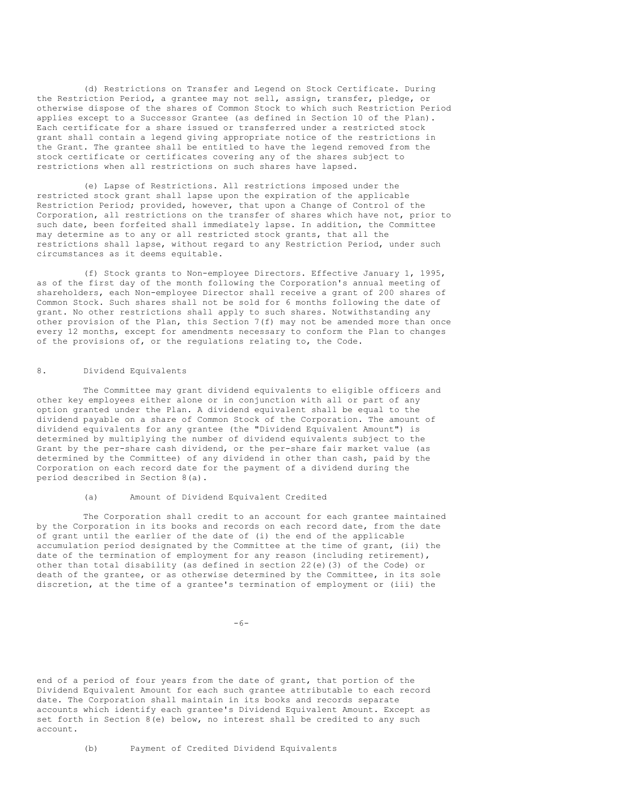(d) Restrictions on Transfer and Legend on Stock Certificate. During the Restriction Period, a grantee may not sell, assign, transfer, pledge, or otherwise dispose of the shares of Common Stock to which such Restriction Period applies except to a Successor Grantee (as defined in Section 10 of the Plan). Each certificate for a share issued or transferred under a restricted stock grant shall contain a legend giving appropriate notice of the restrictions in the Grant. The grantee shall be entitled to have the legend removed from the stock certificate or certificates covering any of the shares subject to restrictions when all restrictions on such shares have lapsed.

(e) Lapse of Restrictions. All restrictions imposed under the restricted stock grant shall lapse upon the expiration of the applicable Restriction Period; provided, however, that upon a Change of Control of the Corporation, all restrictions on the transfer of shares which have not, prior to such date, been forfeited shall immediately lapse. In addition, the Committee may determine as to any or all restricted stock grants, that all the restrictions shall lapse, without regard to any Restriction Period, under such circumstances as it deems equitable.

(f) Stock grants to Non-employee Directors. Effective January 1, 1995, as of the first day of the month following the Corporation's annual meeting of shareholders, each Non-employee Director shall receive a grant of 200 shares of Common Stock. Such shares shall not be sold for 6 months following the date of grant. No other restrictions shall apply to such shares. Notwithstanding any other provision of the Plan, this Section  $7(f)$  may not be amended more than once every 12 months, except for amendments necessary to conform the Plan to changes of the provisions of, or the regulations relating to, the Code.

# 8. Dividend Equivalents

The Committee may grant dividend equivalents to eligible officers and other key employees either alone or in conjunction with all or part of any option granted under the Plan. A dividend equivalent shall be equal to the dividend payable on a share of Common Stock of the Corporation. The amount of dividend equivalents for any grantee (the "Dividend Equivalent Amount") is determined by multiplying the number of dividend equivalents subject to the Grant by the per-share cash dividend, or the per-share fair market value (as determined by the Committee) of any dividend in other than cash, paid by the Corporation on each record date for the payment of a dividend during the period described in Section 8(a).

### (a) Amount of Dividend Equivalent Credited

The Corporation shall credit to an account for each grantee maintained by the Corporation in its books and records on each record date, from the date of grant until the earlier of the date of (i) the end of the applicable accumulation period designated by the Committee at the time of grant, (ii) the date of the termination of employment for any reason (including retirement), other than total disability (as defined in section 22(e)(3) of the Code) or death of the grantee, or as otherwise determined by the Committee, in its sole discretion, at the time of a grantee's termination of employment or (iii) the

end of a period of four years from the date of grant, that portion of the Dividend Equivalent Amount for each such grantee attributable to each record date. The Corporation shall maintain in its books and records separate accounts which identify each grantee's Dividend Equivalent Amount. Except as set forth in Section 8(e) below, no interest shall be credited to any such account.

(b) Payment of Credited Dividend Equivalents

 $-6-$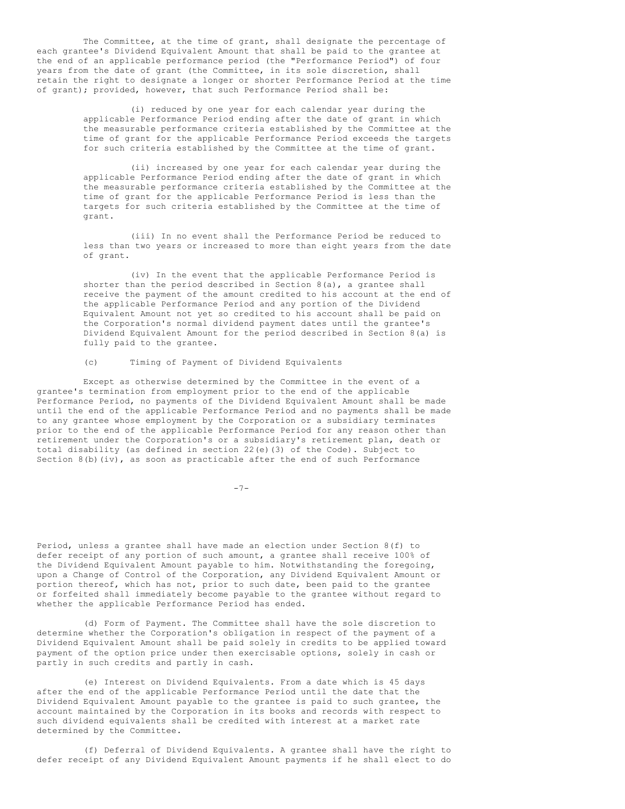The Committee, at the time of grant, shall designate the percentage of each grantee's Dividend Equivalent Amount that shall be paid to the grantee at the end of an applicable performance period (the "Performance Period") of four years from the date of grant (the Committee, in its sole discretion, shall retain the right to designate a longer or shorter Performance Period at the time of grant); provided, however, that such Performance Period shall be:

> (i) reduced by one year for each calendar year during the applicable Performance Period ending after the date of grant in which the measurable performance criteria established by the Committee at the time of grant for the applicable Performance Period exceeds the targets for such criteria established by the Committee at the time of grant.

> (ii) increased by one year for each calendar year during the applicable Performance Period ending after the date of grant in which the measurable performance criteria established by the Committee at the time of grant for the applicable Performance Period is less than the targets for such criteria established by the Committee at the time of grant.

> (iii) In no event shall the Performance Period be reduced to less than two years or increased to more than eight years from the date of grant.

> (iv) In the event that the applicable Performance Period is shorter than the period described in Section  $8(a)$ , a grantee shall receive the payment of the amount credited to his account at the end of the applicable Performance Period and any portion of the Dividend Equivalent Amount not yet so credited to his account shall be paid on the Corporation's normal dividend payment dates until the grantee's Dividend Equivalent Amount for the period described in Section 8(a) is fully paid to the grantee.

# (c) Timing of Payment of Dividend Equivalents

Except as otherwise determined by the Committee in the event of a grantee's termination from employment prior to the end of the applicable Performance Period, no payments of the Dividend Equivalent Amount shall be made until the end of the applicable Performance Period and no payments shall be made to any grantee whose employment by the Corporation or a subsidiary terminates prior to the end of the applicable Performance Period for any reason other than retirement under the Corporation's or a subsidiary's retirement plan, death or total disability (as defined in section 22(e)(3) of the Code). Subject to Section 8(b)(iv), as soon as practicable after the end of such Performance

 $-7-$ 

Period, unless a grantee shall have made an election under Section 8(f) to defer receipt of any portion of such amount, a grantee shall receive 100% of the Dividend Equivalent Amount payable to him. Notwithstanding the foregoing, upon a Change of Control of the Corporation, any Dividend Equivalent Amount or portion thereof, which has not, prior to such date, been paid to the grantee or forfeited shall immediately become payable to the grantee without regard to whether the applicable Performance Period has ended.

(d) Form of Payment. The Committee shall have the sole discretion to determine whether the Corporation's obligation in respect of the payment of a Dividend Equivalent Amount shall be paid solely in credits to be applied toward payment of the option price under then exercisable options, solely in cash or partly in such credits and partly in cash.

(e) Interest on Dividend Equivalents. From a date which is 45 days after the end of the applicable Performance Period until the date that the Dividend Equivalent Amount payable to the grantee is paid to such grantee, the account maintained by the Corporation in its books and records with respect to such dividend equivalents shall be credited with interest at a market rate determined by the Committee.

(f) Deferral of Dividend Equivalents. A grantee shall have the right to defer receipt of any Dividend Equivalent Amount payments if he shall elect to do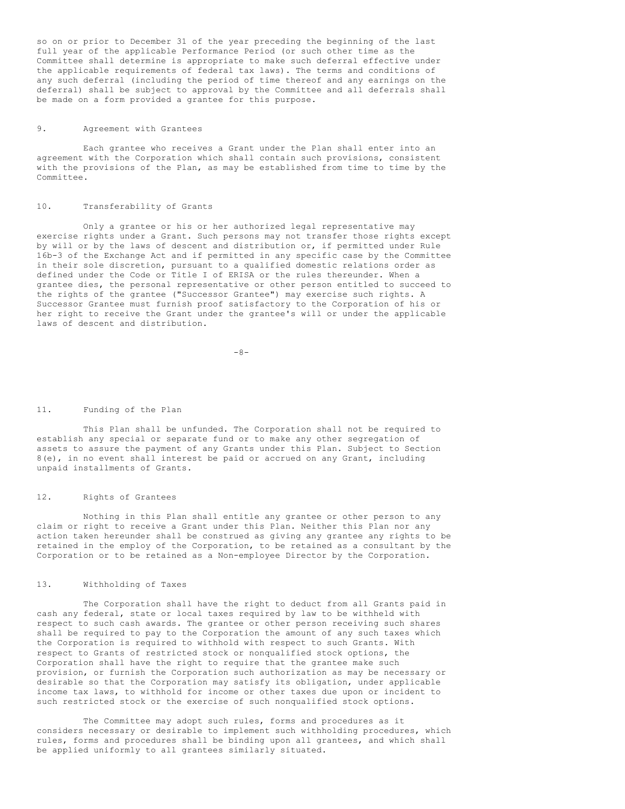so on or prior to December 31 of the year preceding the beginning of the last full year of the applicable Performance Period (or such other time as the Committee shall determine is appropriate to make such deferral effective under the applicable requirements of federal tax laws). The terms and conditions of any such deferral (including the period of time thereof and any earnings on the deferral) shall be subject to approval by the Committee and all deferrals shall be made on a form provided a grantee for this purpose.

# 9. Agreement with Grantees

Each grantee who receives a Grant under the Plan shall enter into an agreement with the Corporation which shall contain such provisions, consistent with the provisions of the Plan, as may be established from time to time by the Committee.

# 10. Transferability of Grants

Only a grantee or his or her authorized legal representative may exercise rights under a Grant. Such persons may not transfer those rights except by will or by the laws of descent and distribution or, if permitted under Rule 16b-3 of the Exchange Act and if permitted in any specific case by the Committee in their sole discretion, pursuant to a qualified domestic relations order as defined under the Code or Title I of ERISA or the rules thereunder. When a grantee dies, the personal representative or other person entitled to succeed to the rights of the grantee ("Successor Grantee") may exercise such rights. A Successor Grantee must furnish proof satisfactory to the Corporation of his or her right to receive the Grant under the grantee's will or under the applicable laws of descent and distribution.

 $-8-$ 

#### 11. Funding of the Plan

This Plan shall be unfunded. The Corporation shall not be required to establish any special or separate fund or to make any other segregation of assets to assure the payment of any Grants under this Plan. Subject to Section 8(e), in no event shall interest be paid or accrued on any Grant, including unpaid installments of Grants.

### 12. Rights of Grantees

Nothing in this Plan shall entitle any grantee or other person to any claim or right to receive a Grant under this Plan. Neither this Plan nor any action taken hereunder shall be construed as giving any grantee any rights to be retained in the employ of the Corporation, to be retained as a consultant by the Corporation or to be retained as a Non-employee Director by the Corporation.

# 13. Withholding of Taxes

The Corporation shall have the right to deduct from all Grants paid in cash any federal, state or local taxes required by law to be withheld with respect to such cash awards. The grantee or other person receiving such shares shall be required to pay to the Corporation the amount of any such taxes which the Corporation is required to withhold with respect to such Grants. With respect to Grants of restricted stock or nonqualified stock options, the Corporation shall have the right to require that the grantee make such provision, or furnish the Corporation such authorization as may be necessary or desirable so that the Corporation may satisfy its obligation, under applicable income tax laws, to withhold for income or other taxes due upon or incident to such restricted stock or the exercise of such nonqualified stock options.

The Committee may adopt such rules, forms and procedures as it considers necessary or desirable to implement such withholding procedures, which rules, forms and procedures shall be binding upon all grantees, and which shall be applied uniformly to all grantees similarly situated.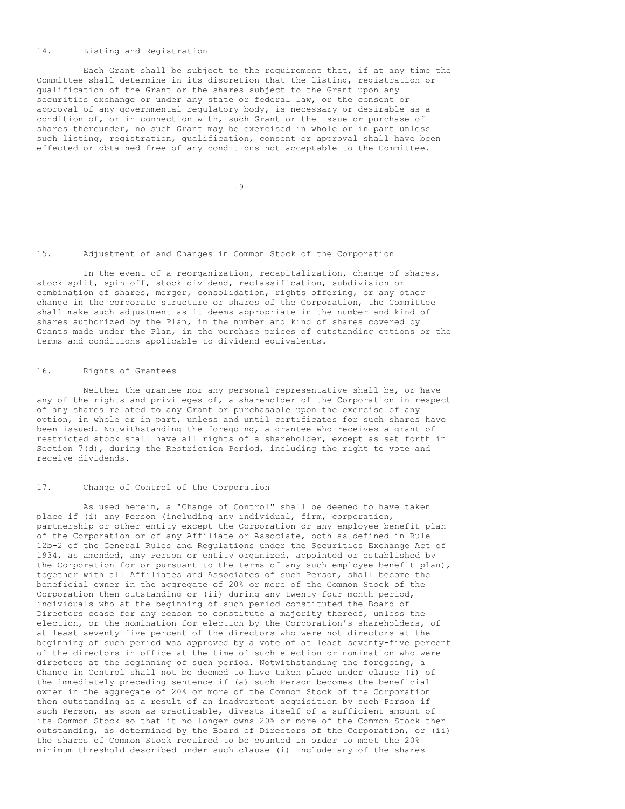# 14. Listing and Registration

Each Grant shall be subject to the requirement that, if at any time the Committee shall determine in its discretion that the listing, registration or qualification of the Grant or the shares subject to the Grant upon any securities exchange or under any state or federal law, or the consent or approval of any governmental regulatory body, is necessary or desirable as a condition of, or in connection with, such Grant or the issue or purchase of shares thereunder, no such Grant may be exercised in whole or in part unless such listing, registration, qualification, consent or approval shall have been effected or obtained free of any conditions not acceptable to the Committee.

 $-9-$ 

## 15. Adjustment of and Changes in Common Stock of the Corporation

In the event of a reorganization, recapitalization, change of shares, stock split, spin-off, stock dividend, reclassification, subdivision or combination of shares, merger, consolidation, rights offering, or any other change in the corporate structure or shares of the Corporation, the Committee shall make such adjustment as it deems appropriate in the number and kind of shares authorized by the Plan, in the number and kind of shares covered by Grants made under the Plan, in the purchase prices of outstanding options or the terms and conditions applicable to dividend equivalents.

# 16. Rights of Grantees

Neither the grantee nor any personal representative shall be, or have any of the rights and privileges of, a shareholder of the Corporation in respect of any shares related to any Grant or purchasable upon the exercise of any option, in whole or in part, unless and until certificates for such shares have been issued. Notwithstanding the foregoing, a grantee who receives a grant of restricted stock shall have all rights of a shareholder, except as set forth in Section 7(d), during the Restriction Period, including the right to vote and receive dividends.

## 17. Change of Control of the Corporation

As used herein, a "Change of Control" shall be deemed to have taken place if (i) any Person (including any individual, firm, corporation, partnership or other entity except the Corporation or any employee benefit plan of the Corporation or of any Affiliate or Associate, both as defined in Rule 12b-2 of the General Rules and Regulations under the Securities Exchange Act of 1934, as amended, any Person or entity organized, appointed or established by the Corporation for or pursuant to the terms of any such employee benefit plan), together with all Affiliates and Associates of such Person, shall become the beneficial owner in the aggregate of 20% or more of the Common Stock of the Corporation then outstanding or (ii) during any twenty-four month period, individuals who at the beginning of such period constituted the Board of Directors cease for any reason to constitute a majority thereof, unless the election, or the nomination for election by the Corporation's shareholders, of at least seventy-five percent of the directors who were not directors at the beginning of such period was approved by a vote of at least seventy-five percent of the directors in office at the time of such election or nomination who were directors at the beginning of such period. Notwithstanding the foregoing, a Change in Control shall not be deemed to have taken place under clause (i) of the immediately preceding sentence if (a) such Person becomes the beneficial owner in the aggregate of 20% or more of the Common Stock of the Corporation then outstanding as a result of an inadvertent acquisition by such Person if such Person, as soon as practicable, divests itself of a sufficient amount of its Common Stock so that it no longer owns 20% or more of the Common Stock then outstanding, as determined by the Board of Directors of the Corporation, or (ii) the shares of Common Stock required to be counted in order to meet the 20% minimum threshold described under such clause (i) include any of the shares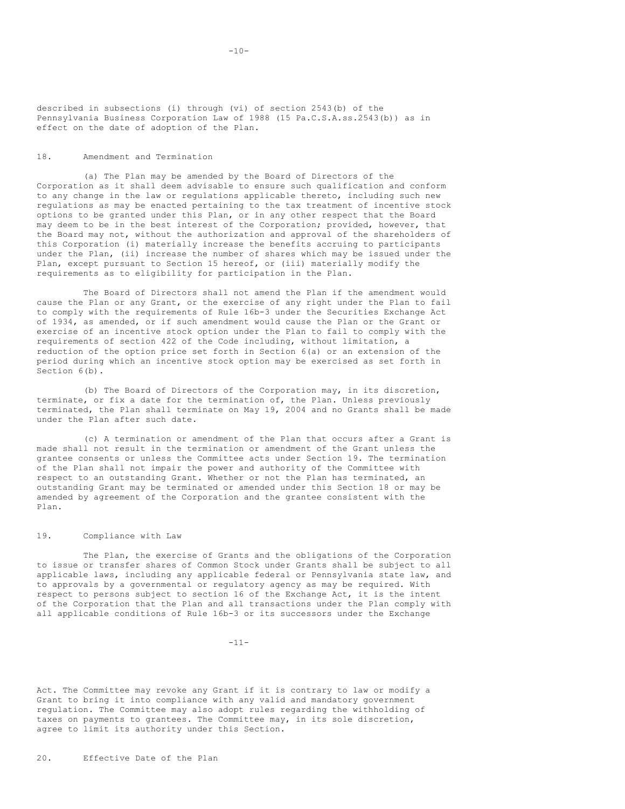described in subsections (i) through (vi) of section 2543(b) of the Pennsylvania Business Corporation Law of 1988 (15 Pa.C.S.A.ss.2543(b)) as in effect on the date of adoption of the Plan.

# 18. Amendment and Termination

(a) The Plan may be amended by the Board of Directors of the Corporation as it shall deem advisable to ensure such qualification and conform to any change in the law or regulations applicable thereto, including such new regulations as may be enacted pertaining to the tax treatment of incentive stock options to be granted under this Plan, or in any other respect that the Board may deem to be in the best interest of the Corporation; provided, however, that the Board may not, without the authorization and approval of the shareholders of this Corporation (i) materially increase the benefits accruing to participants under the Plan, (ii) increase the number of shares which may be issued under the Plan, except pursuant to Section 15 hereof, or (iii) materially modify the requirements as to eligibility for participation in the Plan.

The Board of Directors shall not amend the Plan if the amendment would cause the Plan or any Grant, or the exercise of any right under the Plan to fail to comply with the requirements of Rule 16b-3 under the Securities Exchange Act of 1934, as amended, or if such amendment would cause the Plan or the Grant or exercise of an incentive stock option under the Plan to fail to comply with the requirements of section 422 of the Code including, without limitation, a reduction of the option price set forth in Section 6(a) or an extension of the period during which an incentive stock option may be exercised as set forth in Section 6(b).

(b) The Board of Directors of the Corporation may, in its discretion, terminate, or fix a date for the termination of, the Plan. Unless previously terminated, the Plan shall terminate on May 19, 2004 and no Grants shall be made under the Plan after such date.

(c) A termination or amendment of the Plan that occurs after a Grant is made shall not result in the termination or amendment of the Grant unless the grantee consents or unless the Committee acts under Section 19. The termination of the Plan shall not impair the power and authority of the Committee with respect to an outstanding Grant. Whether or not the Plan has terminated, an outstanding Grant may be terminated or amended under this Section 18 or may be amended by agreement of the Corporation and the grantee consistent with the Plan.

### 19. Compliance with Law

The Plan, the exercise of Grants and the obligations of the Corporation to issue or transfer shares of Common Stock under Grants shall be subject to all applicable laws, including any applicable federal or Pennsylvania state law, and to approvals by a governmental or regulatory agency as may be required. With respect to persons subject to section 16 of the Exchange Act, it is the intent of the Corporation that the Plan and all transactions under the Plan comply with all applicable conditions of Rule 16b-3 or its successors under the Exchange

-11-

Act. The Committee may revoke any Grant if it is contrary to law or modify a Grant to bring it into compliance with any valid and mandatory government regulation. The Committee may also adopt rules regarding the withholding of taxes on payments to grantees. The Committee may, in its sole discretion, agree to limit its authority under this Section.

20. Effective Date of the Plan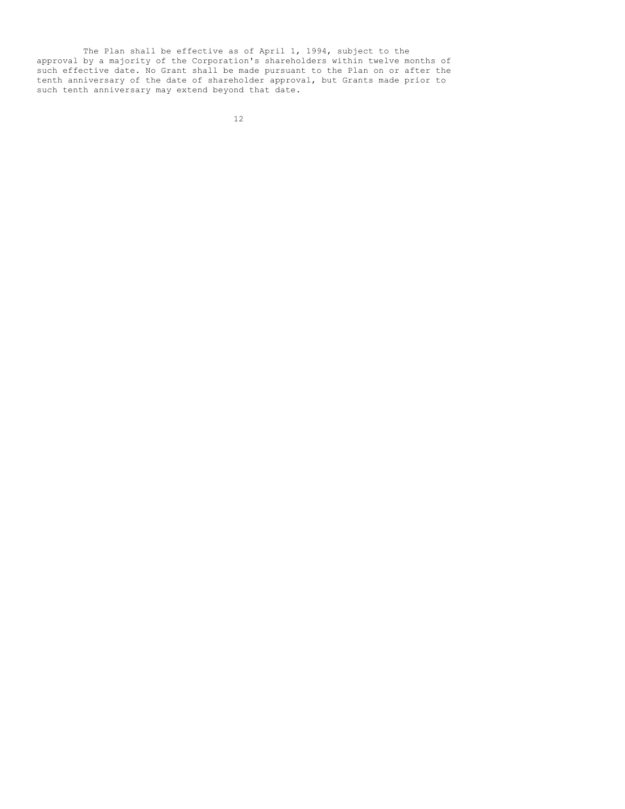The Plan shall be effective as of April 1, 1994, subject to the approval by a majority of the Corporation's shareholders within twelve months of such effective date. No Grant shall be made pursuant to the Plan on or after the tenth anniversary of the date of shareholder approval, but Grants made prior to such tenth anniversary may extend beyond that date.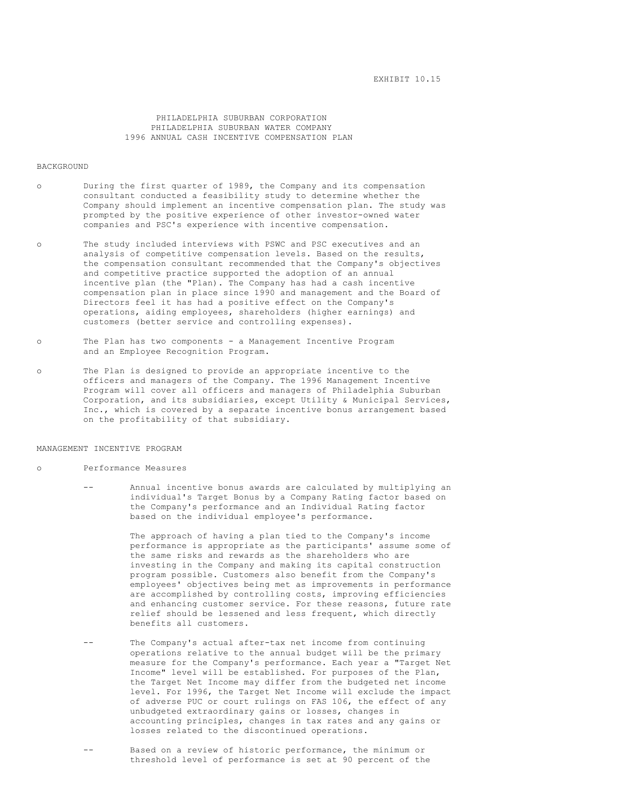PHILADELPHIA SUBURBAN CORPORATION PHILADELPHIA SUBURBAN WATER COMPANY 1996 ANNUAL CASH INCENTIVE COMPENSATION PLAN

#### BACKGROUND

- o During the first quarter of 1989, the Company and its compensation consultant conducted a feasibility study to determine whether the Company should implement an incentive compensation plan. The study was prompted by the positive experience of other investor-owned water companies and PSC's experience with incentive compensation.
- o The study included interviews with PSWC and PSC executives and an analysis of competitive compensation levels. Based on the results, the compensation consultant recommended that the Company's objectives and competitive practice supported the adoption of an annual incentive plan (the "Plan). The Company has had a cash incentive compensation plan in place since 1990 and management and the Board of Directors feel it has had a positive effect on the Company's operations, aiding employees, shareholders (higher earnings) and customers (better service and controlling expenses).
- o The Plan has two components a Management Incentive Program and an Employee Recognition Program.
- o The Plan is designed to provide an appropriate incentive to the officers and managers of the Company. The 1996 Management Incentive Program will cover all officers and managers of Philadelphia Suburban Corporation, and its subsidiaries, except Utility & Municipal Services, Inc., which is covered by a separate incentive bonus arrangement based on the profitability of that subsidiary.

MANAGEMENT INCENTIVE PROGRAM

- o Performance Measures
	- Annual incentive bonus awards are calculated by multiplying an individual's Target Bonus by a Company Rating factor based on the Company's performance and an Individual Rating factor based on the individual employee's performance.

The approach of having a plan tied to the Company's income performance is appropriate as the participants' assume some of the same risks and rewards as the shareholders who are investing in the Company and making its capital construction program possible. Customers also benefit from the Company's employees' objectives being met as improvements in performance are accomplished by controlling costs, improving efficiencies and enhancing customer service. For these reasons, future rate relief should be lessened and less frequent, which directly benefits all customers.

- -- The Company's actual after-tax net income from continuing operations relative to the annual budget will be the primary measure for the Company's performance. Each year a "Target Net Income" level will be established. For purposes of the Plan, the Target Net Income may differ from the budgeted net income level. For 1996, the Target Net Income will exclude the impact of adverse PUC or court rulings on FAS 106, the effect of any unbudgeted extraordinary gains or losses, changes in accounting principles, changes in tax rates and any gains or losses related to the discontinued operations.
- Based on a review of historic performance, the minimum or threshold level of performance is set at 90 percent of the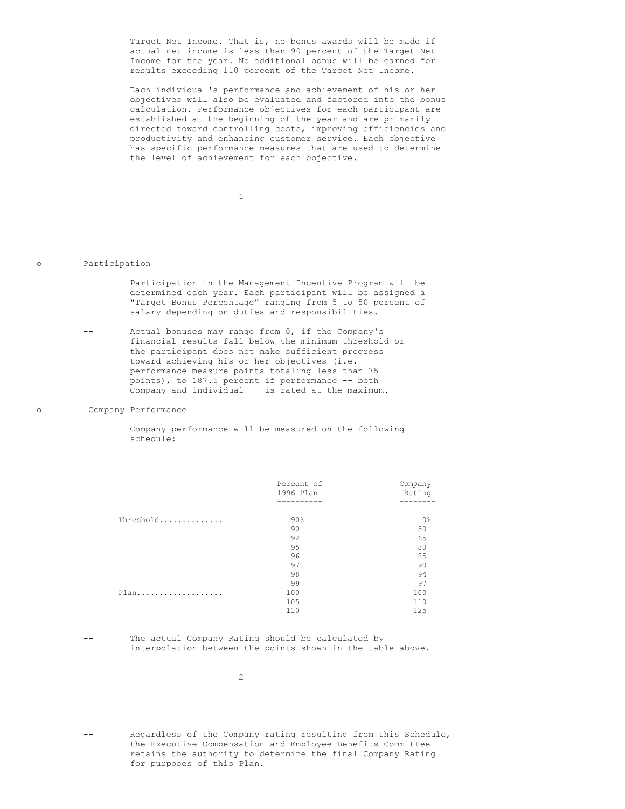Target Net Income. That is, no bonus awards will be made if actual net income is less than 90 percent of the Target Net Income for the year. No additional bonus will be earned for results exceeding 110 percent of the Target Net Income.

-- Each individual's performance and achievement of his or her objectives will also be evaluated and factored into the bonus calculation. Performance objectives for each participant are established at the beginning of the year and are primarily directed toward controlling costs, improving efficiencies and productivity and enhancing customer service. Each objective has specific performance measures that are used to determine the level of achievement for each objective.

1

# o Participation

- -- Participation in the Management Incentive Program will be determined each year. Each participant will be assigned a "Target Bonus Percentage" ranging from 5 to 50 percent of salary depending on duties and responsibilities.
- -- Actual bonuses may range from 0, if the Company's financial results fall below the minimum threshold or the participant does not make sufficient progress toward achieving his or her objectives (i.e. performance measure points totaling less than 75 points), to 187.5 percent if performance -- both Company and individual -- is rated at the maximum.

## o Company Performance

Company performance will be measured on the following schedule:

|           | Percent of | Company |
|-----------|------------|---------|
|           | 1996 Plan  | Rating  |
|           |            | ------- |
| Threshold | $90\%$     | 0%      |
|           | 90         | 50      |
|           | 92         | 65      |
|           | 95         | 80      |
|           | 96         | 85      |
|           | 97         | 90      |
|           | 98         | 94      |
|           | 99         | 97      |
| Plan      | 100        | 100     |
|           | 105        | 110     |
|           | 110        | 125     |

-- The actual Company Rating should be calculated by interpolation between the points shown in the table above.

Regardless of the Company rating resulting from this Schedule, the Executive Compensation and Employee Benefits Committee retains the authority to determine the final Company Rating for purposes of this Plan.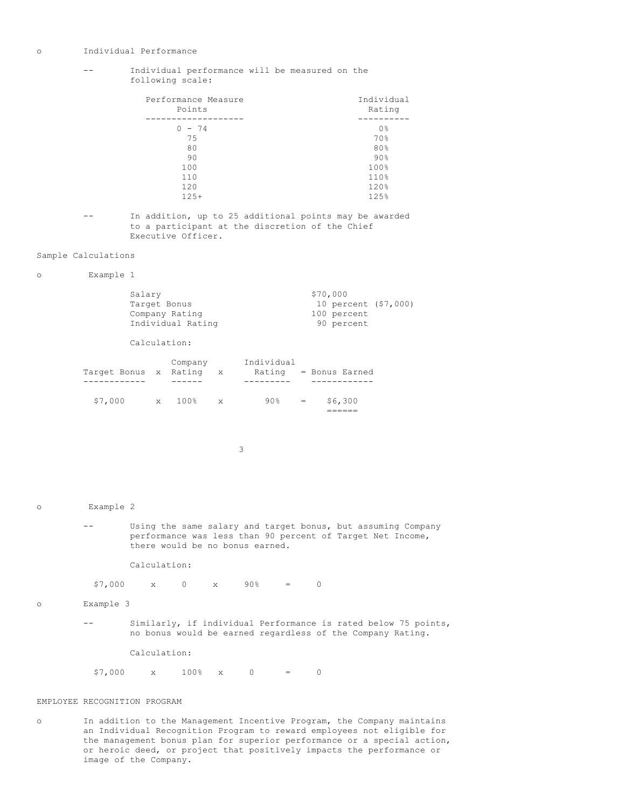### o Individual Performance

# -- Individual performance will be measured on the following scale:

| Performance Measure<br>Points | Individual<br>Rating |
|-------------------------------|----------------------|
| $-74$                         | 0 <sup>°</sup>       |
| 75                            | 70%                  |
| 80                            | 80%                  |
| 90                            | 90%                  |
| 100                           | 100%                 |
| 110                           | 110%                 |
| 120                           | 120%                 |
| $125+$                        | 125%                 |

-- In addition, up to 25 additional points may be awarded to a participant at the discretion of the Chief Executive Officer.

# Sample Calculations

o Example 1

| Salary            | \$70,000             |
|-------------------|----------------------|
| Target Bonus      | 10 percent (\$7,000) |
| Company Rating    | 100 percent          |
| Individual Rating | 90 percent           |

Calculation:

| Target Bonus x Rating |              | Company | $\mathbf{X}$ | Individual<br>Rating |     | = Bonus Earned |
|-----------------------|--------------|---------|--------------|----------------------|-----|----------------|
|                       |              |         |              |                      |     |                |
| \$7,000               | $\mathbf{x}$ | 100%    | $\mathbf{x}$ | 90%                  | $=$ | \$6,300        |

3

```
o Example 2
```
-- Using the same salary and target bonus, but assuming Company performance was less than 90 percent of Target Net Income, there would be no bonus earned.

Calculation:

 $$7,000$  x 0 x 90% = 0

o Example 3

-- Similarly, if individual Performance is rated below 75 points, no bonus would be earned regardless of the Company Rating.

Calculation:

 $$7,000$  x  $100\%$  x 0 = 0

# EMPLOYEE RECOGNITION PROGRAM

o In addition to the Management Incentive Program, the Company maintains an Individual Recognition Program to reward employees not eligible for the management bonus plan for superior performance or a special action, or heroic deed, or project that positively impacts the performance or image of the Company.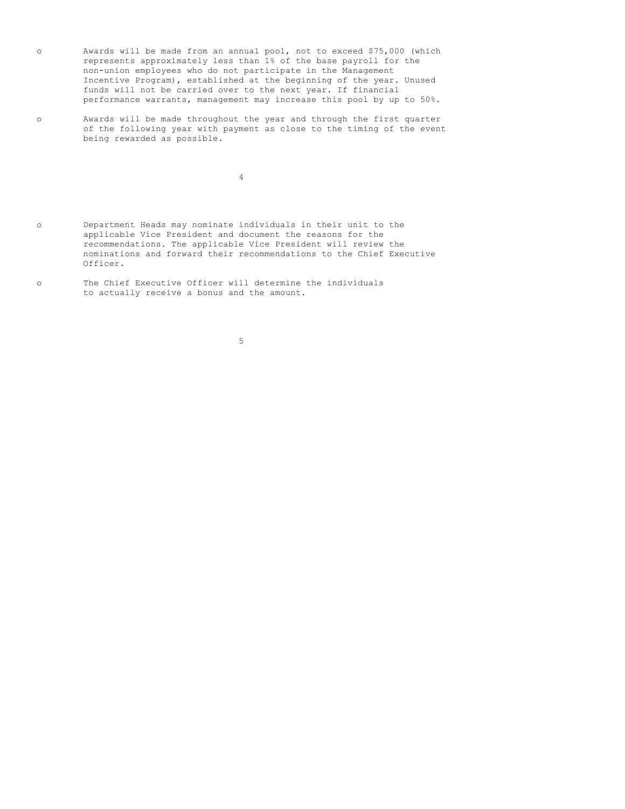- o Awards will be made from an annual pool, not to exceed \$75,000 (which represents approximately less than 1% of the base payroll for the non-union employees who do not participate in the Management Incentive Program), established at the beginning of the year. Unused funds will not be carried over to the next year. If financial performance warrants, management may increase this pool by up to 50%.
- o Awards will be made throughout the year and through the first quarter of the following year with payment as close to the timing of the event being rewarded as possible.

4

- o Department Heads may nominate individuals in their unit to the applicable Vice President and document the reasons for the recommendations. The applicable Vice President will review the nominations and forward their recommendations to the Chief Executive Officer.
- o The Chief Executive Officer will determine the individuals to actually receive a bonus and the amount.

5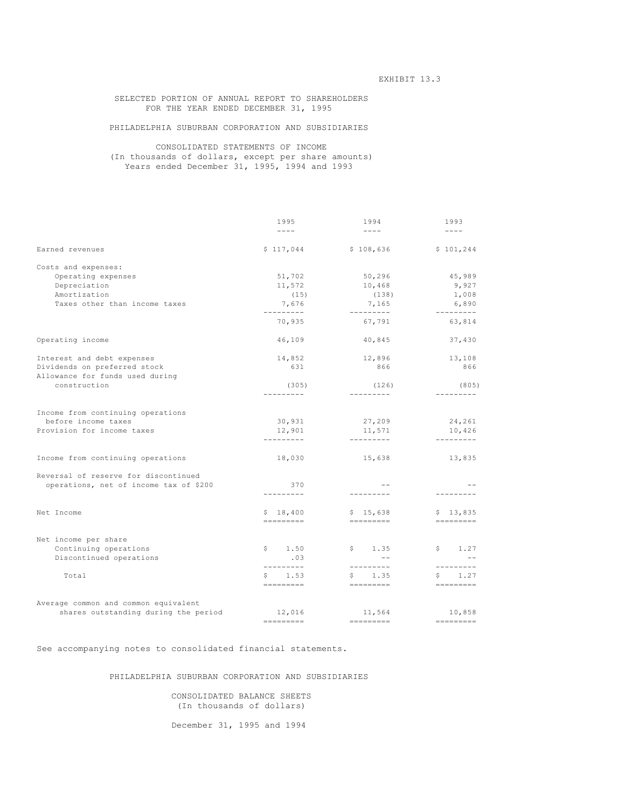# SELECTED PORTION OF ANNUAL REPORT TO SHAREHOLDERS FOR THE YEAR ENDED DECEMBER 31, 1995

# PHILADELPHIA SUBURBAN CORPORATION AND SUBSIDIARIES

# CONSOLIDATED STATEMENTS OF INCOME (In thousands of dollars, except per share amounts) Years ended December 31, 1995, 1994 and 1993

|                                                  | 1995                            | 1994                    | 1993                |
|--------------------------------------------------|---------------------------------|-------------------------|---------------------|
|                                                  | $- - - -$                       | $\qquad \qquad - - - -$ | $- - - - -$         |
| Earned revenues                                  | \$117,044                       | \$108,636               | \$101,244           |
| Costs and expenses:                              |                                 |                         |                     |
| Operating expenses                               | 51,702                          | 50,296                  | 45,989              |
| Depreciation                                     | 11,572                          | 10,468                  | 9,927               |
| Amortization                                     | (15)                            | (138)                   | 1,008               |
| Taxes other than income taxes                    | 7,676<br>---------              | 7,165                   | 6,890<br>---------- |
|                                                  | 70,935                          | 67,791                  | 63,814              |
| Operating income                                 | 46,109                          | 40,845                  | 37,430              |
| Interest and debt expenses                       | 14,852                          | 12,896                  | 13,108              |
| Dividends on preferred stock                     | 631                             | 866                     | 866                 |
| Allowance for funds used during                  |                                 |                         |                     |
| construction                                     | (305)<br>---------              | (126)<br>----------     | (805)<br>---------  |
|                                                  |                                 |                         |                     |
| Income from continuing operations                |                                 |                         |                     |
| before income taxes                              | 30,931                          | 27,209                  | 24,261              |
| Provision for income taxes                       | 12,901                          | 11,571                  | 10,426              |
|                                                  | ----------                      | ----------              | ----------          |
| Income from continuing operations                | 18,030                          | 15,638                  | 13,835              |
| Reversal of reserve for discontinued             |                                 |                         |                     |
| operations, net of income tax of \$200           | 370                             | $- -$                   |                     |
|                                                  | ----------                      | ---------               | ---------           |
| Net Income                                       | \$18,400<br>$=$ = = = = = = = = | \$15,638                | \$13,835            |
|                                                  |                                 |                         |                     |
| Net income per share                             | \$1.50                          | \$1.35                  | \$1.27              |
| Continuing operations<br>Discontinued operations | .03                             | $ -$                    | $ -$                |
|                                                  | ---------                       | ---------               | ---------           |
| Total                                            | \$1.53                          | \$1.35                  | 1.27<br>S.          |
|                                                  | $=$ = = = = = = = =             |                         | $=$ = = = = = = = = |
| Average common and common equivalent             |                                 |                         |                     |
| shares outstanding during the period             | 12,016                          | 11,564                  | 10,858              |
|                                                  |                                 |                         |                     |

See accompanying notes to consolidated financial statements.

PHILADELPHIA SUBURBAN CORPORATION AND SUBSIDIARIES

CONSOLIDATED BALANCE SHEETS (In thousands of dollars)

December 31, 1995 and 1994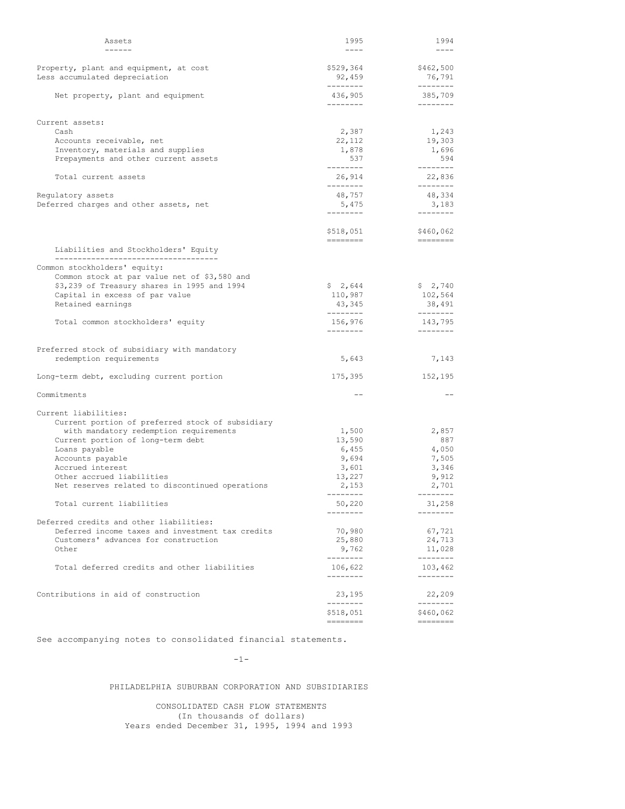| Assets                                                                                      | 1995                            | 1994                                                                                   |
|---------------------------------------------------------------------------------------------|---------------------------------|----------------------------------------------------------------------------------------|
| ------                                                                                      | $---$                           | $- - - -$                                                                              |
| Property, plant and equipment, at cost<br>Less accumulated depreciation                     | \$529,364<br>92,459             | \$462,500<br>76,791                                                                    |
| Net property, plant and equipment                                                           | --------<br>436,905<br>-------- | --------<br>385,709<br>--------                                                        |
|                                                                                             |                                 |                                                                                        |
| Current assets:<br>Cash                                                                     | 2,387                           | 1,243                                                                                  |
| Accounts receivable, net                                                                    | 22,112                          | 19,303                                                                                 |
| Inventory, materials and supplies                                                           | 1,878                           | 1,696                                                                                  |
| Prepayments and other current assets                                                        | 537                             | 594                                                                                    |
| Total current assets                                                                        | --------<br>26,914              | ---------<br>22,836                                                                    |
|                                                                                             | --------                        | --------                                                                               |
| Regulatory assets                                                                           | 48,757                          | 48,334                                                                                 |
| Deferred charges and other assets, net                                                      | 5,475<br>--------               | 3,183<br>--------                                                                      |
|                                                                                             |                                 |                                                                                        |
|                                                                                             | \$518,051                       | \$460,062<br>$\qquad \qquad \displaystyle =\qquad \qquad \displaystyle =\qquad \qquad$ |
| Liabilities and Stockholders' Equity                                                        |                                 |                                                                                        |
| ----------------------------------                                                          |                                 |                                                                                        |
| Common stockholders' equity:<br>Common stock at par value net of \$3,580 and                |                                 |                                                                                        |
| \$3,239 of Treasury shares in 1995 and 1994                                                 | \$2,644                         | \$2,740                                                                                |
| Capital in excess of par value                                                              | 110,987                         | 102,564                                                                                |
| Retained earnings                                                                           | 43,345<br>--------              | 38,491<br>--------                                                                     |
| Total common stockholders' equity                                                           | 156,976                         | 143,795                                                                                |
|                                                                                             | --------                        |                                                                                        |
|                                                                                             |                                 |                                                                                        |
| Preferred stock of subsidiary with mandatory<br>redemption requirements                     | 5,643                           | 7,143                                                                                  |
| Long-term debt, excluding current portion                                                   | 175,395                         | 152,195                                                                                |
|                                                                                             |                                 |                                                                                        |
| Commitments                                                                                 |                                 |                                                                                        |
| Current liabilities:                                                                        |                                 |                                                                                        |
| Current portion of preferred stock of subsidiary                                            |                                 |                                                                                        |
| with mandatory redemption requirements                                                      | 1,500                           | 2,857                                                                                  |
| Current portion of long-term debt                                                           | 13,590                          | 887                                                                                    |
| Loans payable<br>Accounts payable                                                           | 6,455<br>9,694                  | 4,050<br>7,505                                                                         |
| Accrued interest                                                                            | 3,601                           | 3,346                                                                                  |
| Other accrued liabilities                                                                   | 13,227                          | 9,912                                                                                  |
| Net reserves related to discontinued operations                                             | 2,153                           | 2,701                                                                                  |
| Total current liabilities                                                                   | ---------<br>50,220             | ---------<br>31,258                                                                    |
|                                                                                             | --------                        | --------                                                                               |
| Deferred credits and other liabilities:<br>Deferred income taxes and investment tax credits | 70,980                          | 67,721                                                                                 |
| Customers' advances for construction                                                        | 25,880                          | 24,713                                                                                 |
| Other                                                                                       | 9,762                           | 11,028                                                                                 |
|                                                                                             | --------                        | ---------                                                                              |
| Total deferred credits and other liabilities                                                | 106,622<br>--------             | 103,462<br>--------                                                                    |
|                                                                                             |                                 |                                                                                        |
| Contributions in aid of construction                                                        | 23,195<br>--------              | 22,209<br>--------                                                                     |
|                                                                                             | \$518,051                       | \$460,062                                                                              |
|                                                                                             |                                 |                                                                                        |

See accompanying notes to consolidated financial statements.

-1-

PHILADELPHIA SUBURBAN CORPORATION AND SUBSIDIARIES

CONSOLIDATED CASH FLOW STATEMENTS (In thousands of dollars) Years ended December 31, 1995, 1994 and 1993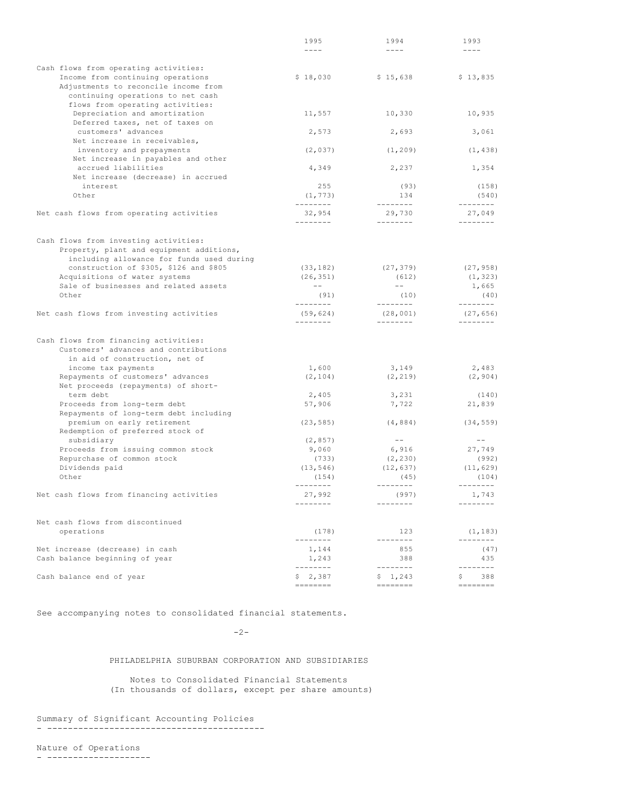|                                                                           | 1995               | 1994                                                                                                                                                                                                                                                                                                                                                                                                                                                                                   | 1993                                                                                                                                                                                                                                                                                                                                                                                                                                                                                   |
|---------------------------------------------------------------------------|--------------------|----------------------------------------------------------------------------------------------------------------------------------------------------------------------------------------------------------------------------------------------------------------------------------------------------------------------------------------------------------------------------------------------------------------------------------------------------------------------------------------|----------------------------------------------------------------------------------------------------------------------------------------------------------------------------------------------------------------------------------------------------------------------------------------------------------------------------------------------------------------------------------------------------------------------------------------------------------------------------------------|
|                                                                           | $- - - -$          | $- - - - -$                                                                                                                                                                                                                                                                                                                                                                                                                                                                            | ----                                                                                                                                                                                                                                                                                                                                                                                                                                                                                   |
|                                                                           |                    |                                                                                                                                                                                                                                                                                                                                                                                                                                                                                        |                                                                                                                                                                                                                                                                                                                                                                                                                                                                                        |
| Cash flows from operating activities:                                     |                    |                                                                                                                                                                                                                                                                                                                                                                                                                                                                                        |                                                                                                                                                                                                                                                                                                                                                                                                                                                                                        |
| Income from continuing operations                                         | \$18,030           | \$15,638                                                                                                                                                                                                                                                                                                                                                                                                                                                                               | \$13,835                                                                                                                                                                                                                                                                                                                                                                                                                                                                               |
| Adjustments to reconcile income from<br>continuing operations to net cash |                    |                                                                                                                                                                                                                                                                                                                                                                                                                                                                                        |                                                                                                                                                                                                                                                                                                                                                                                                                                                                                        |
| flows from operating activities:                                          |                    |                                                                                                                                                                                                                                                                                                                                                                                                                                                                                        |                                                                                                                                                                                                                                                                                                                                                                                                                                                                                        |
| Depreciation and amortization                                             | 11,557             | 10,330                                                                                                                                                                                                                                                                                                                                                                                                                                                                                 | 10,935                                                                                                                                                                                                                                                                                                                                                                                                                                                                                 |
| Deferred taxes, net of taxes on                                           |                    |                                                                                                                                                                                                                                                                                                                                                                                                                                                                                        |                                                                                                                                                                                                                                                                                                                                                                                                                                                                                        |
| customers' advances                                                       | 2,573              | 2,693                                                                                                                                                                                                                                                                                                                                                                                                                                                                                  | 3,061                                                                                                                                                                                                                                                                                                                                                                                                                                                                                  |
| Net increase in receivables,                                              |                    |                                                                                                                                                                                                                                                                                                                                                                                                                                                                                        |                                                                                                                                                                                                                                                                                                                                                                                                                                                                                        |
| inventory and prepayments                                                 | (2, 037)           | (1, 209)                                                                                                                                                                                                                                                                                                                                                                                                                                                                               | (1, 438)                                                                                                                                                                                                                                                                                                                                                                                                                                                                               |
| Net increase in payables and other                                        |                    |                                                                                                                                                                                                                                                                                                                                                                                                                                                                                        |                                                                                                                                                                                                                                                                                                                                                                                                                                                                                        |
| accrued liabilities                                                       | 4,349              | 2,237                                                                                                                                                                                                                                                                                                                                                                                                                                                                                  | 1,354                                                                                                                                                                                                                                                                                                                                                                                                                                                                                  |
| Net increase (decrease) in accrued                                        |                    |                                                                                                                                                                                                                                                                                                                                                                                                                                                                                        |                                                                                                                                                                                                                                                                                                                                                                                                                                                                                        |
| interest                                                                  | 255                | (93)                                                                                                                                                                                                                                                                                                                                                                                                                                                                                   | (158)                                                                                                                                                                                                                                                                                                                                                                                                                                                                                  |
| Other                                                                     | (1, 773)           | 134                                                                                                                                                                                                                                                                                                                                                                                                                                                                                    | (540)                                                                                                                                                                                                                                                                                                                                                                                                                                                                                  |
|                                                                           | ---------          | --------                                                                                                                                                                                                                                                                                                                                                                                                                                                                               | --------                                                                                                                                                                                                                                                                                                                                                                                                                                                                               |
| Net cash flows from operating activities                                  | 32,954<br>________ | 29,730<br>--------                                                                                                                                                                                                                                                                                                                                                                                                                                                                     | 27,049<br>--------                                                                                                                                                                                                                                                                                                                                                                                                                                                                     |
|                                                                           |                    |                                                                                                                                                                                                                                                                                                                                                                                                                                                                                        |                                                                                                                                                                                                                                                                                                                                                                                                                                                                                        |
| Cash flows from investing activities:                                     |                    |                                                                                                                                                                                                                                                                                                                                                                                                                                                                                        |                                                                                                                                                                                                                                                                                                                                                                                                                                                                                        |
| Property, plant and equipment additions,                                  |                    |                                                                                                                                                                                                                                                                                                                                                                                                                                                                                        |                                                                                                                                                                                                                                                                                                                                                                                                                                                                                        |
| including allowance for funds used during                                 |                    |                                                                                                                                                                                                                                                                                                                                                                                                                                                                                        |                                                                                                                                                                                                                                                                                                                                                                                                                                                                                        |
| construction of \$305, \$126 and \$805                                    | (33, 182)          | (27, 379)                                                                                                                                                                                                                                                                                                                                                                                                                                                                              | (27, 958)                                                                                                                                                                                                                                                                                                                                                                                                                                                                              |
| Acquisitions of water systems                                             | (26, 351)          | (612)                                                                                                                                                                                                                                                                                                                                                                                                                                                                                  | (1, 323)                                                                                                                                                                                                                                                                                                                                                                                                                                                                               |
| Sale of businesses and related assets                                     | $- -$              | $-  \,$                                                                                                                                                                                                                                                                                                                                                                                                                                                                                | 1,665                                                                                                                                                                                                                                                                                                                                                                                                                                                                                  |
| Other                                                                     | (91)               | (10)                                                                                                                                                                                                                                                                                                                                                                                                                                                                                   | (40)                                                                                                                                                                                                                                                                                                                                                                                                                                                                                   |
|                                                                           | ---------          | ---------                                                                                                                                                                                                                                                                                                                                                                                                                                                                              | ---------                                                                                                                                                                                                                                                                                                                                                                                                                                                                              |
| Net cash flows from investing activities                                  | (59, 624)          | (28, 001)                                                                                                                                                                                                                                                                                                                                                                                                                                                                              | (27, 656)                                                                                                                                                                                                                                                                                                                                                                                                                                                                              |
|                                                                           | --------           |                                                                                                                                                                                                                                                                                                                                                                                                                                                                                        | --------                                                                                                                                                                                                                                                                                                                                                                                                                                                                               |
|                                                                           |                    |                                                                                                                                                                                                                                                                                                                                                                                                                                                                                        |                                                                                                                                                                                                                                                                                                                                                                                                                                                                                        |
| Cash flows from financing activities:                                     |                    |                                                                                                                                                                                                                                                                                                                                                                                                                                                                                        |                                                                                                                                                                                                                                                                                                                                                                                                                                                                                        |
| Customers' advances and contributions                                     |                    |                                                                                                                                                                                                                                                                                                                                                                                                                                                                                        |                                                                                                                                                                                                                                                                                                                                                                                                                                                                                        |
| in aid of construction, net of                                            |                    |                                                                                                                                                                                                                                                                                                                                                                                                                                                                                        |                                                                                                                                                                                                                                                                                                                                                                                                                                                                                        |
| income tax payments                                                       | 1,600              | 3,149                                                                                                                                                                                                                                                                                                                                                                                                                                                                                  | 2,483                                                                                                                                                                                                                                                                                                                                                                                                                                                                                  |
| Repayments of customers' advances<br>Net proceeds (repayments) of short-  | (2, 104)           | (2, 219)                                                                                                                                                                                                                                                                                                                                                                                                                                                                               | (2, 904)                                                                                                                                                                                                                                                                                                                                                                                                                                                                               |
| term debt                                                                 | 2,405              | 3,231                                                                                                                                                                                                                                                                                                                                                                                                                                                                                  | (140)                                                                                                                                                                                                                                                                                                                                                                                                                                                                                  |
| Proceeds from long-term debt                                              | 57,906             | 7,722                                                                                                                                                                                                                                                                                                                                                                                                                                                                                  | 21,839                                                                                                                                                                                                                                                                                                                                                                                                                                                                                 |
| Repayments of long-term debt including                                    |                    |                                                                                                                                                                                                                                                                                                                                                                                                                                                                                        |                                                                                                                                                                                                                                                                                                                                                                                                                                                                                        |
| premium on early retirement                                               | (23, 585)          | (4, 884)                                                                                                                                                                                                                                                                                                                                                                                                                                                                               | (34, 559)                                                                                                                                                                                                                                                                                                                                                                                                                                                                              |
| Redemption of preferred stock of                                          |                    |                                                                                                                                                                                                                                                                                                                                                                                                                                                                                        |                                                                                                                                                                                                                                                                                                                                                                                                                                                                                        |
| subsidiary                                                                | (2, 857)           | $  \,$                                                                                                                                                                                                                                                                                                                                                                                                                                                                                 |                                                                                                                                                                                                                                                                                                                                                                                                                                                                                        |
| Proceeds from issuing common stock                                        | 9,060              | 6,916                                                                                                                                                                                                                                                                                                                                                                                                                                                                                  | 27,749                                                                                                                                                                                                                                                                                                                                                                                                                                                                                 |
| Repurchase of common stock                                                | (733)              | (2, 230)                                                                                                                                                                                                                                                                                                                                                                                                                                                                               | (992)                                                                                                                                                                                                                                                                                                                                                                                                                                                                                  |
| Dividends paid                                                            | (13, 546)          | (12, 637)                                                                                                                                                                                                                                                                                                                                                                                                                                                                              | (11, 629)                                                                                                                                                                                                                                                                                                                                                                                                                                                                              |
| Other                                                                     | (154)              | (45)                                                                                                                                                                                                                                                                                                                                                                                                                                                                                   | (104)                                                                                                                                                                                                                                                                                                                                                                                                                                                                                  |
|                                                                           | --------           | $\begin{array}{cccccccccccccc} \multicolumn{2}{c}{} & \multicolumn{2}{c}{} & \multicolumn{2}{c}{} & \multicolumn{2}{c}{} & \multicolumn{2}{c}{} & \multicolumn{2}{c}{} & \multicolumn{2}{c}{} & \multicolumn{2}{c}{} & \multicolumn{2}{c}{} & \multicolumn{2}{c}{} & \multicolumn{2}{c}{} & \multicolumn{2}{c}{} & \multicolumn{2}{c}{} & \multicolumn{2}{c}{} & \multicolumn{2}{c}{} & \multicolumn{2}{c}{} & \multicolumn{2}{c}{} & \multicolumn{2}{c}{} & \multicolumn{2}{c}{} & \$ | $\begin{array}{cccccccccccccc} \multicolumn{2}{c}{} & \multicolumn{2}{c}{} & \multicolumn{2}{c}{} & \multicolumn{2}{c}{} & \multicolumn{2}{c}{} & \multicolumn{2}{c}{} & \multicolumn{2}{c}{} & \multicolumn{2}{c}{} & \multicolumn{2}{c}{} & \multicolumn{2}{c}{} & \multicolumn{2}{c}{} & \multicolumn{2}{c}{} & \multicolumn{2}{c}{} & \multicolumn{2}{c}{} & \multicolumn{2}{c}{} & \multicolumn{2}{c}{} & \multicolumn{2}{c}{} & \multicolumn{2}{c}{} & \multicolumn{2}{c}{} & \$ |
| Net cash flows from financing activities                                  | 27,992             | (997)                                                                                                                                                                                                                                                                                                                                                                                                                                                                                  | 1,743                                                                                                                                                                                                                                                                                                                                                                                                                                                                                  |
|                                                                           | --------           | $- - - - - - - -$                                                                                                                                                                                                                                                                                                                                                                                                                                                                      | $-- - - - - - -$                                                                                                                                                                                                                                                                                                                                                                                                                                                                       |
|                                                                           |                    |                                                                                                                                                                                                                                                                                                                                                                                                                                                                                        |                                                                                                                                                                                                                                                                                                                                                                                                                                                                                        |
| Net cash flows from discontinued                                          |                    |                                                                                                                                                                                                                                                                                                                                                                                                                                                                                        |                                                                                                                                                                                                                                                                                                                                                                                                                                                                                        |
| operations                                                                | (178)              | 123                                                                                                                                                                                                                                                                                                                                                                                                                                                                                    | (1, 183)                                                                                                                                                                                                                                                                                                                                                                                                                                                                               |
|                                                                           | ---------          | $- - - - - - - -$                                                                                                                                                                                                                                                                                                                                                                                                                                                                      | --------                                                                                                                                                                                                                                                                                                                                                                                                                                                                               |
| Net increase (decrease) in cash                                           | 1,144              | 855<br>388                                                                                                                                                                                                                                                                                                                                                                                                                                                                             | (47)                                                                                                                                                                                                                                                                                                                                                                                                                                                                                   |
| Cash balance beginning of year                                            | 1,243<br>--------  | --------                                                                                                                                                                                                                                                                                                                                                                                                                                                                               | 435<br>--------                                                                                                                                                                                                                                                                                                                                                                                                                                                                        |
| Cash balance end of year                                                  | \$2,387            | \$1,243                                                                                                                                                                                                                                                                                                                                                                                                                                                                                | 388<br>S                                                                                                                                                                                                                                                                                                                                                                                                                                                                               |
|                                                                           | $=$ = = = = = = =  |                                                                                                                                                                                                                                                                                                                                                                                                                                                                                        |                                                                                                                                                                                                                                                                                                                                                                                                                                                                                        |
|                                                                           |                    |                                                                                                                                                                                                                                                                                                                                                                                                                                                                                        |                                                                                                                                                                                                                                                                                                                                                                                                                                                                                        |

See accompanying notes to consolidated financial statements.

# $-2-$

# PHILADELPHIA SUBURBAN CORPORATION AND SUBSIDIARIES

Notes to Consolidated Financial Statements (In thousands of dollars, except per share amounts)

Summary of Significant Accounting Policies - ------------------------------------------

Nature of Operations - --------------------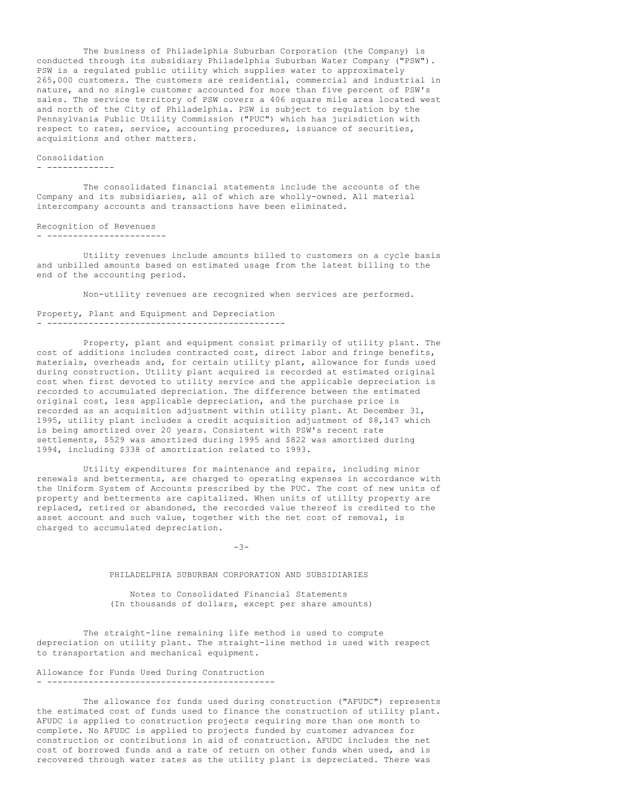The business of Philadelphia Suburban Corporation (the Company) is conducted through its subsidiary Philadelphia Suburban Water Company ("PSW"). PSW is a regulated public utility which supplies water to approximately 265,000 customers. The customers are residential, commercial and industrial in nature, and no single customer accounted for more than five percent of PSW's sales. The service territory of PSW covers a 406 square mile area located west and north of the City of Philadelphia. PSW is subject to regulation by the Pennsylvania Public Utility Commission ("PUC") which has jurisdiction with respect to rates, service, accounting procedures, issuance of securities, acquisitions and other matters.

## Consolidation

- -------------

The consolidated financial statements include the accounts of the Company and its subsidiaries, all of which are wholly-owned. All material intercompany accounts and transactions have been eliminated.

#### Recognition of Revenues - -----------------------

Utility revenues include amounts billed to customers on a cycle basis and unbilled amounts based on estimated usage from the latest billing to the end of the accounting period.

Non-utility revenues are recognized when services are performed.

#### Property, Plant and Equipment and Depreciation - ----------------------------------------------

Property, plant and equipment consist primarily of utility plant. The cost of additions includes contracted cost, direct labor and fringe benefits, materials, overheads and, for certain utility plant, allowance for funds used during construction. Utility plant acquired is recorded at estimated original cost when first devoted to utility service and the applicable depreciation is recorded to accumulated depreciation. The difference between the estimated original cost, less applicable depreciation, and the purchase price is recorded as an acquisition adjustment within utility plant. At December 31, 1995, utility plant includes a credit acquisition adjustment of \$8,147 which is being amortized over 20 years. Consistent with PSW's recent rate settlements, \$529 was amortized during 1995 and \$822 was amortized during 1994, including \$338 of amortization related to 1993.

Utility expenditures for maintenance and repairs, including minor renewals and betterments, are charged to operating expenses in accordance with the Uniform System of Accounts prescribed by the PUC. The cost of new units of property and betterments are capitalized. When units of utility property are replaced, retired or abandoned, the recorded value thereof is credited to the asset account and such value, together with the net cost of removal, is charged to accumulated depreciation.

 $-3-$ 

## PHILADELPHIA SUBURBAN CORPORATION AND SUBSIDIARIES

Notes to Consolidated Financial Statements (In thousands of dollars, except per share amounts)

The straight-line remaining life method is used to compute depreciation on utility plant. The straight-line method is used with respect to transportation and mechanical equipment.

Allowance for Funds Used During Construction - --------------------------------------------

The allowance for funds used during construction ("AFUDC") represents the estimated cost of funds used to finance the construction of utility plant. AFUDC is applied to construction projects requiring more than one month to complete. No AFUDC is applied to projects funded by customer advances for construction or contributions in aid of construction. AFUDC includes the net cost of borrowed funds and a rate of return on other funds when used, and is recovered through water rates as the utility plant is depreciated. There was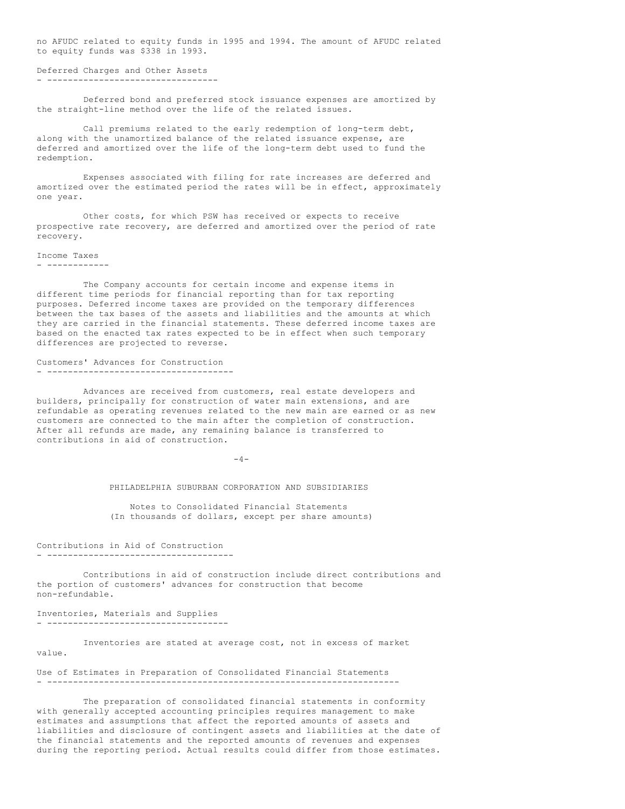no AFUDC related to equity funds in 1995 and 1994. The amount of AFUDC related to equity funds was \$338 in 1993.

```
Deferred Charges and Other Assets
 - ---------------------------------
```
Deferred bond and preferred stock issuance expenses are amortized by the straight-line method over the life of the related issues.

Call premiums related to the early redemption of long-term debt, along with the unamortized balance of the related issuance expense, are deferred and amortized over the life of the long-term debt used to fund the redemption.

Expenses associated with filing for rate increases are deferred and amortized over the estimated period the rates will be in effect, approximately one year.

Other costs, for which PSW has received or expects to receive prospective rate recovery, are deferred and amortized over the period of rate recovery.

Income Taxes - ------------

The Company accounts for certain income and expense items in different time periods for financial reporting than for tax reporting purposes. Deferred income taxes are provided on the temporary differences between the tax bases of the assets and liabilities and the amounts at which they are carried in the financial statements. These deferred income taxes are based on the enacted tax rates expected to be in effect when such temporary differences are projected to reverse.

Customers' Advances for Construction - ------------------------------------

Advances are received from customers, real estate developers and builders, principally for construction of water main extensions, and are refundable as operating revenues related to the new main are earned or as new customers are connected to the main after the completion of construction. After all refunds are made, any remaining balance is transferred to contributions in aid of construction.

 $-4-$ 

PHILADELPHIA SUBURBAN CORPORATION AND SUBSIDIARIES

Notes to Consolidated Financial Statements (In thousands of dollars, except per share amounts)

Contributions in Aid of Construction - ------------------------------------

Contributions in aid of construction include direct contributions and the portion of customers' advances for construction that become non-refundable.

Inventories, Materials and Supplies - -----------------------------------

Inventories are stated at average cost, not in excess of market value.

Use of Estimates in Preparation of Consolidated Financial Statements - --------------------------------------------------------------------

The preparation of consolidated financial statements in conformity with generally accepted accounting principles requires management to make estimates and assumptions that affect the reported amounts of assets and liabilities and disclosure of contingent assets and liabilities at the date of the financial statements and the reported amounts of revenues and expenses during the reporting period. Actual results could differ from those estimates.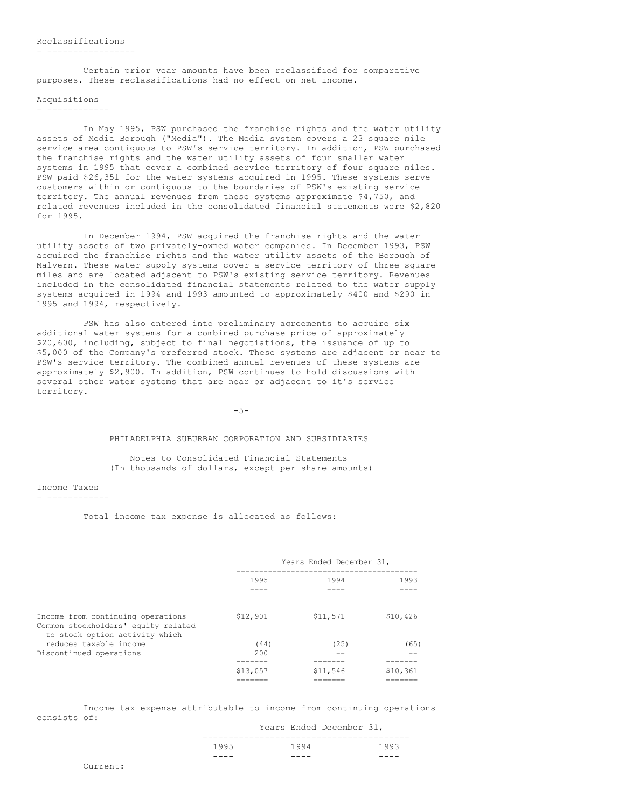# Reclassifications

#### - -----------------

Certain prior year amounts have been reclassified for comparative purposes. These reclassifications had no effect on net income.

# Acquisitions

- ------------

In May 1995, PSW purchased the franchise rights and the water utility assets of Media Borough ("Media"). The Media system covers a 23 square mile service area contiguous to PSW's service territory. In addition, PSW purchased the franchise rights and the water utility assets of four smaller water systems in 1995 that cover a combined service territory of four square miles. PSW paid \$26,351 for the water systems acquired in 1995. These systems serve customers within or contiguous to the boundaries of PSW's existing service territory. The annual revenues from these systems approximate \$4,750, and related revenues included in the consolidated financial statements were \$2,820 for 1995.

In December 1994, PSW acquired the franchise rights and the water utility assets of two privately-owned water companies. In December 1993, PSW acquired the franchise rights and the water utility assets of the Borough of Malvern. These water supply systems cover a service territory of three square miles and are located adjacent to PSW's existing service territory. Revenues included in the consolidated financial statements related to the water supply systems acquired in 1994 and 1993 amounted to approximately \$400 and \$290 in 1995 and 1994, respectively.

PSW has also entered into preliminary agreements to acquire six additional water systems for a combined purchase price of approximately \$20,600, including, subject to final negotiations, the issuance of up to \$5,000 of the Company's preferred stock. These systems are adjacent or near to PSW's service territory. The combined annual revenues of these systems are approximately \$2,900. In addition, PSW continues to hold discussions with several other water systems that are near or adjacent to it's service territory.

 $-5-$ 

## PHILADELPHIA SUBURBAN CORPORATION AND SUBSIDIARIES

Notes to Consolidated Financial Statements (In thousands of dollars, except per share amounts)

Income Taxes

- ------------

Total income tax expense is allocated as follows:

|                                                                                                            | Years Ended December 31, |          |          |  |
|------------------------------------------------------------------------------------------------------------|--------------------------|----------|----------|--|
|                                                                                                            | 1995                     | 1994     | 1993     |  |
|                                                                                                            |                          |          |          |  |
| Income from continuing operations<br>Common stockholders' equity related<br>to stock option activity which | \$12,901                 | \$11,571 | \$10,426 |  |
| reduces taxable income                                                                                     | (44)                     | (25)     | (65)     |  |
| Discontinued operations                                                                                    | 200                      |          |          |  |
|                                                                                                            |                          |          |          |  |
|                                                                                                            | \$13,057                 | \$11,546 | \$10,361 |  |
|                                                                                                            |                          |          |          |  |

Income tax expense attributable to income from continuing operations consists of: Years Ended December 31,

| ____ | ---- |                          |      |
|------|------|--------------------------|------|
| 1995 | 1994 |                          | 1993 |
|      |      | Years Ended December 31, |      |

Current: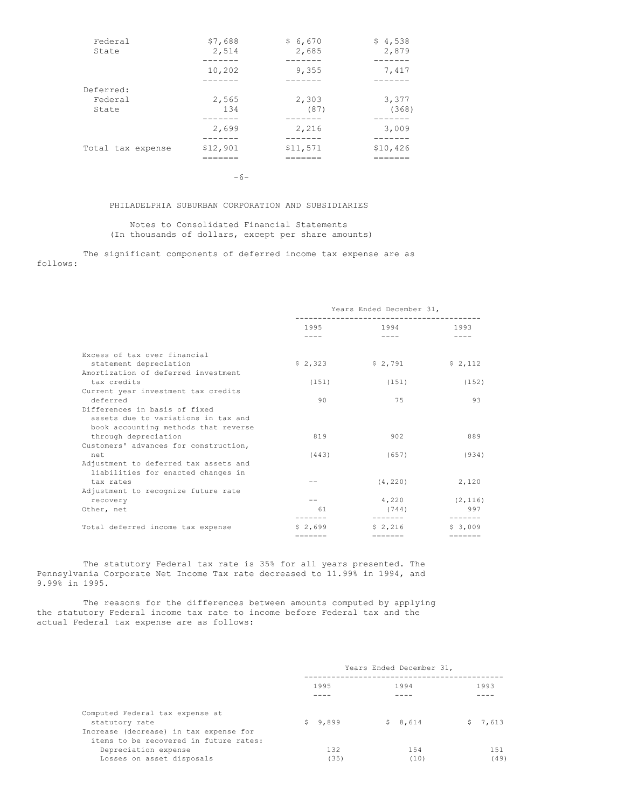| Federal<br>State     | \$7,688<br>2,514 | \$6,670<br>2,685 | \$4,538<br>2,879 |
|----------------------|------------------|------------------|------------------|
|                      | 10,202           | 9,355            | 7,417            |
| Deferred:<br>Federal | 2,565            | 2,303            | 3,377            |
| State                | 134              | (87)             | (368)            |
|                      | 2,699            | 2,216<br>------  | 3,009<br>------  |
| Total tax expense    | \$12,901         | \$11,571         | \$10,426         |

-6-

# PHILADELPHIA SUBURBAN CORPORATION AND SUBSIDIARIES

Notes to Consolidated Financial Statements (In thousands of dollars, except per share amounts)

The significant components of deferred income tax expense are as follows:

|                                                                             | Years Ended December 31, |                                                                                                                     |                            |  |
|-----------------------------------------------------------------------------|--------------------------|---------------------------------------------------------------------------------------------------------------------|----------------------------|--|
|                                                                             | 1995                     | 1994 — 1994 — 1995 — 1996 — 1996 — 1997 — 1997 — 1998 — 1998 — 1998 — 1998 — 1998 — 1998 — 1999 — 1999 — 1999 — 199 | 1993                       |  |
|                                                                             |                          |                                                                                                                     |                            |  |
| Excess of tax over financial                                                |                          |                                                                                                                     |                            |  |
| statement depreciation                                                      | \$2,323                  | \$2,791                                                                                                             | \$2,112                    |  |
| Amortization of deferred investment                                         |                          |                                                                                                                     |                            |  |
| tax credits                                                                 | (151)                    | (151)                                                                                                               | (152)                      |  |
| Current year investment tax credits                                         |                          |                                                                                                                     |                            |  |
| deferred                                                                    | 90                       | 75                                                                                                                  | 93                         |  |
| Differences in basis of fixed                                               |                          |                                                                                                                     |                            |  |
| assets due to variations in tax and                                         |                          |                                                                                                                     |                            |  |
| book accounting methods that reverse                                        |                          |                                                                                                                     |                            |  |
| through depreciation                                                        | 819                      | 902                                                                                                                 | 889                        |  |
| Customers' advances for construction,                                       |                          |                                                                                                                     |                            |  |
| net                                                                         | (443)                    | (657)                                                                                                               | (934)                      |  |
| Adjustment to deferred tax assets and<br>liabilities for enacted changes in |                          |                                                                                                                     |                            |  |
| tax rates                                                                   |                          | (4, 220)                                                                                                            | 2,120                      |  |
| Adjustment to recognize future rate                                         |                          |                                                                                                                     |                            |  |
| recovery                                                                    |                          | 4,220                                                                                                               | (2, 116)                   |  |
| Other, net                                                                  | 61                       | (744)<br>--------                                                                                                   | 997                        |  |
| Total deferred income tax expense                                           | \$2,699                  | \$2,216                                                                                                             | $- - - - - - -$<br>\$3,009 |  |
|                                                                             | $=$ = = = = = =          | $\qquad \qquad \equiv \equiv \equiv \equiv \equiv \equiv \equiv$                                                    | $=$                        |  |

The statutory Federal tax rate is 35% for all years presented. The Pennsylvania Corporate Net Income Tax rate decreased to 11.99% in 1994, and 9.99% in 1995.

The reasons for the differences between amounts computed by applying the statutory Federal income tax rate to income before Federal tax and the actual Federal tax expense are as follows:

|                                        | Years Ended December 31, |         |         |  |
|----------------------------------------|--------------------------|---------|---------|--|
|                                        | 1995                     | 1994    | 1993    |  |
|                                        |                          |         |         |  |
| Computed Federal tax expense at        |                          |         |         |  |
| statutory rate                         | \$9.899                  | \$8,614 | \$7,613 |  |
| Increase (decrease) in tax expense for |                          |         |         |  |
| items to be recovered in future rates: |                          |         |         |  |
| Depreciation expense                   | 132                      | 1.54    | 151     |  |
| Losses on asset disposals              | (35)                     | (10)    | (49)    |  |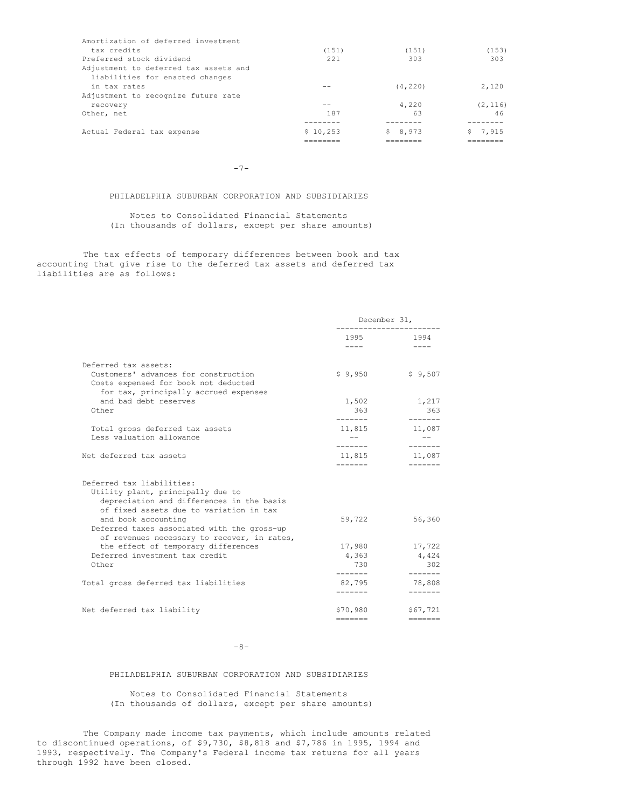| Amortization of deferred investment   |          |            |          |
|---------------------------------------|----------|------------|----------|
| tax credits                           | (151)    | (151)      | (153)    |
| Preferred stock dividend              | 2.21     | 303        | 303      |
| Adjustment to deferred tax assets and |          |            |          |
| liabilities for enacted changes       |          |            |          |
| in tax rates                          |          | (4, 220)   | 2,120    |
| Adjustment to recognize future rate   |          |            |          |
| recovery                              |          | 4,220      | (2, 116) |
| Other, net                            | 187      | 63         | 46       |
|                                       |          |            |          |
| Actual Federal tax expense            | \$10,253 | 8,973<br>S | 7,915    |
|                                       | ____     |            |          |

 $-7-$ 

# PHILADELPHIA SUBURBAN CORPORATION AND SUBSIDIARIES

Notes to Consolidated Financial Statements (In thousands of dollars, except per share amounts)

The tax effects of temporary differences between book and tax accounting that give rise to the deferred tax assets and deferred tax liabilities are as follows:

|                                                                                                                                                            | December 31,                                                                                                 |                                                                         |
|------------------------------------------------------------------------------------------------------------------------------------------------------------|--------------------------------------------------------------------------------------------------------------|-------------------------------------------------------------------------|
|                                                                                                                                                            | 1995 — 1995 — 1996 — 1997 — 1997 — 1997 — 1998 — 1998 — 1998 — 1998 — 1998 — 1998 — 1998 — 1999 — 1999 — 199 | 1994                                                                    |
|                                                                                                                                                            | $\frac{1}{2}$                                                                                                | $- - - -$                                                               |
| Deferred tax assets:                                                                                                                                       |                                                                                                              |                                                                         |
| Customers' advances for construction<br>Costs expensed for book not deducted<br>for tax, principally accrued expenses                                      | \$9.950                                                                                                      | \$9,507                                                                 |
| and bad debt reserves                                                                                                                                      | 1,502                                                                                                        | 1,217                                                                   |
| Other                                                                                                                                                      | 363<br>--------                                                                                              | 363<br>-------                                                          |
| Total gross deferred tax assets                                                                                                                            | 11,815                                                                                                       | 11,087                                                                  |
| Less valuation allowance                                                                                                                                   | $- -$<br>--------                                                                                            | $- -$<br>-------                                                        |
| Net deferred tax assets                                                                                                                                    | 11,815                                                                                                       | 11,087                                                                  |
| Deferred tax liabilities:<br>Utility plant, principally due to                                                                                             |                                                                                                              |                                                                         |
| depreciation and differences in the basis<br>of fixed assets due to variation in tax<br>and book accounting<br>Deferred taxes associated with the gross-up | 59,722                                                                                                       | 56,360                                                                  |
| of revenues necessary to recover, in rates,                                                                                                                |                                                                                                              |                                                                         |
| the effect of temporary differences                                                                                                                        | 17,980                                                                                                       | 17,722                                                                  |
| Deferred investment tax credit                                                                                                                             | 4,363                                                                                                        | 4,424                                                                   |
| Other                                                                                                                                                      | 730<br>--------                                                                                              | 302<br>-------                                                          |
| Total gross deferred tax liabilities                                                                                                                       | 82,795                                                                                                       | 78,808                                                                  |
|                                                                                                                                                            | -------                                                                                                      | $- - - - - - -$                                                         |
| Net deferred tax liability                                                                                                                                 | \$70,980                                                                                                     | \$67,721                                                                |
|                                                                                                                                                            | =======                                                                                                      | $\qquad \qquad \equiv \equiv \equiv \equiv \equiv \equiv \equiv \equiv$ |

# -8-

# PHILADELPHIA SUBURBAN CORPORATION AND SUBSIDIARIES

Notes to Consolidated Financial Statements (In thousands of dollars, except per share amounts)

The Company made income tax payments, which include amounts related to discontinued operations, of \$9,730, \$8,818 and \$7,786 in 1995, 1994 and 1993, respectively. The Company's Federal income tax returns for all years through 1992 have been closed.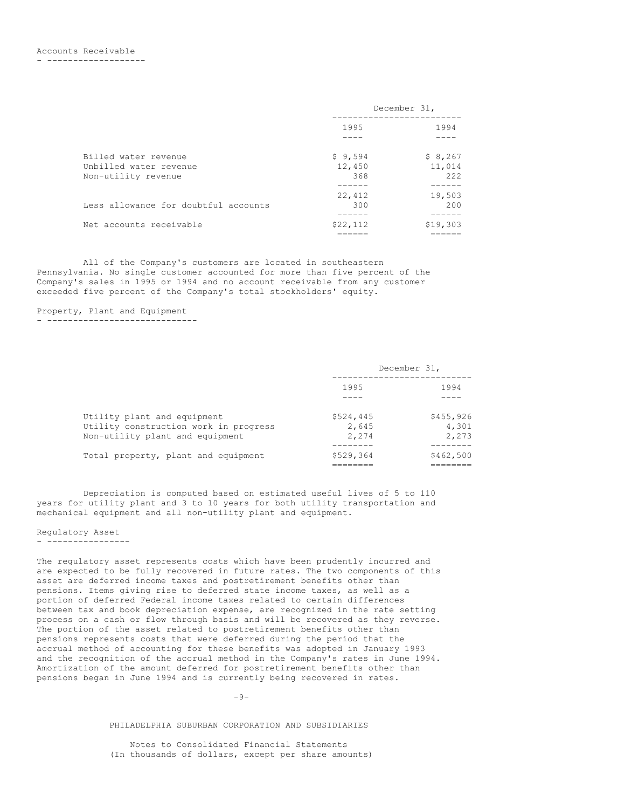- -------------------

|                                      | December 31, |          |
|--------------------------------------|--------------|----------|
|                                      | 1995         | 1994     |
|                                      |              |          |
| Billed water revenue                 | \$9,594      | \$8,267  |
| Unbilled water revenue               | 12,450       | 11,014   |
| Non-utility revenue                  | 368          | 222      |
|                                      |              |          |
|                                      | 22,412       | 19,503   |
| Less allowance for doubtful accounts | 300          | 200      |
|                                      |              |          |
| Net accounts receivable              | \$22,112     | \$19,303 |
|                                      |              |          |

All of the Company's customers are located in southeastern Pennsylvania. No single customer accounted for more than five percent of the Company's sales in 1995 or 1994 and no account receivable from any customer exceeded five percent of the Company's total stockholders' equity.

# Property, Plant and Equipment

- -----------------------------

|                                                                                                         | December 31,                |                             |
|---------------------------------------------------------------------------------------------------------|-----------------------------|-----------------------------|
|                                                                                                         | 1995<br>1994                |                             |
|                                                                                                         |                             |                             |
| Utility plant and equipment<br>Utility construction work in progress<br>Non-utility plant and equipment | \$524,445<br>2,645<br>2,274 | \$455,926<br>4,301<br>2,273 |
| Total property, plant and equipment                                                                     | \$529,364                   | \$462,500                   |

Depreciation is computed based on estimated useful lives of 5 to 110 years for utility plant and 3 to 10 years for both utility transportation and mechanical equipment and all non-utility plant and equipment.

# Regulatory Asset

#### - ----------------

The regulatory asset represents costs which have been prudently incurred and are expected to be fully recovered in future rates. The two components of this asset are deferred income taxes and postretirement benefits other than pensions. Items giving rise to deferred state income taxes, as well as a portion of deferred Federal income taxes related to certain differences between tax and book depreciation expense, are recognized in the rate setting process on a cash or flow through basis and will be recovered as they reverse. The portion of the asset related to postretirement benefits other than pensions represents costs that were deferred during the period that the accrual method of accounting for these benefits was adopted in January 1993 and the recognition of the accrual method in the Company's rates in June 1994. Amortization of the amount deferred for postretirement benefits other than pensions began in June 1994 and is currently being recovered in rates.

 $-9-$ 

PHILADELPHIA SUBURBAN CORPORATION AND SUBSIDIARIES

Notes to Consolidated Financial Statements (In thousands of dollars, except per share amounts)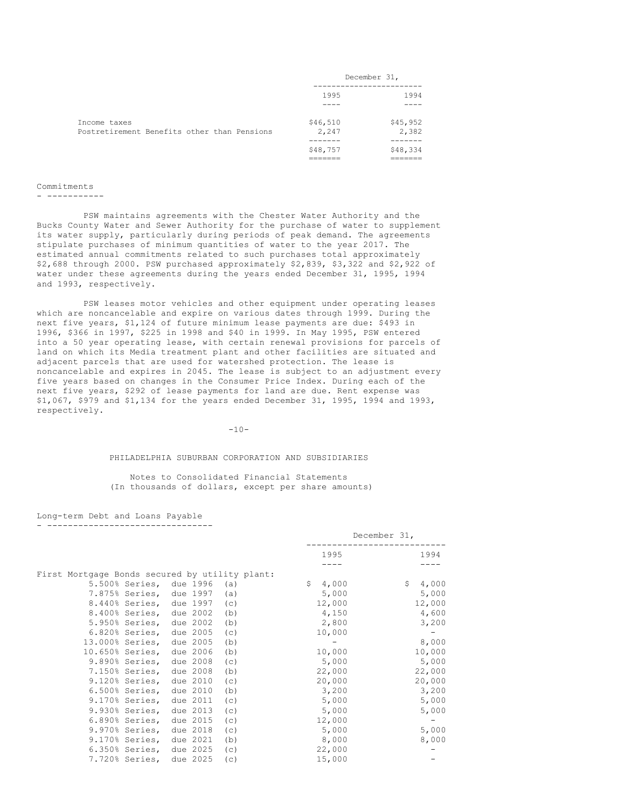|                                                             | December 31,      |                   |
|-------------------------------------------------------------|-------------------|-------------------|
|                                                             | 1995              | 1994              |
|                                                             |                   |                   |
| Income taxes<br>Postretirement Benefits other than Pensions | \$46,510<br>2,247 | \$45,952<br>2,382 |
|                                                             |                   |                   |
|                                                             | \$48,757          | \$48,334          |
|                                                             |                   |                   |

# Commitments

- -----------

PSW maintains agreements with the Chester Water Authority and the Bucks County Water and Sewer Authority for the purchase of water to supplement its water supply, particularly during periods of peak demand. The agreements stipulate purchases of minimum quantities of water to the year 2017. The estimated annual commitments related to such purchases total approximately \$2,688 through 2000. PSW purchased approximately \$2,839, \$3,322 and \$2,922 of water under these agreements during the years ended December 31, 1995, 1994 and 1993, respectively.

PSW leases motor vehicles and other equipment under operating leases which are noncancelable and expire on various dates through 1999. During the next five years, \$1,124 of future minimum lease payments are due: \$493 in 1996, \$366 in 1997, \$225 in 1998 and \$40 in 1999. In May 1995, PSW entered into a 50 year operating lease, with certain renewal provisions for parcels of land on which its Media treatment plant and other facilities are situated and adjacent parcels that are used for watershed protection. The lease is noncancelable and expires in 2045. The lease is subject to an adjustment every five years based on changes in the Consumer Price Index. During each of the next five years, \$292 of lease payments for land are due. Rent expense was \$1,067, \$979 and \$1,134 for the years ended December 31, 1995, 1994 and 1993, respectively.

#### $-10-$

#### PHILADELPHIA SUBURBAN CORPORATION AND SUBSIDIARIES

Notes to Consolidated Financial Statements (In thousands of dollars, except per share amounts)

Long-term Debt and Loans Payable - --------------------------------

|                                                |                         |          |     |             | December 31, |  |
|------------------------------------------------|-------------------------|----------|-----|-------------|--------------|--|
|                                                |                         |          |     | 1995        | 1994         |  |
|                                                |                         |          |     |             |              |  |
| First Mortgage Bonds secured by utility plant: |                         |          |     |             |              |  |
|                                                | 5.500% Series, due 1996 |          | (a) | \$<br>4,000 | \$<br>4,000  |  |
|                                                | 7.875% Series, due 1997 |          | (a) | 5,000       | 5,000        |  |
| 8.440% Series,                                 |                         | due 1997 | (C) | 12,000      | 12,000       |  |
| 8.400% Series,                                 |                         | due 2002 | (b) | 4,150       | 4,600        |  |
| 5.950% Series,                                 |                         | due 2002 | (b) | 2,800       | 3,200        |  |
| $6.820%$ Series,                               |                         | due 2005 | (c) | 10,000      |              |  |
| 13.000% Series,                                |                         | due 2005 | (b) |             | 8,000        |  |
| 10.650% Series,                                |                         | due 2006 | (b) | 10,000      | 10,000       |  |
| 9.890% Series,                                 |                         | due 2008 | (c) | 5,000       | 5,000        |  |
| 7.150% Series,                                 |                         | due 2008 | (b) | 22,000      | 22,000       |  |
| $9.120%$ Series,                               |                         | due 2010 | (C) | 20,000      | 20,000       |  |
| $6.500%$ Series,                               |                         | due 2010 | (b) | 3,200       | 3,200        |  |
| 9.170% Series,                                 |                         | due 2011 | (c) | 5,000       | 5,000        |  |
| 9.930% Series,                                 |                         | due 2013 | (c) | 5,000       | 5,000        |  |
| $6.890%$ Series,                               |                         | due 2015 | (c) | 12,000      |              |  |
| 9.970% Series,                                 |                         | due 2018 | (c) | 5,000       | 5,000        |  |
| 9.170% Series,                                 |                         | due 2021 | (b) | 8,000       | 8,000        |  |
| $6.350%$ Series,                               |                         | due 2025 | (c) | 22,000      |              |  |
| 7.720% Series,                                 |                         | due 2025 | (c) | 15,000      |              |  |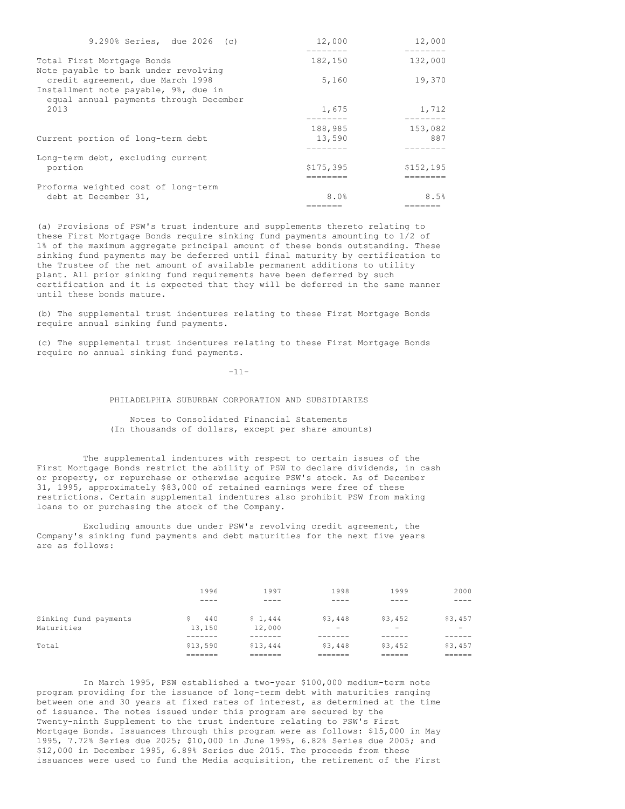| 132,000<br>182,150<br>19,370<br>5,160<br>credit agreement, due March 1998<br>equal annual payments through December<br>1,675<br>1,712<br>2013<br>188,985<br>153,082<br>13,590<br>887<br>\$175,395<br>\$152, 195<br>portion<br>8.0%<br>8.5%<br>debt at December 31, | 9.290% Series, due 2026 (c)          | 12,000 | 12,000 |
|--------------------------------------------------------------------------------------------------------------------------------------------------------------------------------------------------------------------------------------------------------------------|--------------------------------------|--------|--------|
|                                                                                                                                                                                                                                                                    |                                      |        |        |
|                                                                                                                                                                                                                                                                    | Total First Mortgage Bonds           |        |        |
|                                                                                                                                                                                                                                                                    | Note payable to bank under revolving |        |        |
|                                                                                                                                                                                                                                                                    |                                      |        |        |
|                                                                                                                                                                                                                                                                    | Installment note payable, 9%, due in |        |        |
|                                                                                                                                                                                                                                                                    |                                      |        |        |
|                                                                                                                                                                                                                                                                    |                                      |        |        |
|                                                                                                                                                                                                                                                                    |                                      |        |        |
|                                                                                                                                                                                                                                                                    |                                      |        |        |
|                                                                                                                                                                                                                                                                    | Current portion of long-term debt    |        |        |
|                                                                                                                                                                                                                                                                    |                                      |        |        |
|                                                                                                                                                                                                                                                                    | Long-term debt, excluding current    |        |        |
|                                                                                                                                                                                                                                                                    |                                      |        |        |
|                                                                                                                                                                                                                                                                    |                                      |        |        |
|                                                                                                                                                                                                                                                                    | Proforma weighted cost of long-term  |        |        |
|                                                                                                                                                                                                                                                                    |                                      |        |        |
|                                                                                                                                                                                                                                                                    |                                      |        |        |

(a) Provisions of PSW's trust indenture and supplements thereto relating to these First Mortgage Bonds require sinking fund payments amounting to 1/2 of 1% of the maximum aggregate principal amount of these bonds outstanding. These sinking fund payments may be deferred until final maturity by certification to the Trustee of the net amount of available permanent additions to utility plant. All prior sinking fund requirements have been deferred by such certification and it is expected that they will be deferred in the same manner until these bonds mature.

(b) The supplemental trust indentures relating to these First Mortgage Bonds require annual sinking fund payments.

(c) The supplemental trust indentures relating to these First Mortgage Bonds require no annual sinking fund payments.

-11-

# PHILADELPHIA SUBURBAN CORPORATION AND SUBSIDIARIES

Notes to Consolidated Financial Statements (In thousands of dollars, except per share amounts)

The supplemental indentures with respect to certain issues of the First Mortgage Bonds restrict the ability of PSW to declare dividends, in cash or property, or repurchase or otherwise acquire PSW's stock. As of December 31, 1995, approximately \$83,000 of retained earnings were free of these restrictions. Certain supplemental indentures also prohibit PSW from making loans to or purchasing the stock of the Company.

Excluding amounts due under PSW's revolving credit agreement, the Company's sinking fund payments and debt maturities for the next five years are as follows:

|                       | 1996               | 1997     | 1998     | 1999                     | 2000                     |
|-----------------------|--------------------|----------|----------|--------------------------|--------------------------|
|                       | ----               | ----     | ____     |                          |                          |
| Sinking fund payments | 440                | \$1,444  | \$3,448  | \$3,452                  | \$3,457                  |
| Maturities            | 13,150             | 12,000   | -        | $\overline{\phantom{0}}$ | $\overline{\phantom{0}}$ |
| Total                 | \$13,590           | \$13,444 | \$3,448  | \$3,452                  | \$3,457                  |
|                       | -------<br>_______ | _______  | -------- | -----<br>-------         | ------<br>-------        |

In March 1995, PSW established a two-year \$100,000 medium-term note program providing for the issuance of long-term debt with maturities ranging between one and 30 years at fixed rates of interest, as determined at the time of issuance. The notes issued under this program are secured by the Twenty-ninth Supplement to the trust indenture relating to PSW's First Mortgage Bonds. Issuances through this program were as follows: \$15,000 in May 1995, 7.72% Series due 2025; \$10,000 in June 1995, 6.82% Series due 2005; and \$12,000 in December 1995, 6.89% Series due 2015. The proceeds from these issuances were used to fund the Media acquisition, the retirement of the First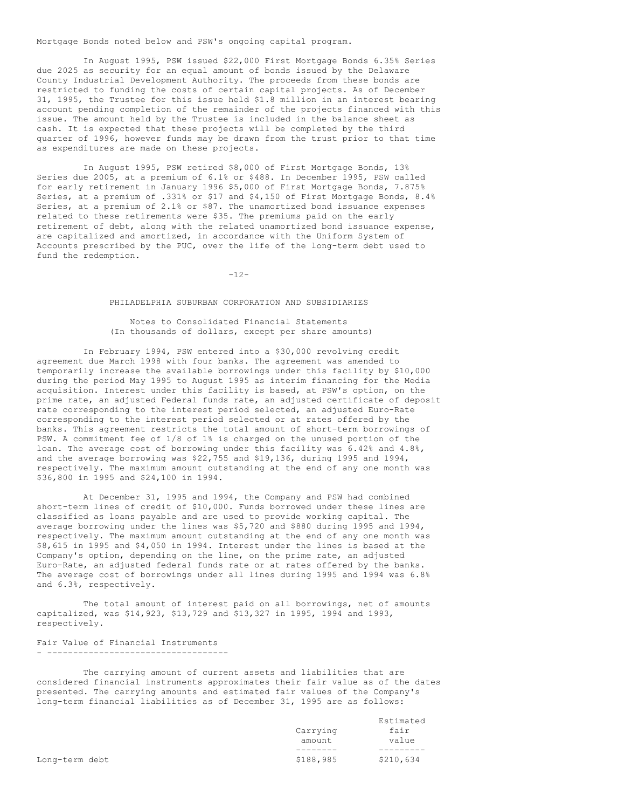Mortgage Bonds noted below and PSW's ongoing capital program.

In August 1995, PSW issued \$22,000 First Mortgage Bonds 6.35% Series due 2025 as security for an equal amount of bonds issued by the Delaware County Industrial Development Authority. The proceeds from these bonds are restricted to funding the costs of certain capital projects. As of December 31, 1995, the Trustee for this issue held \$1.8 million in an interest bearing account pending completion of the remainder of the projects financed with this issue. The amount held by the Trustee is included in the balance sheet as cash. It is expected that these projects will be completed by the third quarter of 1996, however funds may be drawn from the trust prior to that time as expenditures are made on these projects.

In August 1995, PSW retired \$8,000 of First Mortgage Bonds, 13% Series due 2005, at a premium of 6.1% or \$488. In December 1995, PSW called for early retirement in January 1996 \$5,000 of First Mortgage Bonds, 7.875% Series, at a premium of .331% or \$17 and \$4,150 of First Mortgage Bonds, 8.4% Series, at a premium of 2.1% or \$87. The unamortized bond issuance expenses related to these retirements were \$35. The premiums paid on the early retirement of debt, along with the related unamortized bond issuance expense, are capitalized and amortized, in accordance with the Uniform System of Accounts prescribed by the PUC, over the life of the long-term debt used to fund the redemption.

-12-

# PHILADELPHIA SUBURBAN CORPORATION AND SUBSIDIARIES

# Notes to Consolidated Financial Statements (In thousands of dollars, except per share amounts)

In February 1994, PSW entered into a \$30,000 revolving credit agreement due March 1998 with four banks. The agreement was amended to temporarily increase the available borrowings under this facility by \$10,000 during the period May 1995 to August 1995 as interim financing for the Media acquisition. Interest under this facility is based, at PSW's option, on the prime rate, an adjusted Federal funds rate, an adjusted certificate of deposit rate corresponding to the interest period selected, an adjusted Euro-Rate corresponding to the interest period selected or at rates offered by the banks. This agreement restricts the total amount of short-term borrowings of PSW. A commitment fee of 1/8 of 1% is charged on the unused portion of the loan. The average cost of borrowing under this facility was 6.42% and 4.8%, and the average borrowing was \$22,755 and \$19,136, during 1995 and 1994, respectively. The maximum amount outstanding at the end of any one month was \$36,800 in 1995 and \$24,100 in 1994.

At December 31, 1995 and 1994, the Company and PSW had combined short-term lines of credit of \$10,000. Funds borrowed under these lines are classified as loans payable and are used to provide working capital. The average borrowing under the lines was \$5,720 and \$880 during 1995 and 1994, respectively. The maximum amount outstanding at the end of any one month was \$8,615 in 1995 and \$4,050 in 1994. Interest under the lines is based at the Company's option, depending on the line, on the prime rate, an adjusted Euro-Rate, an adjusted federal funds rate or at rates offered by the banks. The average cost of borrowings under all lines during 1995 and 1994 was 6.8% and 6.3%, respectively.

The total amount of interest paid on all borrowings, net of amounts capitalized, was \$14,923, \$13,729 and \$13,327 in 1995, 1994 and 1993, respectively.

# Fair Value of Financial Instruments - ------------------------------------

The carrying amount of current assets and liabilities that are considered financial instruments approximates their fair value as of the dates presented. The carrying amounts and estimated fair values of the Company's long-term financial liabilities as of December 31, 1995 are as follows:

|                |                    | Estimated     |
|----------------|--------------------|---------------|
|                | Carrying<br>amount | fair<br>value |
|                |                    |               |
| Long-term debt | \$188,985          | \$210,634     |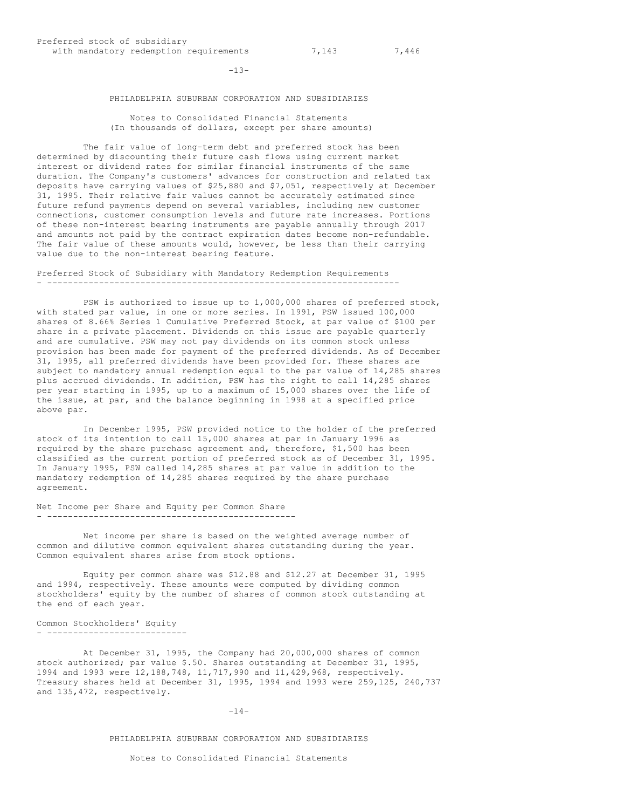$-13-$ 

# PHILADELPHIA SUBURBAN CORPORATION AND SUBSIDIARIES

Notes to Consolidated Financial Statements (In thousands of dollars, except per share amounts)

The fair value of long-term debt and preferred stock has been determined by discounting their future cash flows using current market interest or dividend rates for similar financial instruments of the same duration. The Company's customers' advances for construction and related tax deposits have carrying values of \$25,880 and \$7,051, respectively at December 31, 1995. Their relative fair values cannot be accurately estimated since future refund payments depend on several variables, including new customer connections, customer consumption levels and future rate increases. Portions of these non-interest bearing instruments are payable annually through 2017 and amounts not paid by the contract expiration dates become non-refundable. The fair value of these amounts would, however, be less than their carrying value due to the non-interest bearing feature.

Preferred Stock of Subsidiary with Mandatory Redemption Requirements - --------------------------------------------------------------------

PSW is authorized to issue up to 1,000,000 shares of preferred stock, with stated par value, in one or more series. In 1991, PSW issued 100,000 shares of 8.66% Series 1 Cumulative Preferred Stock, at par value of \$100 per share in a private placement. Dividends on this issue are payable quarterly and are cumulative. PSW may not pay dividends on its common stock unless provision has been made for payment of the preferred dividends. As of December 31, 1995, all preferred dividends have been provided for. These shares are subject to mandatory annual redemption equal to the par value of 14,285 shares plus accrued dividends. In addition, PSW has the right to call 14,285 shares per year starting in 1995, up to a maximum of 15,000 shares over the life of the issue, at par, and the balance beginning in 1998 at a specified price above par.

In December 1995, PSW provided notice to the holder of the preferred stock of its intention to call 15,000 shares at par in January 1996 as required by the share purchase agreement and, therefore, \$1,500 has been classified as the current portion of preferred stock as of December 31, 1995. In January 1995, PSW called 14,285 shares at par value in addition to the mandatory redemption of 14,285 shares required by the share purchase agreement.

Net Income per Share and Equity per Common Share - ------------------------------------------------

Net income per share is based on the weighted average number of common and dilutive common equivalent shares outstanding during the year. Common equivalent shares arise from stock options.

Equity per common share was \$12.88 and \$12.27 at December 31, 1995 and 1994, respectively. These amounts were computed by dividing common stockholders' equity by the number of shares of common stock outstanding at the end of each year.

Common Stockholders' Equity - ---------------------------

At December 31, 1995, the Company had 20,000,000 shares of common stock authorized; par value \$.50. Shares outstanding at December 31, 1995, 1994 and 1993 were 12,188,748, 11,717,990 and 11,429,968, respectively. Treasury shares held at December 31, 1995, 1994 and 1993 were 259,125, 240,737 and 135,472, respectively.

### $-14-$

### PHILADELPHIA SUBURBAN CORPORATION AND SUBSIDIARIES

Notes to Consolidated Financial Statements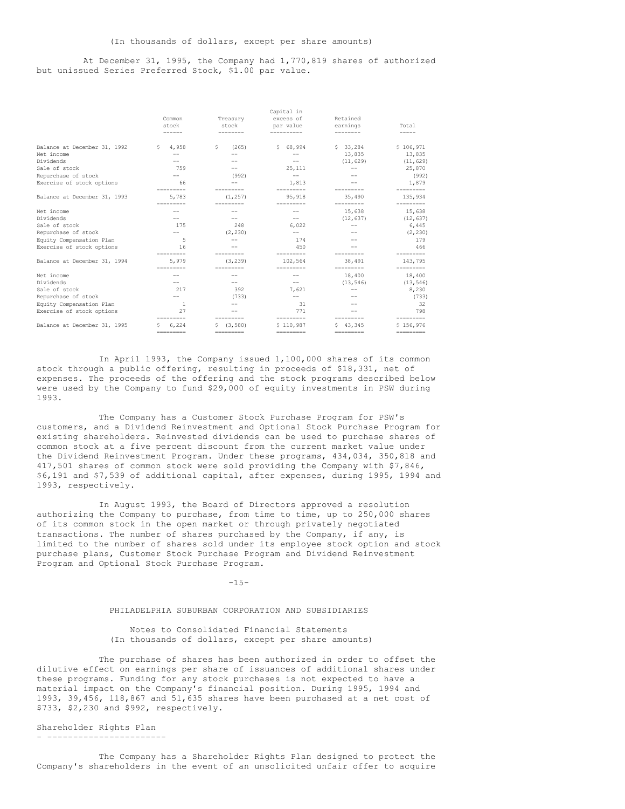# At December 31, 1995, the Company had 1,770,819 shares of authorized but unissued Series Preferred Stock, \$1.00 par value.

|                              |                                                                                                                                                                                                                                                                                                                                                                                                                                                                                |                                                                                                                                                                                                                                                                                                                                                                                                                                                                                                                                                                      | Capital in    |                   |                                                                                                                                                                                                                                                                                                                                                                                                                                                                                        |
|------------------------------|--------------------------------------------------------------------------------------------------------------------------------------------------------------------------------------------------------------------------------------------------------------------------------------------------------------------------------------------------------------------------------------------------------------------------------------------------------------------------------|----------------------------------------------------------------------------------------------------------------------------------------------------------------------------------------------------------------------------------------------------------------------------------------------------------------------------------------------------------------------------------------------------------------------------------------------------------------------------------------------------------------------------------------------------------------------|---------------|-------------------|----------------------------------------------------------------------------------------------------------------------------------------------------------------------------------------------------------------------------------------------------------------------------------------------------------------------------------------------------------------------------------------------------------------------------------------------------------------------------------------|
|                              | Common                                                                                                                                                                                                                                                                                                                                                                                                                                                                         | Treasury                                                                                                                                                                                                                                                                                                                                                                                                                                                                                                                                                             | excess of     | Retained          |                                                                                                                                                                                                                                                                                                                                                                                                                                                                                        |
|                              | stock                                                                                                                                                                                                                                                                                                                                                                                                                                                                          | stock                                                                                                                                                                                                                                                                                                                                                                                                                                                                                                                                                                | par value     | earnings          | Total                                                                                                                                                                                                                                                                                                                                                                                                                                                                                  |
|                              | ------                                                                                                                                                                                                                                                                                                                                                                                                                                                                         | --------                                                                                                                                                                                                                                                                                                                                                                                                                                                                                                                                                             | ----------    | --------          | $- - - - -$                                                                                                                                                                                                                                                                                                                                                                                                                                                                            |
| Balance at December 31, 1992 | 4,958<br>S.                                                                                                                                                                                                                                                                                                                                                                                                                                                                    | s<br>(265)                                                                                                                                                                                                                                                                                                                                                                                                                                                                                                                                                           | \$68,994      | \$33,284          | \$106,971                                                                                                                                                                                                                                                                                                                                                                                                                                                                              |
| Net income                   | $-$                                                                                                                                                                                                                                                                                                                                                                                                                                                                            |                                                                                                                                                                                                                                                                                                                                                                                                                                                                                                                                                                      |               | 13,835            | 13,835                                                                                                                                                                                                                                                                                                                                                                                                                                                                                 |
| Dividends                    |                                                                                                                                                                                                                                                                                                                                                                                                                                                                                |                                                                                                                                                                                                                                                                                                                                                                                                                                                                                                                                                                      |               | (11, 629)         | (11, 629)                                                                                                                                                                                                                                                                                                                                                                                                                                                                              |
| Sale of stock                | 759                                                                                                                                                                                                                                                                                                                                                                                                                                                                            |                                                                                                                                                                                                                                                                                                                                                                                                                                                                                                                                                                      | 25, 111       | $\qquad \qquad -$ | 25,870                                                                                                                                                                                                                                                                                                                                                                                                                                                                                 |
| Repurchase of stock          | $-\,-$                                                                                                                                                                                                                                                                                                                                                                                                                                                                         | (992)                                                                                                                                                                                                                                                                                                                                                                                                                                                                                                                                                                | $\sim$ $-$    |                   | (992)                                                                                                                                                                                                                                                                                                                                                                                                                                                                                  |
| Exercise of stock options    | 66                                                                                                                                                                                                                                                                                                                                                                                                                                                                             |                                                                                                                                                                                                                                                                                                                                                                                                                                                                                                                                                                      | 1,813         |                   | 1,879                                                                                                                                                                                                                                                                                                                                                                                                                                                                                  |
| Balance at December 31, 1993 | 5,783                                                                                                                                                                                                                                                                                                                                                                                                                                                                          | (1, 257)                                                                                                                                                                                                                                                                                                                                                                                                                                                                                                                                                             | 95, 918       | 35,490            | 135,934                                                                                                                                                                                                                                                                                                                                                                                                                                                                                |
| Net income                   |                                                                                                                                                                                                                                                                                                                                                                                                                                                                                |                                                                                                                                                                                                                                                                                                                                                                                                                                                                                                                                                                      |               | 15,638            | ---------<br>15,638                                                                                                                                                                                                                                                                                                                                                                                                                                                                    |
| Dividends                    | $-$                                                                                                                                                                                                                                                                                                                                                                                                                                                                            |                                                                                                                                                                                                                                                                                                                                                                                                                                                                                                                                                                      | $-\,-$        | (12, 637)         | (12, 637)                                                                                                                                                                                                                                                                                                                                                                                                                                                                              |
| Sale of stock                | 175                                                                                                                                                                                                                                                                                                                                                                                                                                                                            | 248                                                                                                                                                                                                                                                                                                                                                                                                                                                                                                                                                                  | 6,022         | $- -$             | 6,445                                                                                                                                                                                                                                                                                                                                                                                                                                                                                  |
| Repurchase of stock          | $-\,-$                                                                                                                                                                                                                                                                                                                                                                                                                                                                         | (2, 230)                                                                                                                                                                                                                                                                                                                                                                                                                                                                                                                                                             | $-\,-$        |                   | (2, 230)                                                                                                                                                                                                                                                                                                                                                                                                                                                                               |
| Equity Compensation Plan     | 5                                                                                                                                                                                                                                                                                                                                                                                                                                                                              |                                                                                                                                                                                                                                                                                                                                                                                                                                                                                                                                                                      | 174           |                   | 179                                                                                                                                                                                                                                                                                                                                                                                                                                                                                    |
| Exercise of stock options    | 16                                                                                                                                                                                                                                                                                                                                                                                                                                                                             |                                                                                                                                                                                                                                                                                                                                                                                                                                                                                                                                                                      | 450           |                   | 466                                                                                                                                                                                                                                                                                                                                                                                                                                                                                    |
| Balance at December 31, 1994 | 5,979                                                                                                                                                                                                                                                                                                                                                                                                                                                                          | (3, 239)                                                                                                                                                                                                                                                                                                                                                                                                                                                                                                                                                             | 102,564       | 38,491            | ---------<br>143,795                                                                                                                                                                                                                                                                                                                                                                                                                                                                   |
| Net income                   |                                                                                                                                                                                                                                                                                                                                                                                                                                                                                |                                                                                                                                                                                                                                                                                                                                                                                                                                                                                                                                                                      |               | 18,400            | 18,400                                                                                                                                                                                                                                                                                                                                                                                                                                                                                 |
| Dividends                    |                                                                                                                                                                                                                                                                                                                                                                                                                                                                                |                                                                                                                                                                                                                                                                                                                                                                                                                                                                                                                                                                      | $-\,-$        | (13, 546)         | (13, 546)                                                                                                                                                                                                                                                                                                                                                                                                                                                                              |
| Sale of stock                | 217                                                                                                                                                                                                                                                                                                                                                                                                                                                                            | 392                                                                                                                                                                                                                                                                                                                                                                                                                                                                                                                                                                  | 7,621         | $\qquad \qquad -$ | 8,230                                                                                                                                                                                                                                                                                                                                                                                                                                                                                  |
| Repurchase of stock          | $- -$                                                                                                                                                                                                                                                                                                                                                                                                                                                                          | (733)                                                                                                                                                                                                                                                                                                                                                                                                                                                                                                                                                                | $- -$         |                   | (733)                                                                                                                                                                                                                                                                                                                                                                                                                                                                                  |
| Equity Compensation Plan     | 1                                                                                                                                                                                                                                                                                                                                                                                                                                                                              |                                                                                                                                                                                                                                                                                                                                                                                                                                                                                                                                                                      | 31            |                   | 32                                                                                                                                                                                                                                                                                                                                                                                                                                                                                     |
| Exercise of stock options    | 27                                                                                                                                                                                                                                                                                                                                                                                                                                                                             |                                                                                                                                                                                                                                                                                                                                                                                                                                                                                                                                                                      | 771           |                   | 798                                                                                                                                                                                                                                                                                                                                                                                                                                                                                    |
| Balance at December 31, 1995 | 6,224<br>S.                                                                                                                                                                                                                                                                                                                                                                                                                                                                    | \$ (3, 580)                                                                                                                                                                                                                                                                                                                                                                                                                                                                                                                                                          | \$110,987     | \$43.345          | \$156,976                                                                                                                                                                                                                                                                                                                                                                                                                                                                              |
|                              | $\begin{array}{cccccccccc} \multicolumn{2}{c}{{\color{red}a}} & \multicolumn{2}{c}{{\color{red}b}} & \multicolumn{2}{c}{{\color{red}b}} & \multicolumn{2}{c}{{\color{red}c}} & \multicolumn{2}{c}{{\color{red}c}} & \multicolumn{2}{c}{{\color{red}c}} & \multicolumn{2}{c}{{\color{red}c}} & \multicolumn{2}{c}{{\color{red}c}} & \multicolumn{2}{c}{{\color{red}c}} & \multicolumn{2}{c}{{\color{red}c}} & \multicolumn{2}{c}{{\color{red}c}} & \multicolumn{2}{c}{{\color{$ | $\begin{array}{cccccccccc} \multicolumn{2}{c}{{\color{red}\boldsymbol{+}}} & \multicolumn{2}{c}{{\color{red}\boldsymbol{-}}} & \multicolumn{2}{c}{{\color{red}\boldsymbol{-}}} & \multicolumn{2}{c}{{\color{red}\boldsymbol{-}}} & \multicolumn{2}{c}{{\color{red}\boldsymbol{-}}} & \multicolumn{2}{c}{{\color{red}\boldsymbol{-}}} & \multicolumn{2}{c}{{\color{red}\boldsymbol{-}}} & \multicolumn{2}{c}{{\color{red}\boldsymbol{-}}} & \multicolumn{2}{c}{{\color{red}\boldsymbol{-}}} & \multicolumn{2}{c}{{\color{red}\boldsymbol{-}}} & \multicolumn{2}{c}{{$ | $=$ ========= | $=$ =========     | $\begin{array}{cccccccccc} \multicolumn{3}{c}{} & \multicolumn{3}{c}{} & \multicolumn{3}{c}{} & \multicolumn{3}{c}{} & \multicolumn{3}{c}{} & \multicolumn{3}{c}{} & \multicolumn{3}{c}{} & \multicolumn{3}{c}{} & \multicolumn{3}{c}{} & \multicolumn{3}{c}{} & \multicolumn{3}{c}{} & \multicolumn{3}{c}{} & \multicolumn{3}{c}{} & \multicolumn{3}{c}{} & \multicolumn{3}{c}{} & \multicolumn{3}{c}{} & \multicolumn{3}{c}{} & \multicolumn{3}{c}{} & \multicolumn{3}{c}{} & \mult$ |

In April 1993, the Company issued 1,100,000 shares of its common stock through a public offering, resulting in proceeds of \$18,331, net of expenses. The proceeds of the offering and the stock programs described below were used by the Company to fund \$29,000 of equity investments in PSW during 1993.

The Company has a Customer Stock Purchase Program for PSW's customers, and a Dividend Reinvestment and Optional Stock Purchase Program for existing shareholders. Reinvested dividends can be used to purchase shares of common stock at a five percent discount from the current market value under the Dividend Reinvestment Program. Under these programs, 434,034, 350,818 and 417,501 shares of common stock were sold providing the Company with \$7,846, \$6,191 and \$7,539 of additional capital, after expenses, during 1995, 1994 and 1993, respectively.

In August 1993, the Board of Directors approved a resolution authorizing the Company to purchase, from time to time, up to 250,000 shares of its common stock in the open market or through privately negotiated transactions. The number of shares purchased by the Company, if any, is limited to the number of shares sold under its employee stock option and stock purchase plans, Customer Stock Purchase Program and Dividend Reinvestment Program and Optional Stock Purchase Program.

 $-1.5-$ 

# PHILADELPHIA SUBURBAN CORPORATION AND SUBSIDIARIES

Notes to Consolidated Financial Statements (In thousands of dollars, except per share amounts)

The purchase of shares has been authorized in order to offset the dilutive effect on earnings per share of issuances of additional shares under these programs. Funding for any stock purchases is not expected to have a material impact on the Company's financial position. During 1995, 1994 and 1993, 39,456, 118,867 and 51,635 shares have been purchased at a net cost of \$733, \$2,230 and \$992, respectively.

Shareholder Rights Plan - -----------------------

The Company has a Shareholder Rights Plan designed to protect the Company's shareholders in the event of an unsolicited unfair offer to acquire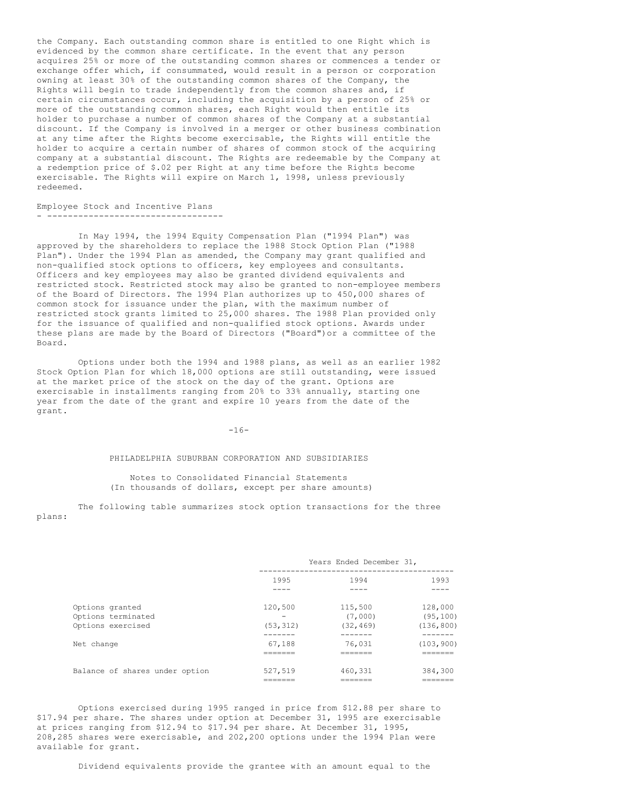the Company. Each outstanding common share is entitled to one Right which is evidenced by the common share certificate. In the event that any person acquires 25% or more of the outstanding common shares or commences a tender or exchange offer which, if consummated, would result in a person or corporation owning at least 30% of the outstanding common shares of the Company, the Rights will begin to trade independently from the common shares and, if certain circumstances occur, including the acquisition by a person of 25% or more of the outstanding common shares, each Right would then entitle its holder to purchase a number of common shares of the Company at a substantial discount. If the Company is involved in a merger or other business combination at any time after the Rights become exercisable, the Rights will entitle the holder to acquire a certain number of shares of common stock of the acquiring company at a substantial discount. The Rights are redeemable by the Company at a redemption price of \$.02 per Right at any time before the Rights become exercisable. The Rights will expire on March 1, 1998, unless previously redeemed.

#### Employee Stock and Incentive Plans - ----------------------------------

In May 1994, the 1994 Equity Compensation Plan ("1994 Plan") was approved by the shareholders to replace the 1988 Stock Option Plan ("1988 Plan"). Under the 1994 Plan as amended, the Company may grant qualified and non-qualified stock options to officers, key employees and consultants. Officers and key employees may also be granted dividend equivalents and restricted stock. Restricted stock may also be granted to non-employee members of the Board of Directors. The 1994 Plan authorizes up to 450,000 shares of common stock for issuance under the plan, with the maximum number of restricted stock grants limited to 25,000 shares. The 1988 Plan provided only for the issuance of qualified and non-qualified stock options. Awards under these plans are made by the Board of Directors ("Board")or a committee of the Board.

Options under both the 1994 and 1988 plans, as well as an earlier 1982 Stock Option Plan for which 18,000 options are still outstanding, were issued at the market price of the stock on the day of the grant. Options are exercisable in installments ranging from 20% to 33% annually, starting one year from the date of the grant and expire 10 years from the date of the grant.

#### $-16-$

#### PHILADELPHIA SUBURBAN CORPORATION AND SUBSIDIARIES

Notes to Consolidated Financial Statements (In thousands of dollars, except per share amounts)

The following table summarizes stock option transactions for the three plans:

|                                                            | Years Ended December 31, |                                 |                                    |
|------------------------------------------------------------|--------------------------|---------------------------------|------------------------------------|
|                                                            | 1995                     | 1994                            | 1993                               |
| Options granted<br>Options terminated<br>Options exercised | 120,500<br>(53, 312)     | 115,500<br>(7,000)<br>(32, 469) | 128,000<br>(95, 100)<br>(136, 800) |
| Net change                                                 | 67,188<br>--------       | 76.031                          | (103, 900)                         |
| Balance of shares under option                             | 527,519                  | 460,331                         | 384,300                            |

Options exercised during 1995 ranged in price from \$12.88 per share to \$17.94 per share. The shares under option at December 31, 1995 are exercisable at prices ranging from \$12.94 to \$17.94 per share. At December 31, 1995, 208,285 shares were exercisable, and 202,200 options under the 1994 Plan were available for grant.

Dividend equivalents provide the grantee with an amount equal to the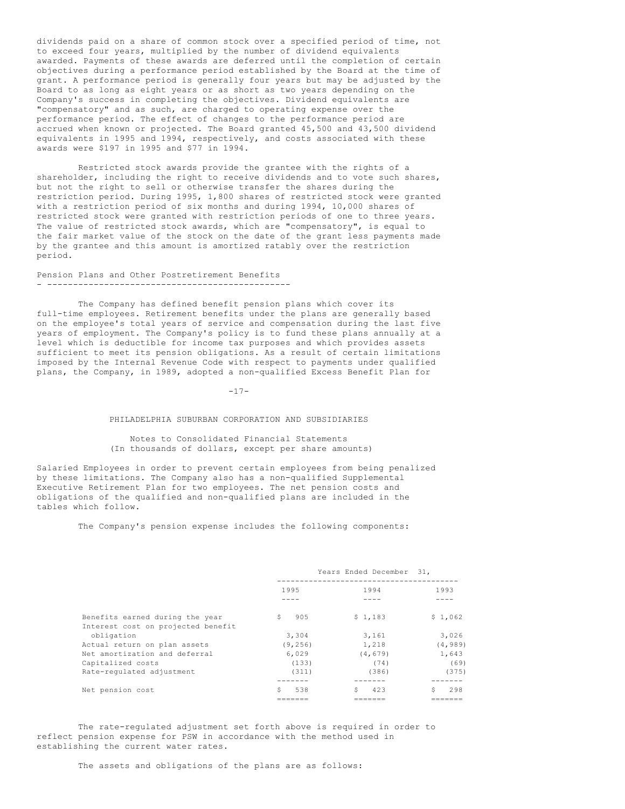dividends paid on a share of common stock over a specified period of time, not to exceed four years, multiplied by the number of dividend equivalents awarded. Payments of these awards are deferred until the completion of certain objectives during a performance period established by the Board at the time of grant. A performance period is generally four years but may be adjusted by the Board to as long as eight years or as short as two years depending on the Company's success in completing the objectives. Dividend equivalents are "compensatory" and as such, are charged to operating expense over the performance period. The effect of changes to the performance period are accrued when known or projected. The Board granted 45,500 and 43,500 dividend equivalents in 1995 and 1994, respectively, and costs associated with these awards were \$197 in 1995 and \$77 in 1994.

Restricted stock awards provide the grantee with the rights of a shareholder, including the right to receive dividends and to vote such shares, but not the right to sell or otherwise transfer the shares during the restriction period. During 1995, 1,800 shares of restricted stock were granted with a restriction period of six months and during 1994, 10,000 shares of restricted stock were granted with restriction periods of one to three years. The value of restricted stock awards, which are "compensatory", is equal to the fair market value of the stock on the date of the grant less payments made by the grantee and this amount is amortized ratably over the restriction period.

#### Pension Plans and Other Postretirement Benefits - -----------------------------------------------

The Company has defined benefit pension plans which cover its full-time employees. Retirement benefits under the plans are generally based on the employee's total years of service and compensation during the last five years of employment. The Company's policy is to fund these plans annually at a level which is deductible for income tax purposes and which provides assets sufficient to meet its pension obligations. As a result of certain limitations imposed by the Internal Revenue Code with respect to payments under qualified plans, the Company, in 1989, adopted a non-qualified Excess Benefit Plan for

 $-17-$ 

### PHILADELPHIA SUBURBAN CORPORATION AND SUBSIDIARIES

# Notes to Consolidated Financial Statements (In thousands of dollars, except per share amounts)

Salaried Employees in order to prevent certain employees from being penalized by these limitations. The Company also has a non-qualified Supplemental Executive Retirement Plan for two employees. The net pension costs and obligations of the qualified and non-qualified plans are included in the tables which follow.

The Company's pension expense includes the following components:

|                                    | Years Ended December 31, |          |           |
|------------------------------------|--------------------------|----------|-----------|
|                                    | 1995                     | 1994     | 1993      |
|                                    |                          |          |           |
| Benefits earned during the year    | 905<br>\$.               | \$1,183  | \$1,062   |
| Interest cost on projected benefit |                          |          |           |
| obligation                         | 3,304                    | 3,161    | 3,026     |
| Actual return on plan assets       | (9, 256)                 | 1,218    | (4, 989)  |
| Net amortization and deferral      | 6,029                    | (4, 679) | 1,643     |
| Capitalized costs                  | (133)                    | (74)     | (69)      |
| Rate-regulated adjustment          | (311)                    | (386)    | (375)     |
|                                    |                          |          |           |
| Net pension cost                   | Ŝ<br>538                 | 423      | 298<br>Ŝ. |
|                                    |                          |          |           |

The rate-regulated adjustment set forth above is required in order to reflect pension expense for PSW in accordance with the method used in establishing the current water rates.

The assets and obligations of the plans are as follows: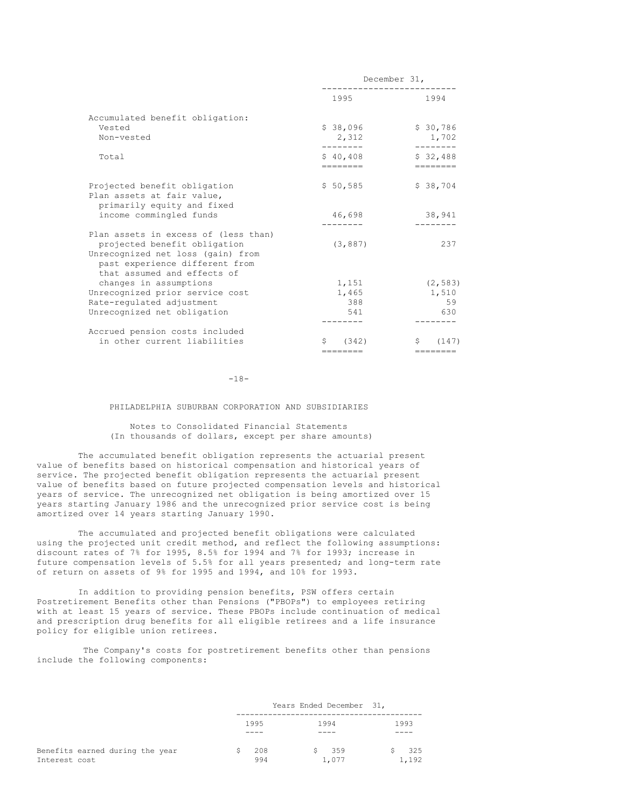|                                                                                                                                                                            | necemper of' |                   |  |
|----------------------------------------------------------------------------------------------------------------------------------------------------------------------------|--------------|-------------------|--|
|                                                                                                                                                                            | 1995         | 1994              |  |
| Accumulated benefit obligation:                                                                                                                                            |              |                   |  |
| Vested                                                                                                                                                                     | \$38,096     | \$30,786          |  |
| Non-vested                                                                                                                                                                 | 2,312        | 1,702             |  |
| Total                                                                                                                                                                      | \$40,408     | \$32,488          |  |
|                                                                                                                                                                            |              | $=$ = = = = = = = |  |
| Projected benefit obligation<br>Plan assets at fair value,                                                                                                                 | \$50,585     | \$38,704          |  |
| primarily equity and fixed<br>income commingled funds                                                                                                                      | 46,698       | 38,941            |  |
| Plan assets in excess of (less than)<br>projected benefit obligation<br>Unrecognized net loss (gain) from<br>past experience different from<br>that assumed and effects of | (3, 887)     | 237               |  |
| changes in assumptions                                                                                                                                                     | 1,151        | (2, 583)          |  |
| Unrecognized prior service cost                                                                                                                                            | 1,465        | 1,510             |  |
| Rate-regulated adjustment                                                                                                                                                  | 388          | 59                |  |
| Unrecognized net obligation                                                                                                                                                | 541          | 630               |  |
| Accrued pension costs included                                                                                                                                             |              |                   |  |
| in other current liabilities                                                                                                                                               | \$ (342)     | \$ (147)          |  |
|                                                                                                                                                                            | ========     |                   |  |

December 31,

 $-18-$ 

PHILADELPHIA SUBURBAN CORPORATION AND SUBSIDIARIES

Notes to Consolidated Financial Statements (In thousands of dollars, except per share amounts)

The accumulated benefit obligation represents the actuarial present value of benefits based on historical compensation and historical years of service. The projected benefit obligation represents the actuarial present value of benefits based on future projected compensation levels and historical years of service. The unrecognized net obligation is being amortized over 15 years starting January 1986 and the unrecognized prior service cost is being amortized over 14 years starting January 1990.

The accumulated and projected benefit obligations were calculated using the projected unit credit method, and reflect the following assumptions: discount rates of 7% for 1995, 8.5% for 1994 and 7% for 1993; increase in future compensation levels of 5.5% for all years presented; and long-term rate of return on assets of 9% for 1995 and 1994, and 10% for 1993.

In addition to providing pension benefits, PSW offers certain Postretirement Benefits other than Pensions ("PBOPs") to employees retiring with at least 15 years of service. These PBOPs include continuation of medical and prescription drug benefits for all eligible retirees and a life insurance policy for eligible union retirees.

The Company's costs for postretirement benefits other than pensions include the following components:

|                                 |      | Years Ended December 31, |       |      |       |
|---------------------------------|------|--------------------------|-------|------|-------|
|                                 | 1995 |                          | 1994  | 1993 |       |
|                                 |      |                          |       |      |       |
| Benefits earned during the year | 208  |                          | \$359 |      | 325   |
| Interest cost                   | 994  |                          | 1,077 |      | 1,192 |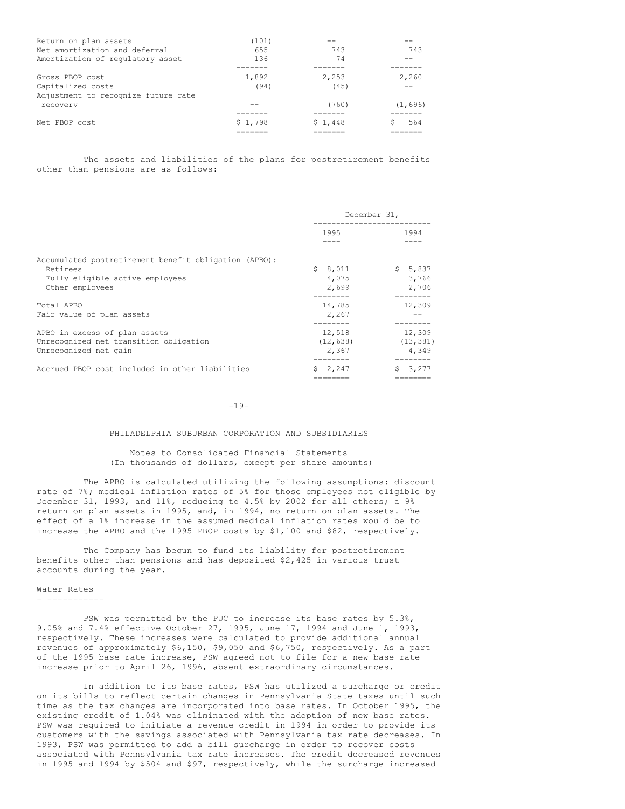| Return on plan assets               | (101)   |         |         |
|-------------------------------------|---------|---------|---------|
| Net amortization and deferral       | 655     | 743     | 743     |
| Amortization of regulatory asset    | 136     | 74      |         |
|                                     |         |         |         |
| Gross PBOP cost                     | 1,892   | 2.253   | 2,260   |
| Capitalized costs                   | (94)    | (45)    |         |
| Adjustment to recognize future rate |         |         |         |
| recovery                            |         | (760)   | (1,696) |
|                                     |         |         |         |
| Net PBOP cost                       | \$1,798 | \$1,448 | 564     |
|                                     |         |         |         |

The assets and liabilities of the plans for postretirement benefits other than pensions are as follows:

|                                                                                                                         | December 31,                  |                              |
|-------------------------------------------------------------------------------------------------------------------------|-------------------------------|------------------------------|
|                                                                                                                         | 1995                          | 1994                         |
| Accumulated postretirement benefit obligation (APBO):<br>Retirees<br>Fully eligible active employees<br>Other employees | S.<br>8,011<br>4,075<br>2,699 | \$5,837<br>3,766<br>2,706    |
| Total APBO<br>Fair value of plan assets                                                                                 | 14,785<br>2,267               | 12,309                       |
| APBO in excess of plan assets<br>Unrecognized net transition obligation<br>Unrecognized net gain                        | 12,518<br>(12, 638)<br>2,367  | 12,309<br>(13, 381)<br>4.349 |
| Accrued PBOP cost included in other liabilities                                                                         | \$2,247                       | \$3,277                      |

 $-19-$ 

======== ========

#### PHILADELPHIA SUBURBAN CORPORATION AND SUBSIDIARIES

## Notes to Consolidated Financial Statements (In thousands of dollars, except per share amounts)

The APBO is calculated utilizing the following assumptions: discount rate of 7%; medical inflation rates of 5% for those employees not eligible by December 31, 1993, and 11%, reducing to 4.5% by 2002 for all others; a 9% return on plan assets in 1995, and, in 1994, no return on plan assets. The effect of a 1% increase in the assumed medical inflation rates would be to increase the APBO and the 1995 PBOP costs by \$1,100 and \$82, respectively.

The Company has begun to fund its liability for postretirement benefits other than pensions and has deposited \$2,425 in various trust accounts during the year.

# Water Rates

- -----------

PSW was permitted by the PUC to increase its base rates by 5.3%, 9.05% and 7.4% effective October 27, 1995, June 17, 1994 and June 1, 1993, respectively. These increases were calculated to provide additional annual revenues of approximately \$6,150, \$9,050 and \$6,750, respectively. As a part of the 1995 base rate increase, PSW agreed not to file for a new base rate increase prior to April 26, 1996, absent extraordinary circumstances.

In addition to its base rates, PSW has utilized a surcharge or credit on its bills to reflect certain changes in Pennsylvania State taxes until such time as the tax changes are incorporated into base rates. In October 1995, the existing credit of 1.04% was eliminated with the adoption of new base rates. PSW was required to initiate a revenue credit in 1994 in order to provide its customers with the savings associated with Pennsylvania tax rate decreases. In 1993, PSW was permitted to add a bill surcharge in order to recover costs associated with Pennsylvania tax rate increases. The credit decreased revenues in 1995 and 1994 by \$504 and \$97, respectively, while the surcharge increased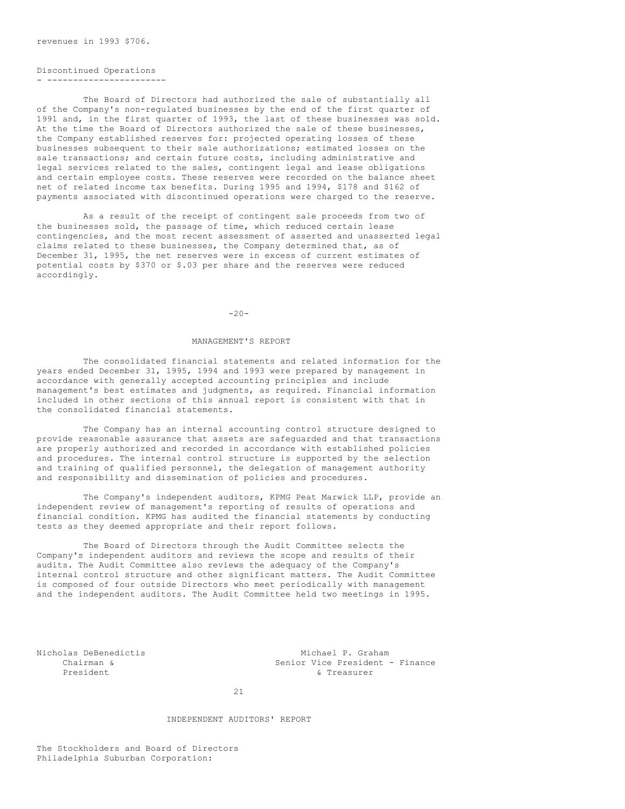revenues in 1993 \$706.

# Discontinued Operations

- -----------------------

The Board of Directors had authorized the sale of substantially all of the Company's non-regulated businesses by the end of the first quarter of 1991 and, in the first quarter of 1993, the last of these businesses was sold. At the time the Board of Directors authorized the sale of these businesses, the Company established reserves for: projected operating losses of these businesses subsequent to their sale authorizations; estimated losses on the sale transactions; and certain future costs, including administrative and legal services related to the sales, contingent legal and lease obligations and certain employee costs. These reserves were recorded on the balance sheet net of related income tax benefits. During 1995 and 1994, \$178 and \$162 of payments associated with discontinued operations were charged to the reserve.

As a result of the receipt of contingent sale proceeds from two of the businesses sold, the passage of time, which reduced certain lease contingencies, and the most recent assessment of asserted and unasserted legal claims related to these businesses, the Company determined that, as of December 31, 1995, the net reserves were in excess of current estimates of potential costs by \$370 or \$.03 per share and the reserves were reduced accordingly.

 $-20-$ 

### MANAGEMENT'S REPORT

The consolidated financial statements and related information for the years ended December 31, 1995, 1994 and 1993 were prepared by management in accordance with generally accepted accounting principles and include management's best estimates and judgments, as required. Financial information included in other sections of this annual report is consistent with that in the consolidated financial statements.

The Company has an internal accounting control structure designed to provide reasonable assurance that assets are safeguarded and that transactions are properly authorized and recorded in accordance with established policies and procedures. The internal control structure is supported by the selection and training of qualified personnel, the delegation of management authority and responsibility and dissemination of policies and procedures.

The Company's independent auditors, KPMG Peat Marwick LLP, provide an independent review of management's reporting of results of operations and financial condition. KPMG has audited the financial statements by conducting tests as they deemed appropriate and their report follows.

The Board of Directors through the Audit Committee selects the Company's independent auditors and reviews the scope and results of their audits. The Audit Committee also reviews the adequacy of the Company's internal control structure and other significant matters. The Audit Committee is composed of four outside Directors who meet periodically with management and the independent auditors. The Audit Committee held two meetings in 1995.

Nicholas DeBenedictis<br>
Chairman & Senior Vice President . Senior Vice President - Finance President & Treasurer

21

### INDEPENDENT AUDITORS' REPORT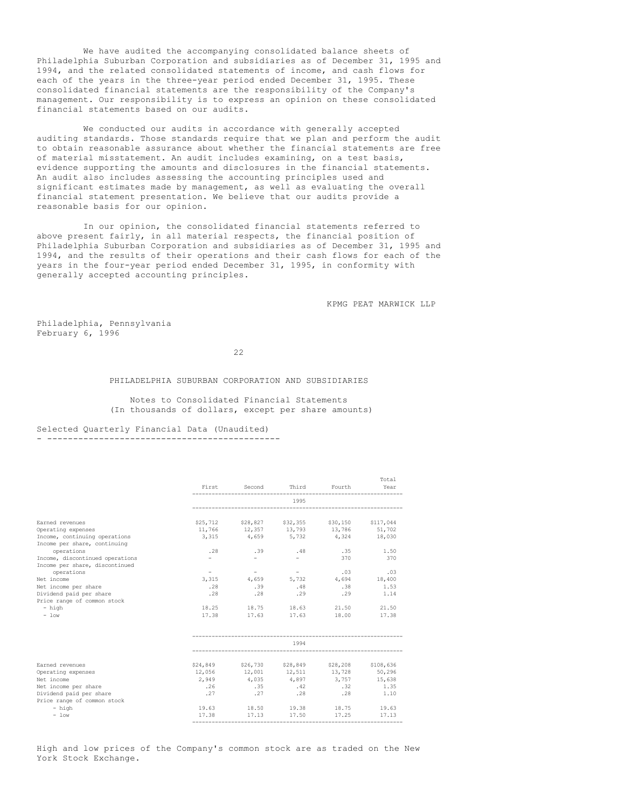We have audited the accompanying consolidated balance sheets of Philadelphia Suburban Corporation and subsidiaries as of December 31, 1995 and 1994, and the related consolidated statements of income, and cash flows for each of the years in the three-year period ended December 31, 1995. These consolidated financial statements are the responsibility of the Company's management. Our responsibility is to express an opinion on these consolidated financial statements based on our audits.

We conducted our audits in accordance with generally accepted auditing standards. Those standards require that we plan and perform the audit to obtain reasonable assurance about whether the financial statements are free of material misstatement. An audit includes examining, on a test basis, evidence supporting the amounts and disclosures in the financial statements. An audit also includes assessing the accounting principles used and significant estimates made by management, as well as evaluating the overall financial statement presentation. We believe that our audits provide a reasonable basis for our opinion.

In our opinion, the consolidated financial statements referred to above present fairly, in all material respects, the financial position of Philadelphia Suburban Corporation and subsidiaries as of December 31, 1995 and 1994, and the results of their operations and their cash flows for each of the years in the four-year period ended December 31, 1995, in conformity with generally accepted accounting principles.

KPMG PEAT MARWICK LLP

Philadelphia, Pennsylvania February 6, 1996

22

#### PHILADELPHIA SUBURBAN CORPORATION AND SUBSIDIARIES

Notes to Consolidated Financial Statements (In thousands of dollars, except per share amounts)

# Selected Quarterly Financial Data (Unaudited)

- ---------------------------------------------

|                                 |                  |                                              |                          |                             | Total     |
|---------------------------------|------------------|----------------------------------------------|--------------------------|-----------------------------|-----------|
|                                 | First            | Second                                       | Third                    | Fourth                      | Year      |
|                                 |                  |                                              | 1995                     |                             |           |
| Earned revenues                 |                  | \$25,712 \$28,827                            |                          | \$32,355 \$30,150 \$117,044 |           |
| Operating expenses              |                  | $11,766$ $12,357$ $13,793$ $13,786$ $51,702$ |                          |                             |           |
| Income, continuing operations   |                  | 3,315 4,659 5,732 4,324 18,030               |                          |                             |           |
| Income per share, continuing    |                  |                                              |                          |                             |           |
| operations                      | .28              | .39                                          | .48                      | $.35 -$                     | 1.50      |
| Income, discontinued operations | $-$              | $\sim$                                       | $\equiv$                 | 370                         | 370       |
| Income per share, discontinued  |                  |                                              |                          |                             |           |
| operations                      | $\sim$ 100 $\mu$ | $\sim$ $-$                                   | <b>Contract Contract</b> | .03                         | .03       |
| Net income                      | 3,315            | 4,659                                        |                          | 5,732 4,694 18,400          |           |
| Net income per share            | .28              | .39                                          | .48                      | .38                         | 1.53      |
| Dividend paid per share         | .28              | .28                                          | .29                      | .29                         | 1.14      |
| Price range of common stock     |                  |                                              |                          |                             |           |
| - high                          |                  | 18.25 18.75 18.63 21.50                      |                          |                             | 21.50     |
| $-$ low                         | 17.38            | 17.63 17.63 18.00                            |                          |                             | 17.38     |
|                                 |                  |                                              |                          |                             |           |
|                                 |                  |                                              | 1994                     |                             |           |
| Earned revenues                 |                  | \$24,849 \$26,730 \$28,849 \$28,208          |                          |                             | \$108,636 |
| Operating expenses              | 12,056           | 12,001 12,511 13,728                         |                          |                             | 50,296    |
| Net income                      | 2,949            | 4,035                                        | 4,897                    | 3,757                       | 15,638    |
| Net income per share            | .26              | .35                                          | .42                      | .32                         | 1.35      |
| Dividend paid per share         | .27              | .27                                          | .28                      | .28                         | 1.10      |
| Price range of common stock     |                  |                                              |                          |                             |           |
| - high                          | 19.63            | 18.50                                        | 19.38                    | 18.75                       | 19.63     |
| $-$ low                         | 17.38            | 17.13                                        | 17.50                    | 17.25                       | 17.13     |

High and low prices of the Company's common stock are as traded on the New York Stock Exchange.

-----------------------------------------------------------------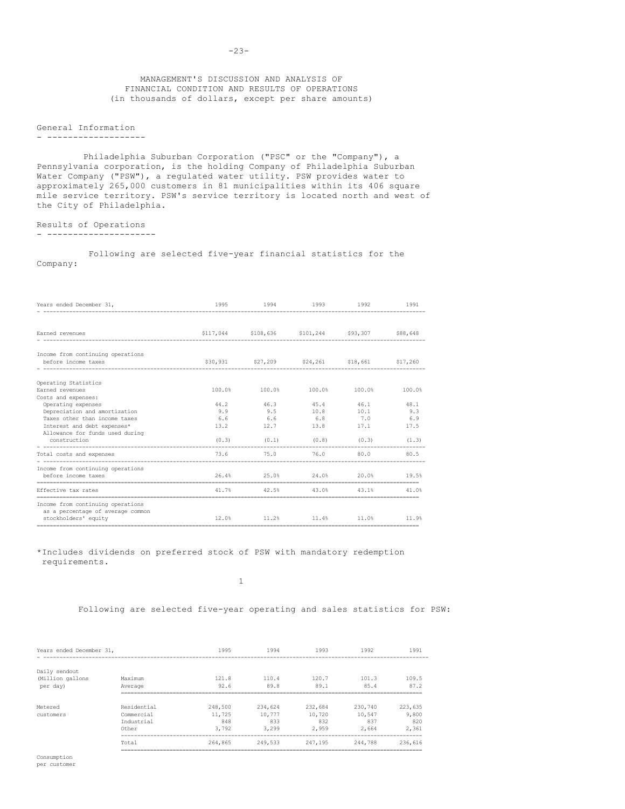# MANAGEMENT'S DISCUSSION AND ANALYSIS OF FINANCIAL CONDITION AND RESULTS OF OPERATIONS (in thousands of dollars, except per share amounts)

# General Information

#### - -------------------

Philadelphia Suburban Corporation ("PSC" or the "Company"), a Pennsylvania corporation, is the holding Company of Philadelphia Suburban Water Company ("PSW"), a regulated water utility. PSW provides water to approximately 265,000 customers in 81 municipalities within its 406 square mile service territory. PSW's service territory is located north and west of the City of Philadelphia.

# Results of Operations

- ---------------------

Following are selected five-year financial statistics for the Company:

| Years ended December 31,                         | 1995   | 1994                                            | 1993 1992               |        | 1991       |
|--------------------------------------------------|--------|-------------------------------------------------|-------------------------|--------|------------|
|                                                  |        |                                                 |                         |        |            |
| Earned revenues                                  |        | \$117,044 \$108,636 \$101,244 \$93,307 \$88,648 |                         |        |            |
| Income from continuing operations                |        |                                                 |                         |        |            |
| before income taxes                              |        | \$30,931 \$27,209 \$24,261 \$18,661 \$17,260    |                         |        |            |
| Operating Statistics                             |        |                                                 |                         |        |            |
| Earned revenues                                  | 100.0% | 100.0%                                          | 100.0%                  | 100.0% | 100.0%     |
| Costs and expenses:                              |        |                                                 |                         |        |            |
| Operating expenses                               | 44.2   | 46.3                                            | 45.4                    | 46.1   | 48.1       |
| Depreciation and amortization                    | 9.9    | 9.5                                             | 10.8                    |        | $10.1$ 9.3 |
| Taxes other than income taxes                    | 6.6    | 6.6                                             | 6.8                     | 7.0    | 6.9        |
| Interest and debt expenses*                      | 13.2   | 12.7                                            | 13.8 17.1               |        | 17.5       |
| Allowance for funds used during                  |        |                                                 |                         |        |            |
| construction                                     |        | $(0.3)$ $(0.1)$ $(0.8)$ $(0.3)$ $(1.3)$         |                         |        |            |
| Total costs and expenses                         | 73.6   | 75.0 76.0                                       |                         |        | 80.0 80.5  |
| Income from continuing operations                |        |                                                 |                         |        |            |
| before income taxes<br>------------------------- |        | 26.4% 25.0% 24.0% 20.0% 19.5%                   |                         |        |            |
| Effective tax rates                              |        | 41.7% 42.5% 43.0% 43.1% 41.0%                   |                         |        |            |
| Income from continuing operations                |        |                                                 |                         |        |            |
| as a percentage of average common                |        |                                                 |                         |        |            |
| stockholders' equity                             | 12.0%  |                                                 | 11.2% 11.4% 11.0% 11.9% |        |            |
| -------------------------------                  |        |                                                 |                         |        |            |

\*Includes dividends on preferred stock of PSW with mandatory redemption requirements.

1

Following are selected five-year operating and sales statistics for PSW:

| Years ended December 31,                      |                                       | 1995                   | 1994                   | 1993                   | 1992                   | 1991                       |
|-----------------------------------------------|---------------------------------------|------------------------|------------------------|------------------------|------------------------|----------------------------|
| Daily sendout<br>(Million gallons<br>per day) | Maximum<br>Average                    | 121.8<br>92.6          | 110.4<br>89.8          | 120.7<br>89.1          | 101.3<br>85.4          | 109.5<br>87.2              |
| Metered                                       | -------------<br>Residential          | 248,500                | 234,624                | 232,684                | 230,740                | ---------------<br>223,635 |
| customers                                     | Commercial<br>Industrial<br>Other     | 11,725<br>848<br>3,792 | 10.777<br>833<br>3,299 | 10,720<br>832<br>2.959 | 10,547<br>837<br>2,664 | 9,800<br>820<br>2,361      |
|                                               | Total<br>---------------------------- | 264,865                | 249,533                | 247.195                | 244,788                | 236,616                    |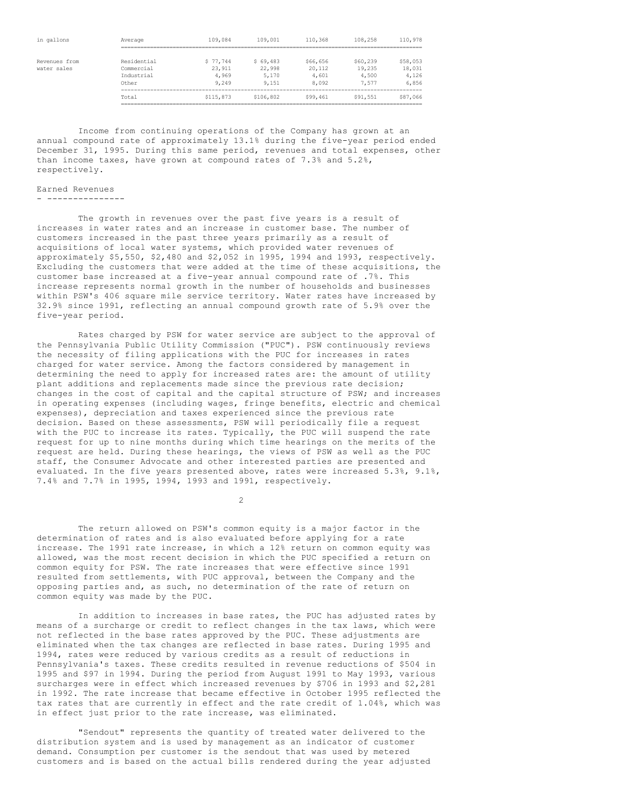| in gallons    | Average     | 109,084   | 109,001   | 110,368  | 108,258  | 110,978  |
|---------------|-------------|-----------|-----------|----------|----------|----------|
|               |             |           |           |          |          |          |
| Revenues from | Residential | \$77.744  | \$69,483  | \$66,656 | \$60,239 | \$58,053 |
| water sales   | Commercial  | 23,911    | 22,998    | 20,112   | 19,235   | 18,031   |
|               | Industrial  | 4,969     | 5,170     | 4,601    | 4,500    | 4,126    |
|               | Other       | 9,249     | 9,151     | 8,092    | .577     | 6,856    |
|               | Total       | \$115,873 | \$106,802 | \$99,461 | \$91,551 | \$87,066 |

Income from continuing operations of the Company has grown at an annual compound rate of approximately 13.1% during the five-year period ended December 31, 1995. During this same period, revenues and total expenses, other than income taxes, have grown at compound rates of 7.3% and 5.2%, respectively.

### Earned Revenues

- ---------------

The growth in revenues over the past five years is a result of increases in water rates and an increase in customer base. The number of customers increased in the past three years primarily as a result of acquisitions of local water systems, which provided water revenues of approximately \$5,550, \$2,480 and \$2,052 in 1995, 1994 and 1993, respectively. Excluding the customers that were added at the time of these acquisitions, the customer base increased at a five-year annual compound rate of .7%. This increase represents normal growth in the number of households and businesses within PSW's 406 square mile service territory. Water rates have increased by 32.9% since 1991, reflecting an annual compound growth rate of 5.9% over the five-year period.

Rates charged by PSW for water service are subject to the approval of the Pennsylvania Public Utility Commission ("PUC"). PSW continuously reviews the necessity of filing applications with the PUC for increases in rates charged for water service. Among the factors considered by management in determining the need to apply for increased rates are: the amount of utility plant additions and replacements made since the previous rate decision; changes in the cost of capital and the capital structure of PSW; and increases in operating expenses (including wages, fringe benefits, electric and chemical expenses), depreciation and taxes experienced since the previous rate decision. Based on these assessments, PSW will periodically file a request with the PUC to increase its rates. Typically, the PUC will suspend the rate request for up to nine months during which time hearings on the merits of the request are held. During these hearings, the views of PSW as well as the PUC staff, the Consumer Advocate and other interested parties are presented and evaluated. In the five years presented above, rates were increased 5.3%, 9.1%, 7.4% and 7.7% in 1995, 1994, 1993 and 1991, respectively.

The return allowed on PSW's common equity is a major factor in the determination of rates and is also evaluated before applying for a rate increase. The 1991 rate increase, in which a 12% return on common equity was allowed, was the most recent decision in which the PUC specified a return on common equity for PSW. The rate increases that were effective since 1991 resulted from settlements, with PUC approval, between the Company and the opposing parties and, as such, no determination of the rate of return on common equity was made by the PUC.

2

In addition to increases in base rates, the PUC has adjusted rates by means of a surcharge or credit to reflect changes in the tax laws, which were not reflected in the base rates approved by the PUC. These adjustments are eliminated when the tax changes are reflected in base rates. During 1995 and 1994, rates were reduced by various credits as a result of reductions in Pennsylvania's taxes. These credits resulted in revenue reductions of \$504 in 1995 and \$97 in 1994. During the period from August 1991 to May 1993, various surcharges were in effect which increased revenues by \$706 in 1993 and \$2,281 in 1992. The rate increase that became effective in October 1995 reflected the tax rates that are currently in effect and the rate credit of 1.04%, which was in effect just prior to the rate increase, was eliminated.

"Sendout" represents the quantity of treated water delivered to the distribution system and is used by management as an indicator of customer demand. Consumption per customer is the sendout that was used by metered customers and is based on the actual bills rendered during the year adjusted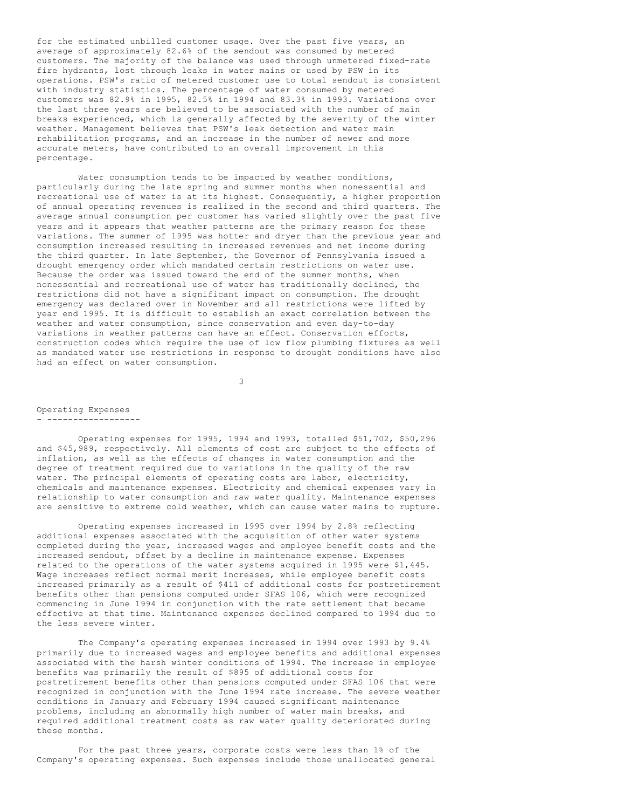for the estimated unbilled customer usage. Over the past five years, an average of approximately 82.6% of the sendout was consumed by metered customers. The majority of the balance was used through unmetered fixed-rate fire hydrants, lost through leaks in water mains or used by PSW in its operations. PSW's ratio of metered customer use to total sendout is consistent with industry statistics. The percentage of water consumed by metered customers was 82.9% in 1995, 82.5% in 1994 and 83.3% in 1993. Variations over the last three years are believed to be associated with the number of main breaks experienced, which is generally affected by the severity of the winter weather. Management believes that PSW's leak detection and water main rehabilitation programs, and an increase in the number of newer and more accurate meters, have contributed to an overall improvement in this percentage.

Water consumption tends to be impacted by weather conditions, particularly during the late spring and summer months when nonessential and recreational use of water is at its highest. Consequently, a higher proportion of annual operating revenues is realized in the second and third quarters. The average annual consumption per customer has varied slightly over the past five years and it appears that weather patterns are the primary reason for these variations. The summer of 1995 was hotter and dryer than the previous year and consumption increased resulting in increased revenues and net income during the third quarter. In late September, the Governor of Pennsylvania issued a drought emergency order which mandated certain restrictions on water use. Because the order was issued toward the end of the summer months, when nonessential and recreational use of water has traditionally declined, the restrictions did not have a significant impact on consumption. The drought emergency was declared over in November and all restrictions were lifted by year end 1995. It is difficult to establish an exact correlation between the weather and water consumption, since conservation and even day-to-day variations in weather patterns can have an effect. Conservation efforts, construction codes which require the use of low flow plumbing fixtures as well as mandated water use restrictions in response to drought conditions have also had an effect on water consumption.

3

#### Operating Expenses - ------------------

Operating expenses for 1995, 1994 and 1993, totalled \$51,702, \$50,296 and \$45,989, respectively. All elements of cost are subject to the effects of inflation, as well as the effects of changes in water consumption and the degree of treatment required due to variations in the quality of the raw water. The principal elements of operating costs are labor, electricity, chemicals and maintenance expenses. Electricity and chemical expenses vary in relationship to water consumption and raw water quality. Maintenance expenses are sensitive to extreme cold weather, which can cause water mains to rupture.

Operating expenses increased in 1995 over 1994 by 2.8% reflecting additional expenses associated with the acquisition of other water systems completed during the year, increased wages and employee benefit costs and the increased sendout, offset by a decline in maintenance expense. Expenses related to the operations of the water systems acquired in 1995 were \$1,445. Wage increases reflect normal merit increases, while employee benefit costs increased primarily as a result of \$411 of additional costs for postretirement benefits other than pensions computed under SFAS 106, which were recognized commencing in June 1994 in conjunction with the rate settlement that became effective at that time. Maintenance expenses declined compared to 1994 due to the less severe winter.

The Company's operating expenses increased in 1994 over 1993 by 9.4% primarily due to increased wages and employee benefits and additional expenses associated with the harsh winter conditions of 1994. The increase in employee benefits was primarily the result of \$895 of additional costs for postretirement benefits other than pensions computed under SFAS 106 that were recognized in conjunction with the June 1994 rate increase. The severe weather conditions in January and February 1994 caused significant maintenance problems, including an abnormally high number of water main breaks, and required additional treatment costs as raw water quality deteriorated during these months.

For the past three years, corporate costs were less than 1% of the Company's operating expenses. Such expenses include those unallocated general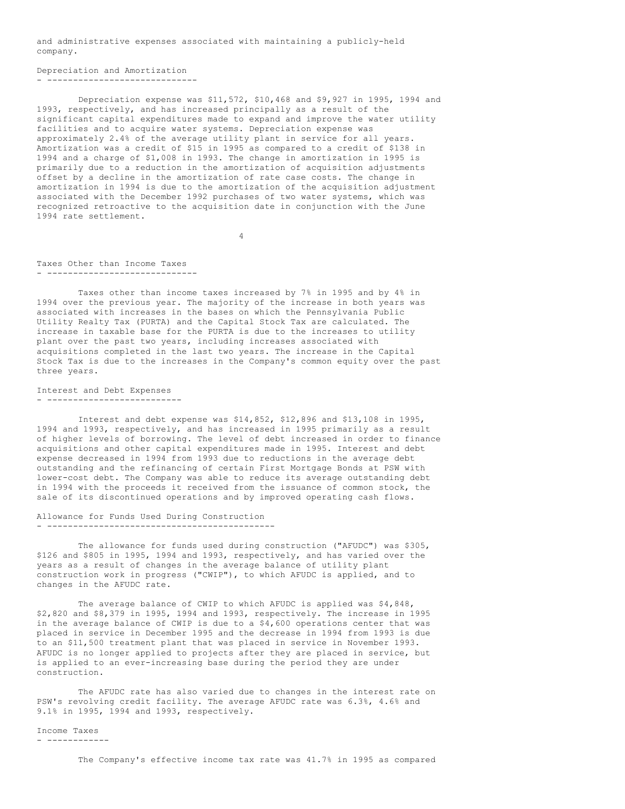and administrative expenses associated with maintaining a publicly-held company.

```
Depreciation and Amortization
- -----------------------------
```
Depreciation expense was \$11,572, \$10,468 and \$9,927 in 1995, 1994 and 1993, respectively, and has increased principally as a result of the significant capital expenditures made to expand and improve the water utility facilities and to acquire water systems. Depreciation expense was approximately 2.4% of the average utility plant in service for all years. Amortization was a credit of \$15 in 1995 as compared to a credit of \$138 in 1994 and a charge of \$1,008 in 1993. The change in amortization in 1995 is primarily due to a reduction in the amortization of acquisition adjustments offset by a decline in the amortization of rate case costs. The change in amortization in 1994 is due to the amortization of the acquisition adjustment associated with the December 1992 purchases of two water systems, which was recognized retroactive to the acquisition date in conjunction with the June 1994 rate settlement.

4

#### Taxes Other than Income Taxes - -----------------------------

Taxes other than income taxes increased by 7% in 1995 and by 4% in 1994 over the previous year. The majority of the increase in both years was associated with increases in the bases on which the Pennsylvania Public Utility Realty Tax (PURTA) and the Capital Stock Tax are calculated. The increase in taxable base for the PURTA is due to the increases to utility plant over the past two years, including increases associated with acquisitions completed in the last two years. The increase in the Capital Stock Tax is due to the increases in the Company's common equity over the past three years.

# Interest and Debt Expenses - --------------------------

Interest and debt expense was \$14,852, \$12,896 and \$13,108 in 1995, 1994 and 1993, respectively, and has increased in 1995 primarily as a result of higher levels of borrowing. The level of debt increased in order to finance acquisitions and other capital expenditures made in 1995. Interest and debt expense decreased in 1994 from 1993 due to reductions in the average debt outstanding and the refinancing of certain First Mortgage Bonds at PSW with lower-cost debt. The Company was able to reduce its average outstanding debt in 1994 with the proceeds it received from the issuance of common stock, the sale of its discontinued operations and by improved operating cash flows.

#### Allowance for Funds Used During Construction - --------------------------------------------

The allowance for funds used during construction ("AFUDC") was \$305, \$126 and \$805 in 1995, 1994 and 1993, respectively, and has varied over the years as a result of changes in the average balance of utility plant construction work in progress ("CWIP"), to which AFUDC is applied, and to changes in the AFUDC rate.

The average balance of CWIP to which AFUDC is applied was \$4,848, \$2,820 and \$8,379 in 1995, 1994 and 1993, respectively. The increase in 1995 in the average balance of CWIP is due to a  $$4,600$  operations center that was placed in service in December 1995 and the decrease in 1994 from 1993 is due to an \$11,500 treatment plant that was placed in service in November 1993. AFUDC is no longer applied to projects after they are placed in service, but is applied to an ever-increasing base during the period they are under construction.

The AFUDC rate has also varied due to changes in the interest rate on PSW's revolving credit facility. The average AFUDC rate was 6.3%, 4.6% and 9.1% in 1995, 1994 and 1993, respectively.

Income Taxes - ------------

The Company's effective income tax rate was 41.7% in 1995 as compared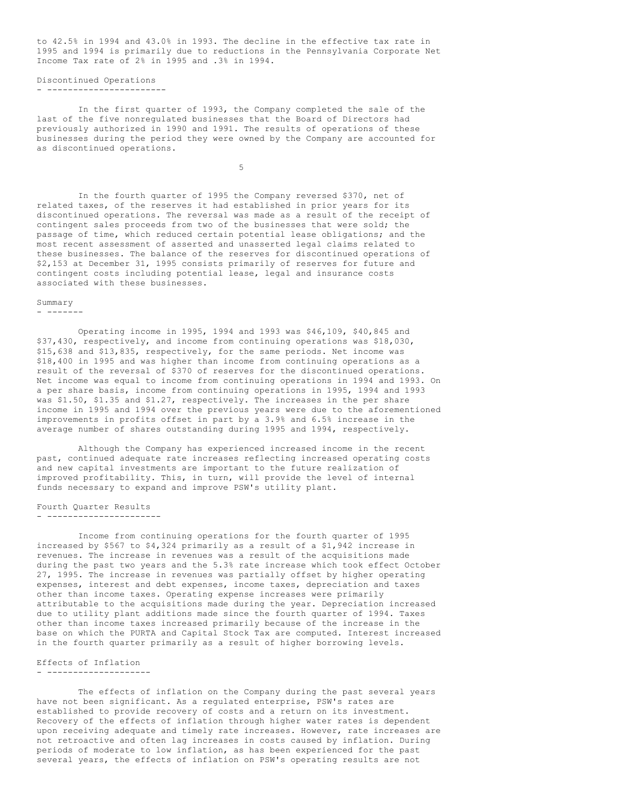to 42.5% in 1994 and 43.0% in 1993. The decline in the effective tax rate in 1995 and 1994 is primarily due to reductions in the Pennsylvania Corporate Net Income Tax rate of 2% in 1995 and .3% in 1994.

Discontinued Operations - -----------------------

In the first quarter of 1993, the Company completed the sale of the last of the five nonregulated businesses that the Board of Directors had previously authorized in 1990 and 1991. The results of operations of these businesses during the period they were owned by the Company are accounted for as discontinued operations.

5

In the fourth quarter of 1995 the Company reversed \$370, net of related taxes, of the reserves it had established in prior years for its discontinued operations. The reversal was made as a result of the receipt of contingent sales proceeds from two of the businesses that were sold; the passage of time, which reduced certain potential lease obligations; and the most recent assessment of asserted and unasserted legal claims related to these businesses. The balance of the reserves for discontinued operations of \$2,153 at December 31, 1995 consists primarily of reserves for future and contingent costs including potential lease, legal and insurance costs associated with these businesses.

#### Summary

- -------

Operating income in 1995, 1994 and 1993 was \$46,109, \$40,845 and \$37,430, respectively, and income from continuing operations was \$18,030, \$15,638 and \$13,835, respectively, for the same periods. Net income was \$18,400 in 1995 and was higher than income from continuing operations as a result of the reversal of \$370 of reserves for the discontinued operations. Net income was equal to income from continuing operations in 1994 and 1993. On a per share basis, income from continuing operations in 1995, 1994 and 1993 was \$1.50, \$1.35 and \$1.27, respectively. The increases in the per share income in 1995 and 1994 over the previous years were due to the aforementioned improvements in profits offset in part by a 3.9% and 6.5% increase in the average number of shares outstanding during 1995 and 1994, respectively.

Although the Company has experienced increased income in the recent past, continued adequate rate increases reflecting increased operating costs and new capital investments are important to the future realization of improved profitability. This, in turn, will provide the level of internal funds necessary to expand and improve PSW's utility plant.

Fourth Quarter Results - ----------------------

Income from continuing operations for the fourth quarter of 1995 increased by \$567 to \$4,324 primarily as a result of a \$1,942 increase in revenues. The increase in revenues was a result of the acquisitions made during the past two years and the 5.3% rate increase which took effect October 27, 1995. The increase in revenues was partially offset by higher operating expenses, interest and debt expenses, income taxes, depreciation and taxes other than income taxes. Operating expense increases were primarily attributable to the acquisitions made during the year. Depreciation increased due to utility plant additions made since the fourth quarter of 1994. Taxes other than income taxes increased primarily because of the increase in the base on which the PURTA and Capital Stock Tax are computed. Interest increased in the fourth quarter primarily as a result of higher borrowing levels.

Effects of Inflation

- --------------------

The effects of inflation on the Company during the past several years have not been significant. As a regulated enterprise, PSW's rates are established to provide recovery of costs and a return on its investment. Recovery of the effects of inflation through higher water rates is dependent upon receiving adequate and timely rate increases. However, rate increases are not retroactive and often lag increases in costs caused by inflation. During periods of moderate to low inflation, as has been experienced for the past several years, the effects of inflation on PSW's operating results are not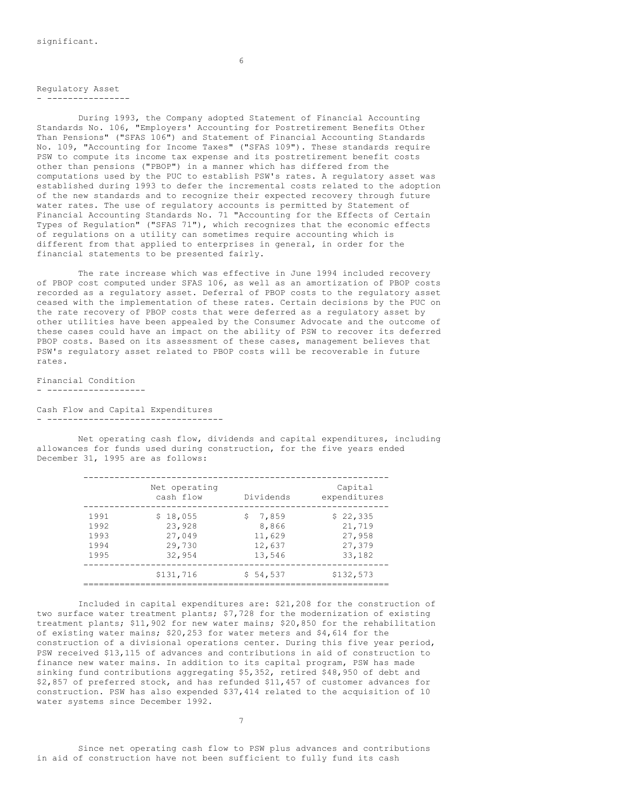Regulatory Asset - ----------------

During 1993, the Company adopted Statement of Financial Accounting Standards No. 106, "Employers' Accounting for Postretirement Benefits Other Than Pensions" ("SFAS 106") and Statement of Financial Accounting Standards No. 109, "Accounting for Income Taxes" ("SFAS 109"). These standards require PSW to compute its income tax expense and its postretirement benefit costs other than pensions ("PBOP") in a manner which has differed from the computations used by the PUC to establish PSW's rates. A regulatory asset was established during 1993 to defer the incremental costs related to the adoption of the new standards and to recognize their expected recovery through future water rates. The use of regulatory accounts is permitted by Statement of Financial Accounting Standards No. 71 "Accounting for the Effects of Certain Types of Regulation" ("SFAS 71"), which recognizes that the economic effects of regulations on a utility can sometimes require accounting which is different from that applied to enterprises in general, in order for the financial statements to be presented fairly.

The rate increase which was effective in June 1994 included recovery of PBOP cost computed under SFAS 106, as well as an amortization of PBOP costs recorded as a regulatory asset. Deferral of PBOP costs to the regulatory asset ceased with the implementation of these rates. Certain decisions by the PUC on the rate recovery of PBOP costs that were deferred as a regulatory asset by other utilities have been appealed by the Consumer Advocate and the outcome of these cases could have an impact on the ability of PSW to recover its deferred PBOP costs. Based on its assessment of these cases, management believes that PSW's regulatory asset related to PBOP costs will be recoverable in future rates.

Financial Condition - -------------------

Cash Flow and Capital Expenditures - ----------------------------------

Net operating cash flow, dividends and capital expenditures, including allowances for funds used during construction, for the five years ended December 31, 1995 are as follows:

|                                      | Net operating<br>cash flow                       | Dividends                                      | Capital<br>expenditures                          |
|--------------------------------------|--------------------------------------------------|------------------------------------------------|--------------------------------------------------|
| 1991<br>1992<br>1993<br>1994<br>1995 | \$18,055<br>23,928<br>27,049<br>29,730<br>32,954 | \$7,859<br>8,866<br>11,629<br>12,637<br>13,546 | \$22,335<br>21,719<br>27,958<br>27,379<br>33,182 |
|                                      | \$131,716                                        | \$54,537                                       | \$132,573                                        |

Included in capital expenditures are: \$21,208 for the construction of two surface water treatment plants; \$7,728 for the modernization of existing treatment plants; \$11,902 for new water mains; \$20,850 for the rehabilitation of existing water mains; \$20,253 for water meters and \$4,614 for the construction of a divisional operations center. During this five year period, PSW received \$13,115 of advances and contributions in aid of construction to finance new water mains. In addition to its capital program, PSW has made sinking fund contributions aggregating \$5,352, retired \$48,950 of debt and \$2,857 of preferred stock, and has refunded \$11,457 of customer advances for construction. PSW has also expended \$37,414 related to the acquisition of 10 water systems since December 1992.

Since net operating cash flow to PSW plus advances and contributions in aid of construction have not been sufficient to fully fund its cash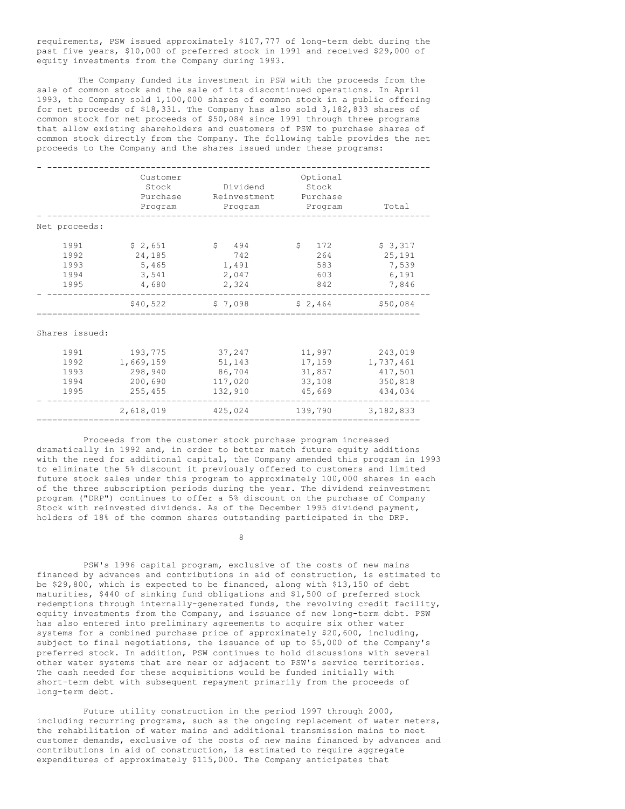requirements, PSW issued approximately \$107,777 of long-term debt during the past five years, \$10,000 of preferred stock in 1991 and received \$29,000 of equity investments from the Company during 1993.

The Company funded its investment in PSW with the proceeds from the sale of common stock and the sale of its discontinued operations. In April 1993, the Company sold 1,100,000 shares of common stock in a public offering for net proceeds of \$18,331. The Company has also sold 3,182,833 shares of common stock for net proceeds of \$50,084 since 1991 through three programs that allow existing shareholders and customers of PSW to purchase shares of common stock directly from the Company. The following table provides the net proceeds to the Company and the shares issued under these programs:

|                                      | Customer<br>Stock<br>Purchase<br>Program              | Dividend<br>Reinvestment<br>Program              | Optional<br>Stock<br>Purchase<br>Program       | Total                                                 |
|--------------------------------------|-------------------------------------------------------|--------------------------------------------------|------------------------------------------------|-------------------------------------------------------|
| Net proceeds:                        |                                                       |                                                  |                                                |                                                       |
| 1991<br>1992<br>1993<br>1994<br>1995 | \$2,651<br>24,185<br>5,465<br>3,541<br>4,680          | Ŝ.<br>494<br>742<br>1,491<br>2,047<br>2,324      | \$<br>172<br>264<br>583<br>603<br>842          | \$3,317<br>25,191<br>7,539<br>6,191<br>7,846          |
|                                      | \$40,522                                              | \$7,098                                          | \$2,464                                        | \$50,084                                              |
| Shares issued:                       |                                                       |                                                  |                                                |                                                       |
| 1991<br>1992<br>1993<br>1994<br>1995 | 193,775<br>1,669,159<br>298,940<br>200,690<br>255,455 | 37,247<br>51,143<br>86,704<br>117,020<br>132,910 | 11,997<br>17,159<br>31,857<br>33,108<br>45,669 | 243,019<br>1,737,461<br>417,501<br>350,818<br>434,034 |
|                                      | 2,618,019                                             | 425,024                                          | 139,790                                        | 3,182,833                                             |

Proceeds from the customer stock purchase program increased dramatically in 1992 and, in order to better match future equity additions with the need for additional capital, the Company amended this program in 1993 to eliminate the 5% discount it previously offered to customers and limited future stock sales under this program to approximately 100,000 shares in each of the three subscription periods during the year. The dividend reinvestment program ("DRP") continues to offer a 5% discount on the purchase of Company Stock with reinvested dividends. As of the December 1995 dividend payment, holders of 18% of the common shares outstanding participated in the DRP.

==========================================================================

8

PSW's 1996 capital program, exclusive of the costs of new mains financed by advances and contributions in aid of construction, is estimated to be \$29,800, which is expected to be financed, along with \$13,150 of debt maturities, \$440 of sinking fund obligations and \$1,500 of preferred stock redemptions through internally-generated funds, the revolving credit facility, equity investments from the Company, and issuance of new long-term debt. PSW has also entered into preliminary agreements to acquire six other water systems for a combined purchase price of approximately \$20,600, including, subject to final negotiations, the issuance of up to \$5,000 of the Company's preferred stock. In addition, PSW continues to hold discussions with several other water systems that are near or adjacent to PSW's service territories. The cash needed for these acquisitions would be funded initially with short-term debt with subsequent repayment primarily from the proceeds of long-term debt.

Future utility construction in the period 1997 through 2000, including recurring programs, such as the ongoing replacement of water meters, the rehabilitation of water mains and additional transmission mains to meet customer demands, exclusive of the costs of new mains financed by advances and contributions in aid of construction, is estimated to require aggregate expenditures of approximately \$115,000. The Company anticipates that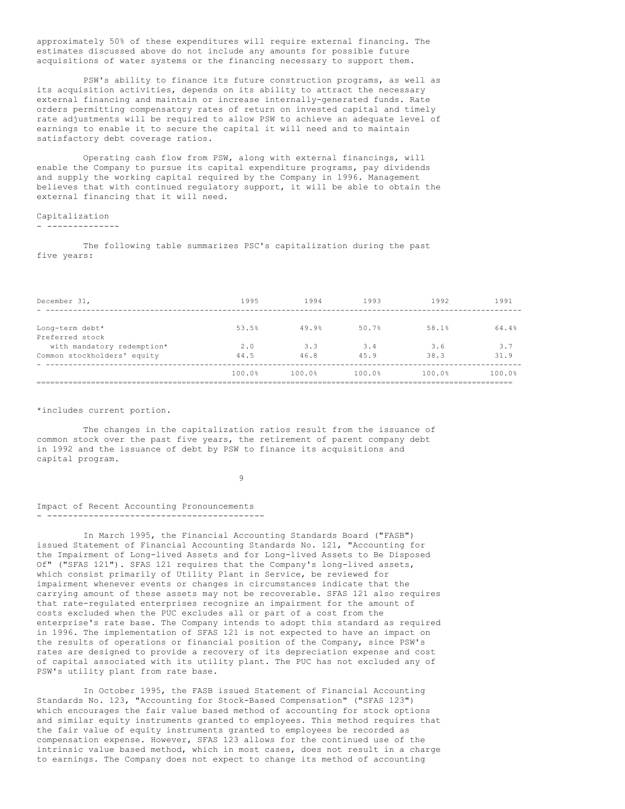approximately 50% of these expenditures will require external financing. The estimates discussed above do not include any amounts for possible future acquisitions of water systems or the financing necessary to support them.

PSW's ability to finance its future construction programs, as well as its acquisition activities, depends on its ability to attract the necessary external financing and maintain or increase internally-generated funds. Rate orders permitting compensatory rates of return on invested capital and timely rate adjustments will be required to allow PSW to achieve an adequate level of earnings to enable it to secure the capital it will need and to maintain satisfactory debt coverage ratios.

Operating cash flow from PSW, along with external financings, will enable the Company to pursue its capital expenditure programs, pay dividends and supply the working capital required by the Company in 1996. Management believes that with continued regulatory support, it will be able to obtain the external financing that it will need.

### Capitalization

- --------------

The following table summarizes PSC's capitalization during the past five years:

| December 31,                | 1995   | 1994   | 1993   | 1992   | 1991   |
|-----------------------------|--------|--------|--------|--------|--------|
|                             |        |        |        |        |        |
| Long-term debt*             | 53.5%  | 49.9%  | 50.7%  | 58.1%  | 64.4%  |
| Preferred stock             |        |        |        |        |        |
| with mandatory redemption*  | 2.0    | 3.3    | 3.4    | 3.6    | 3.7    |
| Common stockholders' equity | 44.5   | 46.8   | 45.9   | 38.3   | 31.9   |
|                             | 100.0% | 100.0% | 100.0% | 100.0% | 100.0% |
|                             |        |        |        |        |        |

### \*includes current portion.

The changes in the capitalization ratios result from the issuance of common stock over the past five years, the retirement of parent company debt in 1992 and the issuance of debt by PSW to finance its acquisitions and capital program.

9

#### Impact of Recent Accounting Pronouncements - ------------------------------------------

In March 1995, the Financial Accounting Standards Board ("FASB") issued Statement of Financial Accounting Standards No. 121, "Accounting for the Impairment of Long-lived Assets and for Long-lived Assets to Be Disposed Of" ("SFAS 121"). SFAS 121 requires that the Company's long-lived assets, which consist primarily of Utility Plant in Service, be reviewed for impairment whenever events or changes in circumstances indicate that the carrying amount of these assets may not be recoverable. SFAS 121 also requires that rate-regulated enterprises recognize an impairment for the amount of costs excluded when the PUC excludes all or part of a cost from the enterprise's rate base. The Company intends to adopt this standard as required in 1996. The implementation of SFAS 121 is not expected to have an impact on the results of operations or financial position of the Company, since PSW's rates are designed to provide a recovery of its depreciation expense and cost of capital associated with its utility plant. The PUC has not excluded any of PSW's utility plant from rate base.

In October 1995, the FASB issued Statement of Financial Accounting Standards No. 123, "Accounting for Stock-Based Compensation" ("SFAS 123") which encourages the fair value based method of accounting for stock options and similar equity instruments granted to employees. This method requires that the fair value of equity instruments granted to employees be recorded as compensation expense. However, SFAS 123 allows for the continued use of the intrinsic value based method, which in most cases, does not result in a charge to earnings. The Company does not expect to change its method of accounting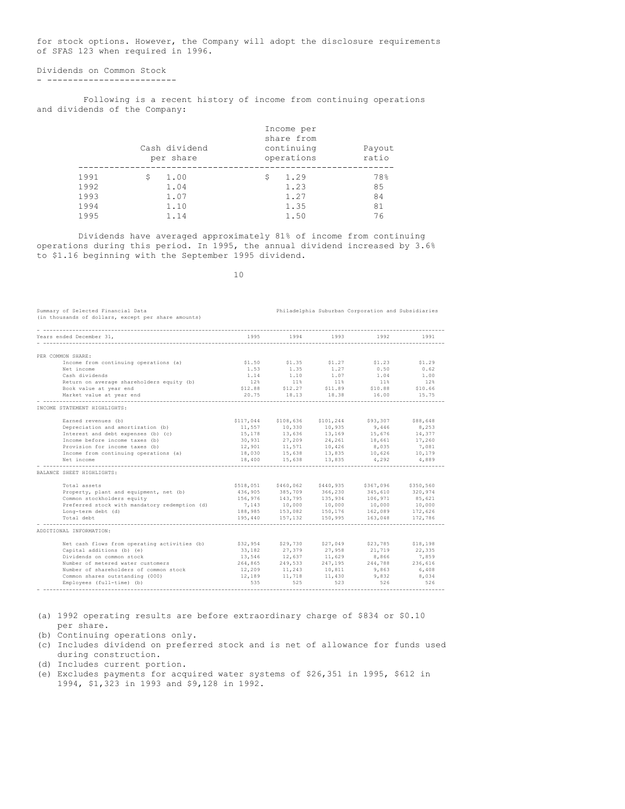for stock options. However, the Company will adopt the disclosure requirements of SFAS 123 when required in 1996.

```
Dividends on Common Stock
- -------------------------
```
Following is a recent history of income from continuing operations and dividends of the Company:

| Payout<br>ratio |
|-----------------|
| 78%             |
| 85              |
| 84              |
| 81              |
| 76              |
|                 |

Dividends have averaged approximately 81% of income from continuing operations during this period. In 1995, the annual dividend increased by 3.6% to \$1.16 beginning with the September 1995 dividend.

10

| Summary of Selected Financial Data<br>(in thousands of dollars, except per share amounts) |           |                                                             |                     | Philadelphia Suburban Corporation and Subsidiaries |                                      |
|-------------------------------------------------------------------------------------------|-----------|-------------------------------------------------------------|---------------------|----------------------------------------------------|--------------------------------------|
| Years ended December 31,                                                                  | 1995      | 1994                                                        | 1993                | 1992                                               | 1991                                 |
| PER COMMON SHARE:                                                                         |           |                                                             |                     |                                                    |                                      |
| Income from continuing operations (a)                                                     | \$1.50    | \$1.35                                                      | \$1.27              | \$1.23                                             | \$1.29                               |
| Net income                                                                                | 1.53      | 1.35                                                        | 1.27                | 0.50                                               | 0.62                                 |
| Cash dividends                                                                            | 1.14      | 1.10                                                        | 1.07                | 1.04                                               | 1.00                                 |
| Return on average shareholders equity (b)                                                 | 12%       | $11\%$                                                      | $11\%$              | 11%                                                | 12%                                  |
| Book value at year end                                                                    | \$12.88   | \$12.27                                                     | \$11.89             | \$10.88                                            | \$10.66                              |
| Market value at year end                                                                  | 20.75     |                                                             | 18.13 18.38         | 16.00                                              | 15.75                                |
| INCOME STATEMENT HIGHLIGHTS:                                                              |           |                                                             |                     |                                                    |                                      |
|                                                                                           |           |                                                             |                     |                                                    |                                      |
| Earned revenues (b)                                                                       | \$117,044 |                                                             | \$108,636 \$101,244 | \$93,307                                           | \$88,648                             |
| Depreciation and amortization (b)                                                         | 11,557    | 10,330                                                      | 10,935              | 9,446                                              | 8,253                                |
| Interest and debt expenses (b) (c)                                                        |           | 15, 178 13, 636 13, 169                                     |                     | 15,676                                             | 14,377                               |
| Income before income taxes (b)                                                            |           |                                                             |                     | 18,661                                             | $\ensuremath{17\,},\ensuremath{260}$ |
| Provision for income taxes (b)                                                            | 12,901    | 30,931 27,209 24,261<br>12,901 11,571 10,426                |                     | 8,035                                              | 7,081                                |
| Income from continuing operations (a)                                                     |           |                                                             |                     | 18,030 15,638 13,835 10,626 10,179                 |                                      |
| Net income                                                                                |           | 18,400 15,638 13,835                                        |                     | 4,292                                              | 4,889                                |
| BALANCE SHEET HIGHLIGHTS:                                                                 |           |                                                             |                     |                                                    |                                      |
| Total assets                                                                              |           |                                                             |                     | \$518,051 \$460,062 \$440,935 \$367,096            | \$350,560                            |
| Property, plant and equipment, net (b)                                                    |           |                                                             |                     | 436,905 385,709 366,230 345,610                    | 320,974                              |
| Common stockholders equity                                                                |           | 436,905 ---.<br>156,976 143,795 135,934<br>10,000 10,000    | 135,934             | 106,971                                            | 85,621                               |
| Preferred stock with mandatory redemption (d)                                             |           |                                                             |                     | 10,000                                             | 10,000                               |
| Long-term debt (d)                                                                        |           |                                                             |                     | 188,985 153,082 150,176 162,089 172,626            |                                      |
| Total debt                                                                                | 195,440   | 157,132                                                     | 150,995             | 163,048                                            | 172,786                              |
| ADDITIONAL INFORMATION:                                                                   |           |                                                             |                     |                                                    |                                      |
|                                                                                           |           |                                                             |                     |                                                    |                                      |
| Net cash flows from operating activities (b)                                              | \$32,954  |                                                             | \$29,730 \$27,049   | \$23,785                                           | \$18,198                             |
| Capital additions (b) (e)                                                                 | 33.182    | 27,379                                                      | 27,958              | 21,719                                             | 22,335                               |
| Dividends on common stock                                                                 |           | $13,546$ $12,637$ $11,629$<br>$264,865$ $249,533$ $247,195$ |                     | 8,866                                              | 7,859                                |
| Number of metered water customers                                                         |           |                                                             |                     | 244,788                                            | 236,616                              |
| Number of shareholders of common stock                                                    |           | 12,209 11,243 10,811                                        |                     | 9,863                                              | 6,408                                |
| Common shares outstanding (000)                                                           | 12,189    | 11,718                                                      | 11,430              | 9,832                                              | 8,034                                |
| Employees (full-time) (b)                                                                 | 535       | 525                                                         | 523                 | 526                                                | 526                                  |
|                                                                                           |           |                                                             |                     |                                                    |                                      |

(a) 1992 operating results are before extraordinary charge of \$834 or \$0.10 per share.

(b) Continuing operations only.

(c) Includes dividend on preferred stock and is net of allowance for funds used during construction.

(d) Includes current portion.

(e) Excludes payments for acquired water systems of \$26,351 in 1995, \$612 in 1994, \$1,323 in 1993 and \$9,128 in 1992.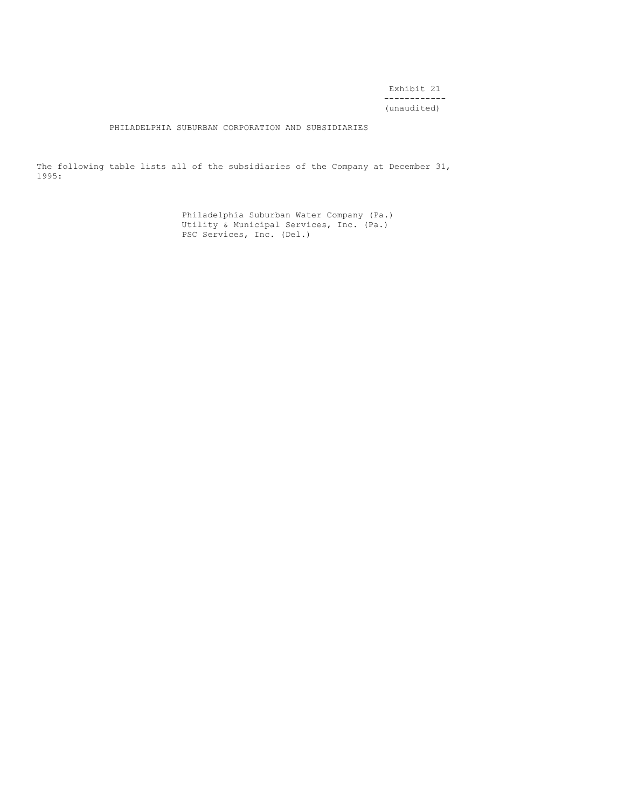Exhibit 21 ------------ (unaudited)

PHILADELPHIA SUBURBAN CORPORATION AND SUBSIDIARIES

The following table lists all of the subsidiaries of the Company at December 31, 1995:

> Philadelphia Suburban Water Company (Pa.) Utility & Municipal Services, Inc. (Pa.) PSC Services, Inc. (Del.)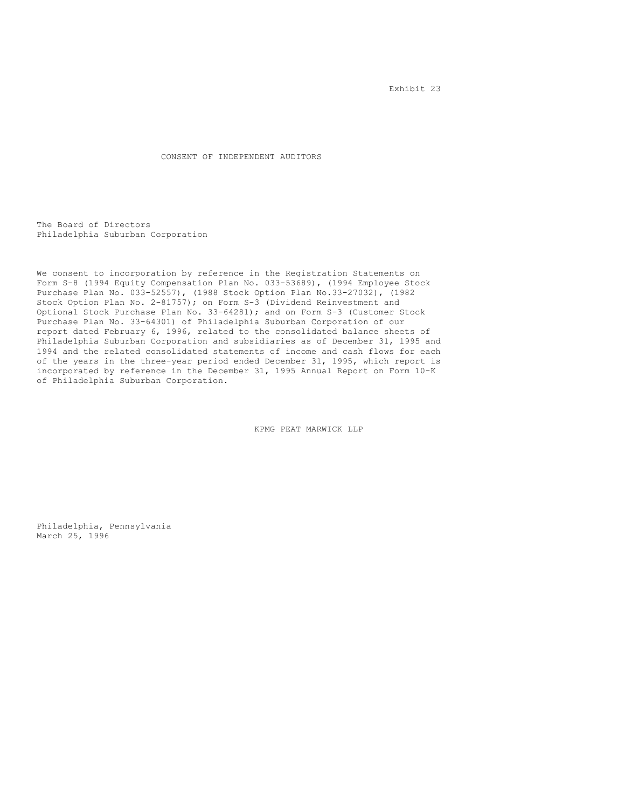Exhibit 23

CONSENT OF INDEPENDENT AUDITORS

The Board of Directors Philadelphia Suburban Corporation

We consent to incorporation by reference in the Registration Statements on Form S-8 (1994 Equity Compensation Plan No. 033-53689), (1994 Employee Stock Purchase Plan No. 033-52557), (1988 Stock Option Plan No.33-27032), (1982 Stock Option Plan No. 2-81757); on Form S-3 (Dividend Reinvestment and Optional Stock Purchase Plan No. 33-64281); and on Form S-3 (Customer Stock Purchase Plan No. 33-64301) of Philadelphia Suburban Corporation of our report dated February 6, 1996, related to the consolidated balance sheets of Philadelphia Suburban Corporation and subsidiaries as of December 31, 1995 and 1994 and the related consolidated statements of income and cash flows for each of the years in the three-year period ended December 31, 1995, which report is incorporated by reference in the December 31, 1995 Annual Report on Form 10-K of Philadelphia Suburban Corporation.

KPMG PEAT MARWICK LLP

Philadelphia, Pennsylvania March 25, 1996